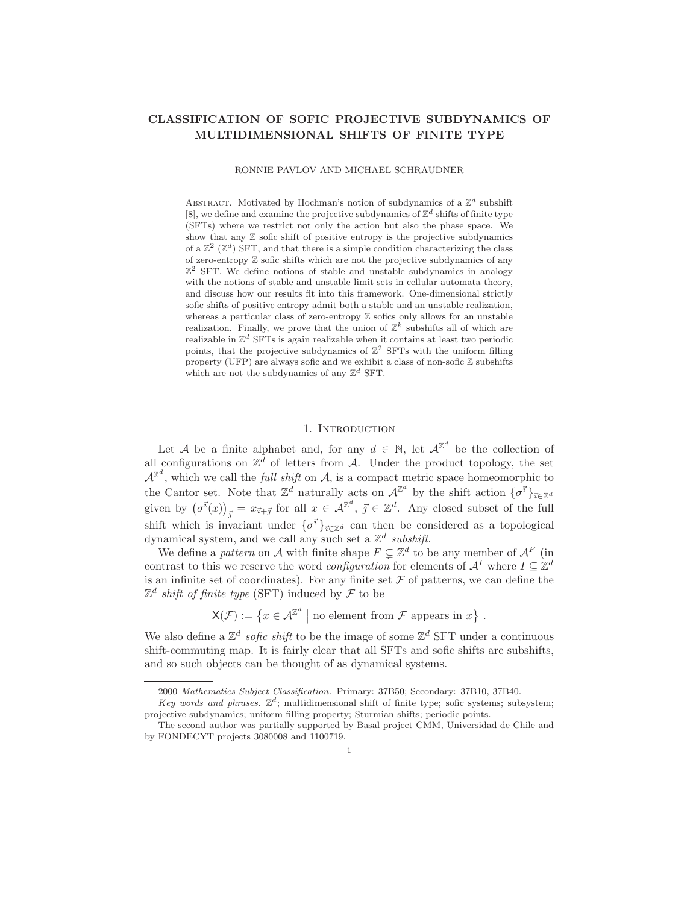# CLASSIFICATION OF SOFIC PROJECTIVE SUBDYNAMICS OF MULTIDIMENSIONAL SHIFTS OF FINITE TYPE

RONNIE PAVLOV AND MICHAEL SCHRAUDNER

ABSTRACT. Motivated by Hochman's notion of subdynamics of a  $\mathbb{Z}^d$  subshift [8], we define and examine the projective subdynamics of  $\mathbb{Z}^d$  shifts of finite type (SFTs) where we restrict not only the action but also the phase space. We show that any  $\mathbb Z$  sofic shift of positive entropy is the projective subdynamics of a  $\mathbb{Z}^2$  ( $\mathbb{Z}^d$ ) SFT, and that there is a simple condition characterizing the class of zero-entropy  $\mathbb Z$  sofic shifts which are not the projective subdynamics of any  $\mathbb{Z}^2$  SFT. We define notions of stable and unstable subdynamics in analogy with the notions of stable and unstable limit sets in cellular automata theory, and discuss how our results fit into this framework. One-dimensional strictly sofic shifts of positive entropy admit both a stable and an unstable realization, whereas a particular class of zero-entropy  $\mathbb Z$  sofics only allows for an unstable realization. Finally, we prove that the union of  $\mathbb{Z}^k$  subshifts all of which are realizable in  $\mathbb{Z}^d$  SFTs is again realizable when it contains at least two periodic points, that the projective subdynamics of  $\mathbb{Z}^2$  SFTs with the uniform filling property (UFP) are always sofic and we exhibit a class of non-sofic  $\mathbb Z$  subshifts which are not the subdynamics of any  $\mathbb{Z}^d$  SFT.

### 1. INTRODUCTION

Let A be a finite alphabet and, for any  $d \in \mathbb{N}$ , let  $\mathcal{A}^{\mathbb{Z}^d}$  be the collection of all configurations on  $\mathbb{Z}^d$  of letters from A. Under the product topology, the set  $\mathcal{A}^{\mathbb{Z}^d}$ , which we call the *full shift* on  $\mathcal{A}$ , is a compact metric space homeomorphic to the Cantor set. Note that  $\mathbb{Z}^d$  naturally acts on  $\mathcal{A}^{\mathbb{Z}^d}$  by the shift action  $\{\sigma^{\vec{i}}\}_{\vec{i} \in \mathbb{Z}^d}$ given by  $(\sigma^{\vec{i}}(x))_{\vec{j}} = x_{\vec{i}+\vec{j}}$  for all  $x \in \mathcal{A}^{\mathbb{Z}^d}$ ,  $\vec{j} \in \mathbb{Z}^d$ . Any closed subset of the full shift which is invariant under  $\{\sigma^{\vec{i}}\}_{\vec{i} \in \mathbb{Z}^d}$  can then be considered as a topological dynamical system, and we call any such set a  $\mathbb{Z}^d$  subshift.

We define a *pattern* on A with finite shape  $F \subsetneq \mathbb{Z}^d$  to be any member of  $\mathcal{A}^F$  (in contrast to this we reserve the word *configuration* for elements of  $\mathcal{A}^{I}$  where  $I \subseteq \mathbb{Z}^{d}$ is an infinite set of coordinates). For any finite set  $\mathcal F$  of patterns, we can define the  $\mathbb{Z}^d$  shift of finite type (SFT) induced by  $\mathcal F$  to be

 $\mathsf{X}(\mathcal{F}) := \{x \in \mathcal{A}^{\mathbb{Z}^d} \mid \text{no element from } \mathcal{F} \text{ appears in } x\}$ .

We also define a  $\mathbb{Z}^d$  sofic shift to be the image of some  $\mathbb{Z}^d$  SFT under a continuous shift-commuting map. It is fairly clear that all SFTs and sofic shifts are subshifts, and so such objects can be thought of as dynamical systems.

<sup>2000</sup> Mathematics Subject Classification. Primary: 37B50; Secondary: 37B10, 37B40.

Key words and phrases.  $\mathbb{Z}^d$ ; multidimensional shift of finite type; sofic systems; subsystem; projective subdynamics; uniform filling property; Sturmian shifts; periodic points.

The second author was partially supported by Basal project CMM, Universidad de Chile and by FONDECYT projects 3080008 and 1100719.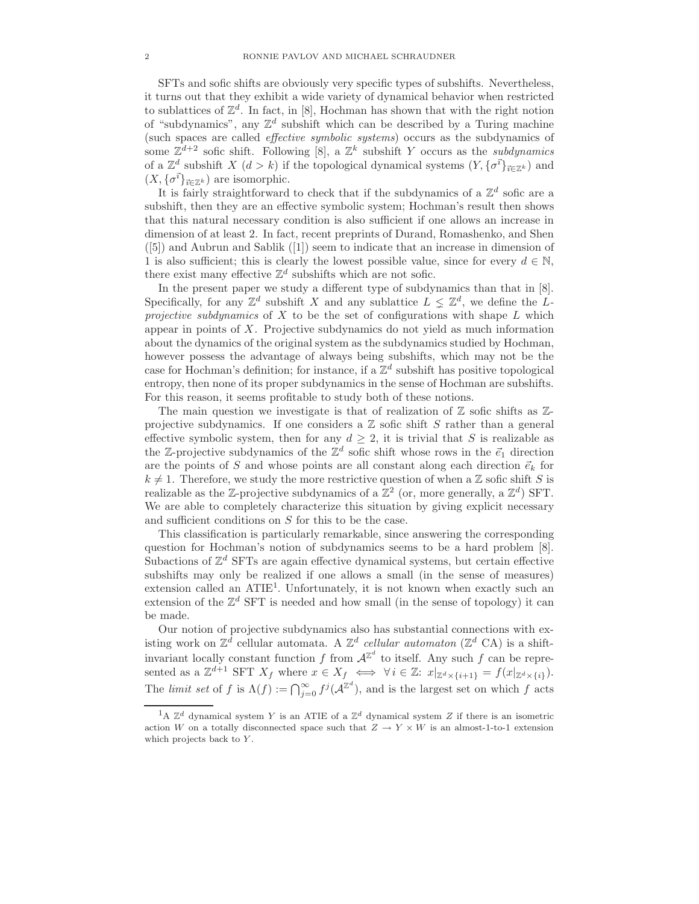SFTs and sofic shifts are obviously very specific types of subshifts. Nevertheless, it turns out that they exhibit a wide variety of dynamical behavior when restricted to sublattices of  $\mathbb{Z}^d$ . In fact, in [8], Hochman has shown that with the right notion of "subdynamics", any  $\mathbb{Z}^d$  subshift which can be described by a Turing machine (such spaces are called effective symbolic systems) occurs as the subdynamics of some  $\mathbb{Z}^{d+2}$  sofic shift. Following [8], a  $\mathbb{Z}^k$  subshift Y occurs as the *subdynamics* of a  $\mathbb{Z}^d$  subshift X  $(d > k)$  if the topological dynamical systems  $(Y, {\{\sigma^{\vec{i}}\}}_{\vec{i} \in \mathbb{Z}^k})$  and  $(X, {\{\sigma}^{\vec{i}}\}_{\vec{i} \in \mathbb{Z}^k})$  are isomorphic.

It is fairly straightforward to check that if the subdynamics of a  $\mathbb{Z}^d$  sofic are a subshift, then they are an effective symbolic system; Hochman's result then shows that this natural necessary condition is also sufficient if one allows an increase in dimension of at least 2. In fact, recent preprints of Durand, Romashenko, and Shen ([5]) and Aubrun and Sablik ([1]) seem to indicate that an increase in dimension of 1 is also sufficient; this is clearly the lowest possible value, since for every  $d \in \mathbb{N}$ , there exist many effective  $\mathbb{Z}^d$  subshifts which are not sofic.

In the present paper we study a different type of subdynamics than that in [8]. Specifically, for any  $\mathbb{Z}^d$  subshift X and any sublattice  $L \leq \mathbb{Z}^d$ , we define the Lprojective subdynamics of X to be the set of configurations with shape  $L$  which appear in points of  $X$ . Projective subdynamics do not yield as much information about the dynamics of the original system as the subdynamics studied by Hochman, however possess the advantage of always being subshifts, which may not be the case for Hochman's definition; for instance, if a  $\mathbb{Z}^d$  subshift has positive topological entropy, then none of its proper subdynamics in the sense of Hochman are subshifts. For this reason, it seems profitable to study both of these notions.

The main question we investigate is that of realization of  $\mathbb Z$  sofic shifts as  $\mathbb Z$ projective subdynamics. If one considers a  $\mathbb Z$  sofic shift S rather than a general effective symbolic system, then for any  $d \geq 2$ , it is trivial that S is realizable as the Z-projective subdynamics of the  $\mathbb{Z}^d$  sofic shift whose rows in the  $\vec{e}_1$  direction are the points of S and whose points are all constant along each direction  $\vec{e}_k$  for  $k \neq 1$ . Therefore, we study the more restrictive question of when a Z sofic shift S is realizable as the Z-projective subdynamics of a  $\mathbb{Z}^2$  (or, more generally, a  $\mathbb{Z}^d$ ) SFT. We are able to completely characterize this situation by giving explicit necessary and sufficient conditions on S for this to be the case.

This classification is particularly remarkable, since answering the corresponding question for Hochman's notion of subdynamics seems to be a hard problem [8]. Subactions of  $\mathbb{Z}^d$  SFTs are again effective dynamical systems, but certain effective subshifts may only be realized if one allows a small (in the sense of measures) extension called an ATIE<sup>1</sup>. Unfortunately, it is not known when exactly such an extension of the  $\mathbb{Z}^d$  SFT is needed and how small (in the sense of topology) it can be made.

Our notion of projective subdynamics also has substantial connections with existing work on  $\mathbb{Z}^d$  cellular automata. A  $\mathbb{Z}^d$  cellular automaton ( $\mathbb{Z}^d$  CA) is a shiftinvariant locally constant function f from  $A^{\mathbb{Z}^d}$  to itself. Any such f can be represented as a  $\mathbb{Z}^{d+1}$  SFT  $X_f$  where  $x \in X_f \iff \forall i \in \mathbb{Z}$ :  $x|_{\mathbb{Z}^d \times \{i+1\}} = f(x|_{\mathbb{Z}^d \times \{i\}})$ . The limit set of f is  $\Lambda(f) := \bigcap_{j=0}^{\infty} f^j(\mathcal{A}^{\mathbb{Z}^d})$ , and is the largest set on which f acts

<sup>&</sup>lt;sup>1</sup>A  $\mathbb{Z}^d$  dynamical system Y is an ATIE of a  $\mathbb{Z}^d$  dynamical system Z if there is an isometric action W on a totally disconnected space such that  $Z \to Y \times W$  is an almost-1-to-1 extension which projects back to Y.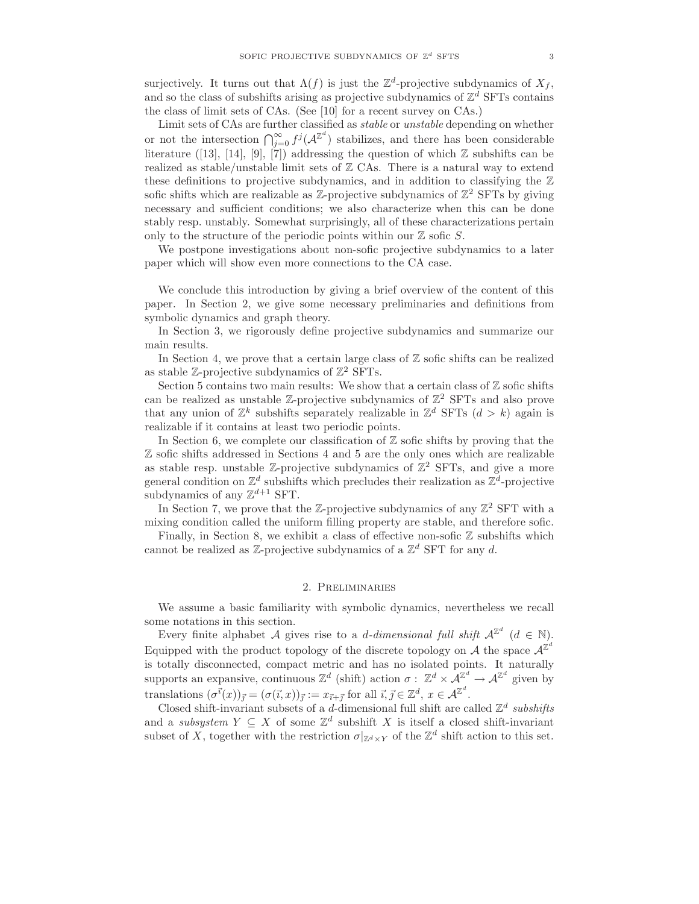surjectively. It turns out that  $\Lambda(f)$  is just the  $\mathbb{Z}^d$ -projective subdynamics of  $X_f$ , and so the class of subshifts arising as projective subdynamics of  $\mathbb{Z}^d$  SFTs contains the class of limit sets of CAs. (See [10] for a recent survey on CAs.)

Limit sets of CAs are further classified as stable or unstable depending on whether or not the intersection  $\bigcap_{j=0}^{\infty} f^j(\mathcal{A}^{\mathbb{Z}^d})$  stabilizes, and there has been considerable literature ([13], [14], [9], [7]) addressing the question of which  $\mathbb Z$  subshifts can be realized as stable/unstable limit sets of  $\mathbb Z$  CAs. There is a natural way to extend these definitions to projective subdynamics, and in addition to classifying the  $\mathbb Z$ sofic shifts which are realizable as  $\mathbb{Z}$ -projective subdynamics of  $\mathbb{Z}^2$  SFTs by giving necessary and sufficient conditions; we also characterize when this can be done stably resp. unstably. Somewhat surprisingly, all of these characterizations pertain only to the structure of the periodic points within our  $\mathbb Z$  sofic  $S$ .

We postpone investigations about non-sofic projective subdynamics to a later paper which will show even more connections to the CA case.

We conclude this introduction by giving a brief overview of the content of this paper. In Section 2, we give some necessary preliminaries and definitions from symbolic dynamics and graph theory.

In Section 3, we rigorously define projective subdynamics and summarize our main results.

In Section 4, we prove that a certain large class of  $\mathbb Z$  sofic shifts can be realized as stable  $\mathbb{Z}$ -projective subdynamics of  $\mathbb{Z}^2$  SFTs.

Section 5 contains two main results: We show that a certain class of  $\mathbb Z$  sofic shifts can be realized as unstable  $\mathbb{Z}$ -projective subdynamics of  $\mathbb{Z}^2$  SFTs and also prove that any union of  $\mathbb{Z}^k$  subshifts separately realizable in  $\mathbb{Z}^d$  SFTs  $(d > k)$  again is realizable if it contains at least two periodic points.

In Section 6, we complete our classification of  $\mathbb Z$  sofic shifts by proving that the Z sofic shifts addressed in Sections 4 and 5 are the only ones which are realizable as stable resp. unstable  $\mathbb{Z}$ -projective subdynamics of  $\mathbb{Z}^2$  SFTs, and give a more general condition on  $\mathbb{Z}^d$  subshifts which precludes their realization as  $\mathbb{Z}^d$ -projective subdynamics of any  $\mathbb{Z}^{d+1}$  SFT.

In Section 7, we prove that the Z-projective subdynamics of any  $\mathbb{Z}^2$  SFT with a mixing condition called the uniform filling property are stable, and therefore sofic.

Finally, in Section 8, we exhibit a class of effective non-sofic  $\mathbb Z$  subshifts which cannot be realized as  $\mathbb{Z}$ -projective subdynamics of a  $\mathbb{Z}^d$  SFT for any d.

#### 2. Preliminaries

We assume a basic familiarity with symbolic dynamics, nevertheless we recall some notations in this section.

Every finite alphabet A gives rise to a *d*-dimensional full shift  $A^{\mathbb{Z}^d}$  ( $d \in \mathbb{N}$ ). Equipped with the product topology of the discrete topology on  $A$  the space  $A^{\mathbb{Z}^d}$ is totally disconnected, compact metric and has no isolated points. It naturally supports an expansive, continuous  $\mathbb{Z}^d$  (shift) action  $\sigma: \mathbb{Z}^d \times \mathcal{A}^{\mathbb{Z}^d} \to \mathcal{A}^{\mathbb{Z}^d}$  given by translations  $(\sigma^{\vec{i}}(x))_{\vec{j}} = (\sigma(\vec{i}, x))_{\vec{j}} := x_{\vec{i} + \vec{j}}$  for all  $\vec{i}, \vec{j} \in \mathbb{Z}^d$ ,  $x \in \mathcal{A}^{\mathbb{Z}^d}$ .

Closed shift-invariant subsets of a *d*-dimensional full shift are called  $\mathbb{Z}^d$  subshifts and a subsystem  $Y \subseteq X$  of some  $\mathbb{Z}^d$  subshift X is itself a closed shift-invariant subset of X, together with the restriction  $\sigma|_{\mathbb{Z}^d\times Y}$  of the  $\mathbb{Z}^d$  shift action to this set.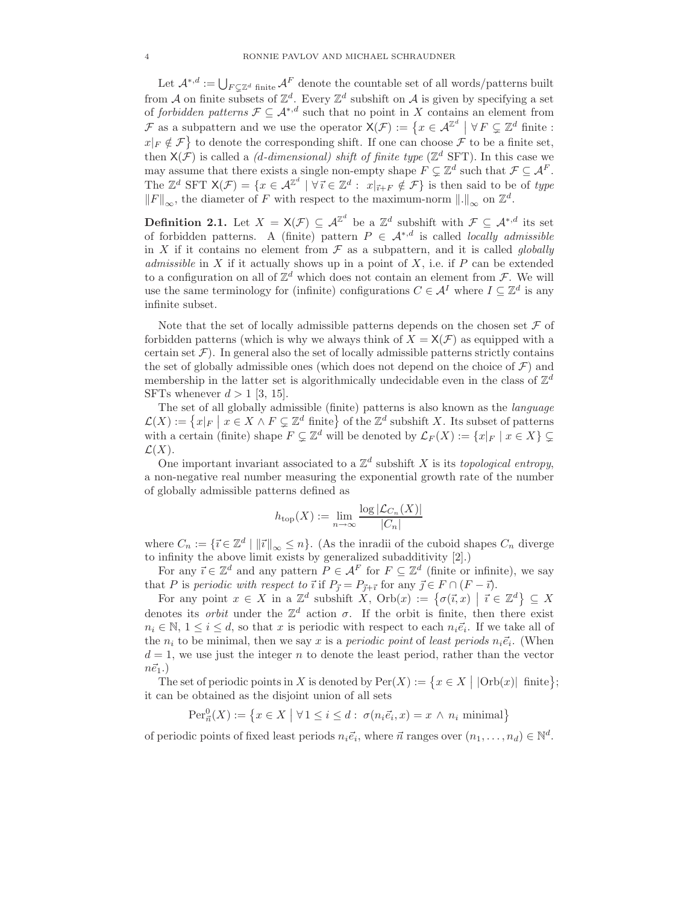Let  $\mathcal{A}^{*,d} := \bigcup_{F \subsetneq \mathbb{Z}^d \text{ finite}} \mathcal{A}^F$  denote the countable set of all words/patterns built from A on finite subsets of  $\mathbb{Z}^d$ . Every  $\mathbb{Z}^d$  subshift on A is given by specifying a set of forbidden patterns  $\mathcal{F} \subseteq A^{*,d}$  such that no point in X contains an element from F as a subpattern and we use the operator  $\mathsf{X}(\mathcal{F}) := \{x \in \mathcal{A}^{\mathbb{Z}^d} \mid \forall F \subsetneq \mathbb{Z}^d \text{ finite : }$  $x|_F \notin \mathcal{F}$  to denote the corresponding shift. If one can choose  $\mathcal{F}$  to be a finite set, then  $X(\mathcal{F})$  is called a *(d-dimensional) shift of finite type* ( $\mathbb{Z}^d$  SFT). In this case we may assume that there exists a single non-empty shape  $F \subsetneq \mathbb{Z}^d$  such that  $\mathcal{F} \subseteq \mathcal{A}^F$ . The  $\mathbb{Z}^d$  SFT  $\mathsf{X}(\mathcal{F}) = \{x \in \mathcal{A}^{\mathbb{Z}^d} \mid \forall \vec{\imath} \in \mathbb{Z}^d : x|_{\vec{\imath} + F} \notin \mathcal{F}\}\$ is then said to be of type  $||F||_{\infty}$ , the diameter of F with respect to the maximum-norm  $||.||_{\infty}$  on  $\mathbb{Z}^d$ .

**Definition 2.1.** Let  $X = \mathsf{X}(\mathcal{F}) \subseteq \mathcal{A}^{\mathbb{Z}^d}$  be a  $\mathbb{Z}^d$  subshift with  $\mathcal{F} \subseteq \mathcal{A}^{*,d}$  its set of forbidden patterns. A (finite) pattern  $P \in \mathcal{A}^{*,d}$  is called locally admissible in X if it contains no element from  $\mathcal F$  as a subpattern, and it is called *globally* admissible in  $X$  if it actually shows up in a point of  $X$ , i.e. if  $P$  can be extended to a configuration on all of  $\mathbb{Z}^d$  which does not contain an element from  $\mathcal{F}$ . We will use the same terminology for (infinite) configurations  $C \in \mathcal{A}^I$  where  $I \subseteq \mathbb{Z}^d$  is any infinite subset.

Note that the set of locally admissible patterns depends on the chosen set  $\mathcal F$  of forbidden patterns (which is why we always think of  $X = X(\mathcal{F})$  as equipped with a certain set  $\mathcal F$ ). In general also the set of locally admissible patterns strictly contains the set of globally admissible ones (which does not depend on the choice of  $\mathcal{F}$ ) and membership in the latter set is algorithmically undecidable even in the class of  $\mathbb{Z}^d$ SFTs whenever  $d > 1$  [3, 15].

The set of all globally admissible (finite) patterns is also known as the language  $\mathcal{L}(X) := \{x|_F \mid x \in X \wedge F \subsetneq \mathbb{Z}^d \text{ finite}\}\$  of the  $\mathbb{Z}^d$  subshift X. Its subset of patterns with a certain (finite) shape  $F \subsetneq \mathbb{Z}^d$  will be denoted by  $\mathcal{L}_F(X) := \{x|_F \mid x \in X\} \subsetneq$  $\mathcal{L}(X)$ .

One important invariant associated to a  $\mathbb{Z}^d$  subshift X is its topological entropy, a non-negative real number measuring the exponential growth rate of the number of globally admissible patterns defined as

$$
h_{\text{top}}(X) := \lim_{n \to \infty} \frac{\log |\mathcal{L}_{C_n}(X)|}{|C_n|}
$$

where  $C_n := \{ \vec{\imath} \in \mathbb{Z}^d \mid ||\vec{\imath}||_{\infty} \leq n \}$ . (As the inradii of the cuboid shapes  $C_n$  diverge to infinity the above limit exists by generalized subadditivity [2].)

For any  $\vec{\iota} \in \mathbb{Z}^d$  and any pattern  $P \in \mathcal{A}^F$  for  $F \subseteq \mathbb{Z}^d$  (finite or infinite), we say that P is periodic with respect to  $\vec{i}$  if  $P_{\vec{j}} = P_{\vec{j}+\vec{i}}$  for any  $\vec{j} \in F \cap (F - \vec{i})$ .

For any point  $x \in X$  in a  $\mathbb{Z}^d$  subshift  $X$ ,  $Orb(x) := \{ \sigma(\vec{\imath}, x) \mid \vec{\imath} \in \mathbb{Z}^d \} \subseteq X$ denotes its *orbit* under the  $\mathbb{Z}^d$  action  $\sigma$ . If the orbit is finite, then there exist  $n_i \in \mathbb{N}, 1 \leq i \leq d$ , so that x is periodic with respect to each  $n_i \vec{e}_i$ . If we take all of the  $n_i$  to be minimal, then we say x is a *periodic point* of least periods  $n_i \vec{e}_i$ . (When  $d = 1$ , we use just the integer n to denote the least period, rather than the vector  $n\vec{e}_1.$ 

The set of periodic points in X is denoted by  $\text{Per}(X) := \{x \in X \mid |\text{Orb}(x)| \text{ finite}\};$ it can be obtained as the disjoint union of all sets

$$
\operatorname{Per}^0_{\vec{n}}(X) := \{ x \in X \mid \forall 1 \le i \le d : \ \sigma(n_i \vec{e}_i, x) = x \land n_i \text{ minimal} \}
$$

of periodic points of fixed least periods  $n_i \vec{e}_i$ , where  $\vec{n}$  ranges over  $(n_1, \ldots, n_d) \in \mathbb{N}^d$ .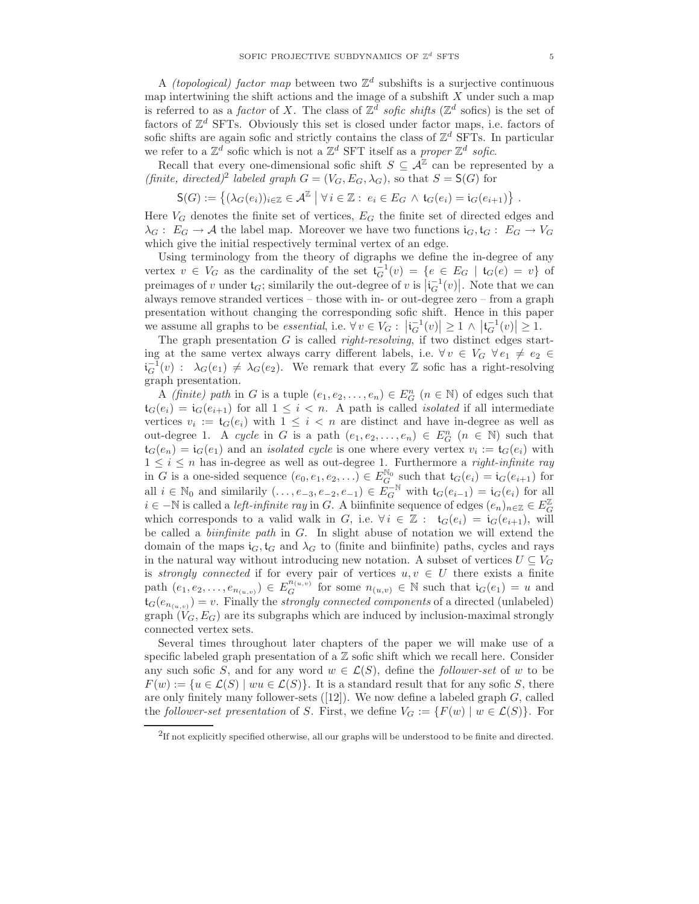A *(topological)* factor map between two  $\mathbb{Z}^d$  subshifts is a surjective continuous map intertwining the shift actions and the image of a subshift  $X$  under such a map is referred to as a *factor* of X. The class of  $\mathbb{Z}^d$  sofic shifts ( $\mathbb{Z}^d$  sofics) is the set of factors of  $\mathbb{Z}^d$  SFTs. Obviously this set is closed under factor maps, i.e. factors of sofic shifts are again sofic and strictly contains the class of  $\mathbb{Z}^d$  SFTs. In particular we refer to a  $\mathbb{Z}^d$  sofic which is not a  $\mathbb{Z}^d$  SFT itself as a proper  $\mathbb{Z}^d$  sofic.

Recall that every one-dimensional sofic shift  $S \subseteq \mathcal{A}^{\mathbb{Z}}$  can be represented by a (finite, directed)<sup>2</sup> labeled graph  $G = (V_G, E_G, \lambda_G)$ , so that  $S = S(G)$  for

$$
\mathsf{S}(G):=\left\{(\lambda_G(e_i))_{i\in\mathbb{Z}}\in\mathcal{A}^\mathbb{Z}\; \big| \; \forall\, i\in\mathbb{Z}:\; e_i\in E_G \;\wedge\; \mathfrak{t}_G(e_i)=\mathfrak{i}_G(e_{i+1})\right\}\,.
$$

Here  $V_G$  denotes the finite set of vertices,  $E_G$  the finite set of directed edges and  $\lambda_G: E_G \to \mathcal{A}$  the label map. Moreover we have two functions  $i_G, t_G: E_G \to V_G$ which give the initial respectively terminal vertex of an edge.

Using terminology from the theory of digraphs we define the in-degree of any vertex  $v \in V_G$  as the cardinality of the set  $\mathfrak{t}_G^{-1}(v) = \{e \in E_G \mid \mathfrak{t}_G(e) = v\}$  of preimages of v under  $\mathfrak{t}_G$ ; similarily the out-degree of v is  $\left|\mathfrak{i}_G^{-1}(v)\right|$ . Note that we can always remove stranded vertices – those with in- or out-degree zero – from a graph presentation without changing the corresponding sofic shift. Hence in this paper we assume all graphs to be *essential*, i.e.  $\forall v \in V_G : |i_G^{-1}(v)| \geq 1 \wedge |t_G^{-1}(v)| \geq 1$ .

The graph presentation  $G$  is called *right-resolving*, if two distinct edges starting at the same vertex always carry different labels, i.e.  $\forall v \in V_G \ \forall e_1 \neq e_2 \in$  $i_G^{-1}(v)$ :  $\lambda_G(e_1) \neq \lambda_G(e_2)$ . We remark that every Z sofic has a right-resolving graph presentation.

A *(finite)* path in G is a tuple  $(e_1, e_2, \ldots, e_n) \in E_G^n$   $(n \in \mathbb{N})$  of edges such that  $\mathfrak{t}_G(e_i) = \mathfrak{i}_G(e_{i+1})$  for all  $1 \leq i < n$ . A path is called *isolated* if all intermediate vertices  $v_i := \mathfrak{t}_G(e_i)$  with  $1 \leq i < n$  are distinct and have in-degree as well as out-degree 1. A cycle in G is a path  $(e_1, e_2, \ldots, e_n) \in E_G^n$   $(n \in \mathbb{N})$  such that  $\mathfrak{t}_G(e_n) = \mathfrak{i}_G(e_1)$  and an *isolated cycle* is one where every vertex  $v_i := \mathfrak{t}_G(e_i)$  with  $1 \leq i \leq n$  has in-degree as well as out-degree 1. Furthermore a *right-infinite ray* in G is a one-sided sequence  $(e_0, e_1, e_2, \ldots) \in E_G^{\mathbb{N}_0}$  such that  $\mathfrak{t}_G(e_i) = \mathfrak{i}_G(e_{i+1})$  for all  $i \in \mathbb{N}_0$  and similarily  $(\ldots, e_{-3}, e_{-2}, e_{-1}) \in E_G^{-\mathbb{N}}$  with  $\mathfrak{t}_G(e_{i-1}) = \mathfrak{i}_G(e_i)$  for all  $i \in \mathbb{-N}$  is called a *left-infinite ray* in G. A biinfinite sequence of edges  $(e_n)_{n \in \mathbb{Z}} \in E_G^{\mathbb{Z}}$ which corresponds to a valid walk in G, i.e.  $\forall i \in \mathbb{Z} : t_G(e_i) = i_G(e_{i+1}),$  will be called a biinfinite path in G. In slight abuse of notation we will extend the domain of the maps  $i_G$ ,  $i_G$  and  $\lambda_G$  to (finite and biinfinite) paths, cycles and rays in the natural way without introducing new notation. A subset of vertices  $U \subseteq V_G$ is strongly connected if for every pair of vertices  $u, v \in U$  there exists a finite path  $(e_1, e_2, \ldots, e_{n_{(u,v)}}) \in E_G^{n_{(u,v)}}$  for some  $n_{(u,v)} \in \mathbb{N}$  such that  $i_G(e_1) = u$  and  $\mathfrak{t}_G(e_{n_{(u,v)}}) = v$ . Finally the *strongly connected components* of a directed (unlabeled) graph  $(V_G, E_G)$  are its subgraphs which are induced by inclusion-maximal strongly connected vertex sets.

Several times throughout later chapters of the paper we will make use of a specific labeled graph presentation of a  $\mathbb Z$  sofic shift which we recall here. Consider any such sofic S, and for any word  $w \in \mathcal{L}(S)$ , define the *follower-set* of w to be  $F(w) := \{u \in \mathcal{L}(S) \mid wu \in \mathcal{L}(S)\}.$  It is a standard result that for any sofic S, there are only finitely many follower-sets  $([12])$ . We now define a labeled graph  $G$ , called the follower-set presentation of S. First, we define  $V_G := \{F(w) \mid w \in \mathcal{L}(S)\}\.$  For

<sup>&</sup>lt;sup>2</sup>If not explicitly specified otherwise, all our graphs will be understood to be finite and directed.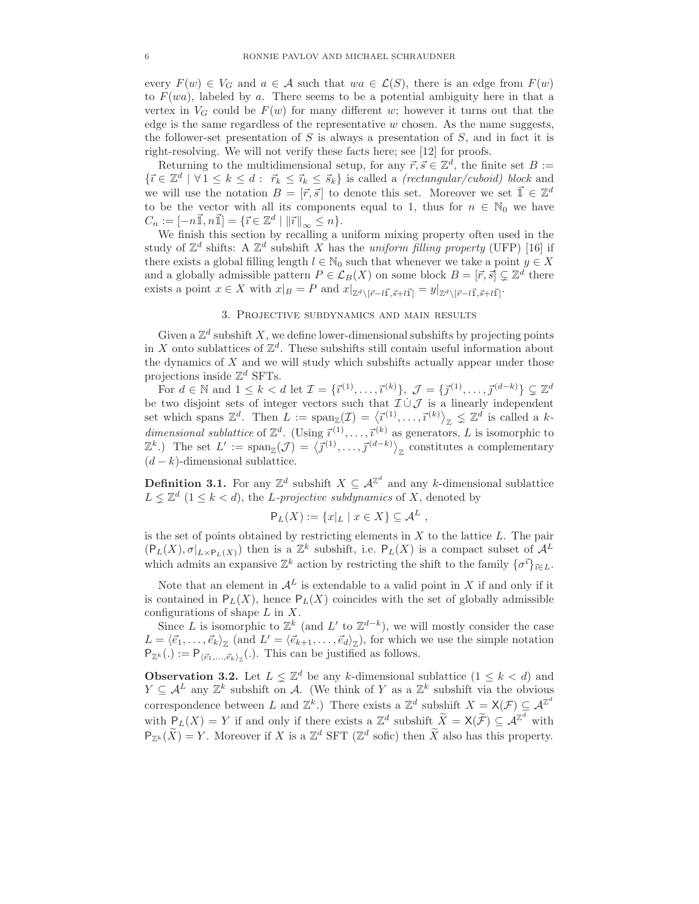every  $F(w) \in V_G$  and  $a \in \mathcal{A}$  such that  $wa \in \mathcal{L}(S)$ , there is an edge from  $F(w)$ to  $F(wa)$ , labeled by a. There seems to be a potential ambiguity here in that a vertex in  $V_G$  could be  $F(w)$  for many different w; however it turns out that the edge is the same regardless of the representative  $w$  chosen. As the name suggests, the follower-set presentation of  $S$  is always a presentation of  $S$ , and in fact it is right-resolving. We will not verify these facts here; see [12] for proofs.

Returning to the multidimensional setup, for any  $\vec{r}, \vec{s} \in \mathbb{Z}^d$ , the finite set  $B :=$  $\{\vec{i} \in \mathbb{Z}^d \mid \forall 1 \leq k \leq d : \ \vec{r}_k \leq \vec{i}_k \leq \vec{s}_k\}$  is called a *(rectangular/cuboid) block* and we will use the notation  $B = [\vec{r}, \vec{s}]$  to denote this set. Moreover we set  $\vec{\mathbb{1}} \in \mathbb{Z}^d$ to be the vector with all its components equal to 1, thus for  $n \in \mathbb{N}_0$  we have  $C_n := [-n\vec{\mathbb{1}}, n\vec{\mathbb{1}}] = \{\vec{\imath} \in \mathbb{Z}^d \mid ||\vec{\imath}||_{\infty} \leq n\}.$ 

We finish this section by recalling a uniform mixing property often used in the study of  $\mathbb{Z}^d$  shifts: A  $\mathbb{Z}^d$  subshift X has the uniform filling property (UFP) [16] if there exists a global filling length  $l \in \mathbb{N}_0$  such that whenever we take a point  $y \in X$ and a globally admissible pattern  $P \in \mathcal{L}_B(X)$  on some block  $B = [\vec{r}, \vec{s}] \subsetneq \mathbb{Z}^d$  there exists a point  $x \in X$  with  $x|_B = P$  and  $x|_{\mathbb{Z}^d \setminus [\vec{r}-l\vec{1},\vec{s}+l\vec{1}]} = y|_{\mathbb{Z}^d \setminus [\vec{r}-l\vec{1},\vec{s}+l\vec{1}]}$ .

### 3. Projective subdynamics and main results

Given a  $\mathbb{Z}^d$  subshift X, we define lower-dimensional subshifts by projecting points in X onto sublattices of  $\mathbb{Z}^d$ . These subshifts still contain useful information about the dynamics of X and we will study which subshifts actually appear under those projections inside  $\mathbb{Z}^d$  SFTs.

For  $d \in \mathbb{N}$  and  $1 \leq k < d$  let  $\mathcal{I} = {\{\vec{\imath}^{(1)}, \dots, \vec{\imath}^{(k)}\}}$ ,  $\mathcal{J} = {\{\vec{\jmath}^{(1)}, \dots, \vec{\jmath}^{(d-k)}\}} \subsetneq \mathbb{Z}^d$ be two disjoint sets of integer vectors such that  $\mathcal{I} \cup \mathcal{J}$  is a linearly independent set which spans  $\mathbb{Z}^d$ . Then  $L := \text{span}_{\mathbb{Z}}(\mathcal{I}) = \langle \vec{\imath}^{(1)}, \ldots, \vec{\imath}^{(k)} \rangle_{\mathbb{Z}} \leq \mathbb{Z}^d$  is called a kdimensional sublattice of  $\mathbb{Z}^d$ . (Using  $\vec{i}^{(1)}, \ldots, \vec{i}^{(k)}$  as generators, L is isomorphic to  $(\mathbb{Z}^k)$  The set  $L' := \text{span}_{\mathbb{Z}}(\mathcal{J}) = \langle \vec{\jmath}^{(1)}, \ldots, \vec{\jmath}^{(d-k)} \rangle_{\mathbb{Z}}$  constitutes a complementary  $(d - k)$ -dimensional sublattice.

**Definition 3.1.** For any  $\mathbb{Z}^d$  subshift  $X \subseteq \mathcal{A}^{\mathbb{Z}^d}$  and any k-dimensional sublattice  $L \nleq \mathbb{Z}^d$   $(1 \leq k < d)$ , the *L*-projective subdynamics of X, denoted by

$$
\mathsf{P}_L(X) := \{x|_L \mid x \in X\} \subseteq \mathcal{A}^L,
$$

is the set of points obtained by restricting elements in  $X$  to the lattice  $L$ . The pair  $(\mathsf{P}_L(X), \sigma|_{L\times \mathsf{P}_L(X)})$  then is a  $\mathbb{Z}^k$  subshift, i.e.  $\mathsf{P}_L(X)$  is a compact subset of  $\mathcal{A}^L$ which admits an expansive  $\mathbb{Z}^k$  action by restricting the shift to the family  $\{\sigma^{\vec{i}}\}_{\vec{i} \in L}$ .

Note that an element in  $\mathcal{A}^L$  is extendable to a valid point in X if and only if it is contained in  $P_L(X)$ , hence  $P_L(X)$  coincides with the set of globally admissible configurations of shape  $L$  in  $X$ .

Since L is isomorphic to  $\mathbb{Z}^k$  (and  $L'$  to  $\mathbb{Z}^{d-k}$ ), we will mostly consider the case  $L = \langle \vec{e}_1, \ldots, \vec{e}_k \rangle_{\mathbb{Z}} \text{ (and } L' = \langle \vec{e}_{k+1}, \ldots, \vec{e}_d \rangle_{\mathbb{Z}}\text{), for which we use the simple notation.}$  $P_{\mathbb{Z}^k}(.) := P_{\langle \vec{e}_1,...,\vec{e}_k \rangle_{\mathbb{Z}}}(.).$  This can be justified as follows.

**Observation 3.2.** Let  $L \leq \mathbb{Z}^d$  be any k-dimensional sublattice  $(1 \leq k < d)$  and  $Y \subseteq \mathcal{A}^L$  any  $\mathbb{Z}^k$  subshift on  $\mathcal{A}$ . (We think of Y as a  $\mathbb{Z}^k$  subshift via the obvious correspondence between L and  $\mathbb{Z}^k$ .) There exists a  $\mathbb{Z}^d$  subshift  $X = \mathsf{X}(\mathcal{F}) \subseteq \mathcal{A}^{\mathbb{Z}^d}$ with  $P_L(X) = Y$  if and only if there exists a  $\mathbb{Z}^d$  subshift  $\widetilde{X} = X(\widetilde{\mathcal{F}}) \subseteq \mathcal{A}^{\mathbb{Z}^d}$  with  $P_{\mathbb{Z}^k}(\widetilde{X}) = Y$ . Moreover if X is a  $\mathbb{Z}^d$  SFT ( $\mathbb{Z}^d$  sofic) then  $\widetilde{X}$  also has this property.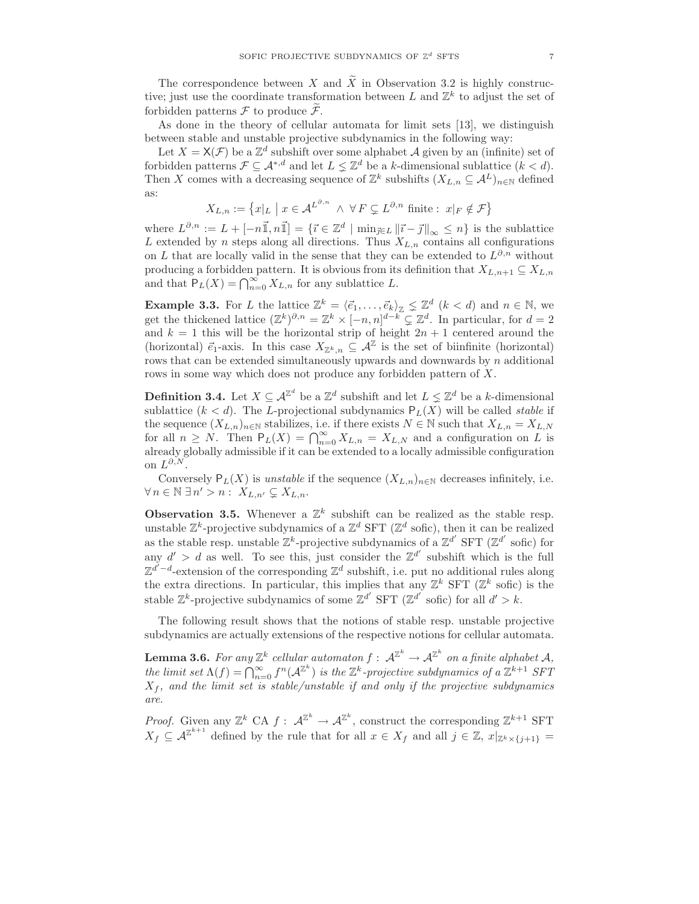The correspondence between X and  $\widetilde{X}$  in Observation 3.2 is highly constructive; just use the coordinate transformation between L and  $\mathbb{Z}^k$  to adjust the set of forbidden patterns  $\mathcal F$  to produce  $\mathcal F$ .

As done in the theory of cellular automata for limit sets [13], we distinguish between stable and unstable projective subdynamics in the following way:

Let  $X = X(\mathcal{F})$  be a  $\mathbb{Z}^d$  subshift over some alphabet A given by an (infinite) set of forbidden patterns  $\mathcal{F} \subseteq A^{*,d}$  and let  $L \leq \mathbb{Z}^d$  be a k-dimensional sublattice  $(k < d)$ . Then X comes with a decreasing sequence of  $\mathbb{Z}^k$  subshifts  $(X_{L,n} \subseteq \mathcal{A}^L)_{n \in \mathbb{N}}$  defined as:

$$
X_{L,n} := \left\{ x|_L \mid x \in \mathcal{A}^{L^{\partial,n}} \land \forall F \subsetneq L^{\partial,n} \text{ finite : } x|_F \notin \mathcal{F} \right\}
$$

where  $L^{\partial,n} := L + [-n\vec{\mathbb{1}}, n\vec{\mathbb{1}}] = \{\vec{\imath} \in \mathbb{Z}^d \mid \min_{\vec{\jmath} \in L} ||\vec{\imath} - \vec{\jmath}||_{\infty} \leq n\}$  is the sublattice L extended by n steps along all directions. Thus  $X_{L,n}$  contains all configurations on L that are locally valid in the sense that they can be extended to  $L^{\partial,n}$  without producing a forbidden pattern. It is obvious from its definition that  $X_{L,n+1} \subseteq X_{L,n}$ and that  $P_L(X) = \bigcap_{n=0}^{\infty} X_{L,n}$  for any sublattice L.

**Example 3.3.** For L the lattice  $\mathbb{Z}^k = \langle \vec{e}_1, \ldots, \vec{e}_k \rangle_{\mathbb{Z}} \leq \mathbb{Z}^d$   $(k < d)$  and  $n \in \mathbb{N}$ , we get the thickened lattice  $(\mathbb{Z}^k)^{\partial,n} = \mathbb{Z}^k \times [-n,n]^{d-k} \subsetneq \mathbb{Z}^d$ . In particular, for  $d = 2$ and  $k = 1$  this will be the horizontal strip of height  $2n + 1$  centered around the (horizontal)  $\vec{e}_1$ -axis. In this case  $X_{\mathbb{Z}^k,n} \subseteq \mathcal{A}^{\mathbb{Z}}$  is the set of biinfinite (horizontal) rows that can be extended simultaneously upwards and downwards by n additional rows in some way which does not produce any forbidden pattern of X.

**Definition 3.4.** Let  $X \subseteq \mathcal{A}^{\mathbb{Z}^d}$  be a  $\mathbb{Z}^d$  subshift and let  $L \leq \mathbb{Z}^d$  be a k-dimensional sublattice  $(k < d)$ . The L-projectional subdynamics  $P_L(X)$  will be called *stable* if the sequence  $(X_{L,n})_{n\in\mathbb{N}}$  stabilizes, i.e. if there exists  $N\in\mathbb{N}$  such that  $X_{L,n}=X_{L,N}$ for all  $n \geq N$ . Then  $P_L(X) = \bigcap_{n=0}^{\infty} X_{L,n} = X_{L,N}$  and a configuration on L is already globally admissible if it can be extended to a locally admissible configuration on  $L^{\partial, N}$ .

Conversely  $P_L(X)$  is unstable if the sequence  $(X_{L,n})_{n\in\mathbb{N}}$  decreases infinitely, i.e.  $\forall n \in \mathbb{N} \; \exists n' > n: X_{L,n'} \subsetneq X_{L,n}.$ 

**Observation 3.5.** Whenever a  $\mathbb{Z}^k$  subshift can be realized as the stable resp. unstable  $\mathbb{Z}^k$ -projective subdynamics of a  $\mathbb{Z}^d$  SFT ( $\mathbb{Z}^d$  sofic), then it can be realized as the stable resp. unstable  $\mathbb{Z}^k$ -projective subdynamics of a  $\mathbb{Z}^{d'}$  SFT  $(\mathbb{Z}^{d'}$  sofic) for any  $d' > d$  as well. To see this, just consider the  $\mathbb{Z}^{d'}$  subshift which is the full  $\mathbb{Z}^{d'-d}$ -extension of the corresponding  $\mathbb{Z}^d$  subshift, i.e. put no additional rules along the extra directions. In particular, this implies that any  $\mathbb{Z}^k$  SFT  $(\mathbb{Z}^k$  sofic) is the stable  $\mathbb{Z}^k$ -projective subdynamics of some  $\mathbb{Z}^{d'}$  SFT  $(\mathbb{Z}^{d'}$  sofic) for all  $d' > k$ .

The following result shows that the notions of stable resp. unstable projective subdynamics are actually extensions of the respective notions for cellular automata.

**Lemma 3.6.** For any  $\mathbb{Z}^k$  cellular automaton  $f: \mathcal{A}^{\mathbb{Z}^k} \to \mathcal{A}^{\mathbb{Z}^k}$  on a finite alphabet  $\mathcal{A},$ the limit set  $\Lambda(f) = \bigcap_{n=0}^{\infty} f^n(\mathcal{A}^{\mathbb{Z}^k})$  is the  $\mathbb{Z}^k$ -projective subdynamics of a  $\mathbb{Z}^{k+1}$  SFT  $X_f$ , and the limit set is stable/unstable if and only if the projective subdynamics are.

*Proof.* Given any  $\mathbb{Z}^k$  CA  $f: \mathcal{A}^{\mathbb{Z}^k} \to \mathcal{A}^{\mathbb{Z}^k}$ , construct the corresponding  $\mathbb{Z}^{k+1}$  SFT  $X_f \subseteq \mathcal{A}^{\mathbb{Z}^{k+1}}$  defined by the rule that for all  $x \in X_f$  and all  $j \in \mathbb{Z}$ ,  $x|_{\mathbb{Z}^k \times \{j+1\}} =$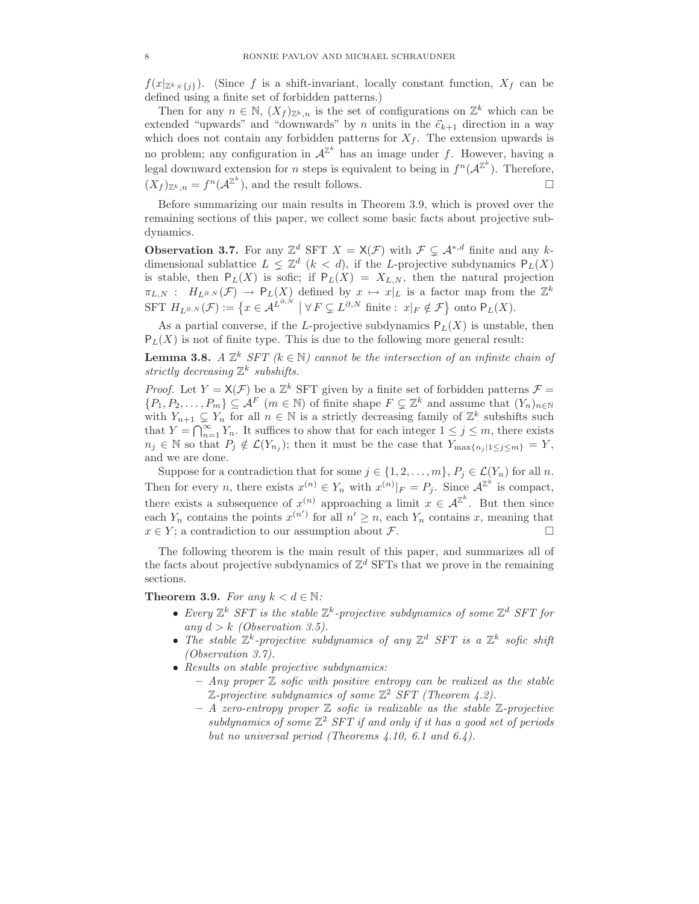$f(x|_{\mathbb{Z}^k\times\{j\}})$ . (Since f is a shift-invariant, locally constant function,  $X_f$  can be defined using a finite set of forbidden patterns.)

Then for any  $n \in \mathbb{N}$ ,  $(X_f)_{\mathbb{Z}^k,n}$  is the set of configurations on  $\mathbb{Z}^k$  which can be extended "upwards" and "downwards" by n units in the  $\vec{e}_{k+1}$  direction in a way which does not contain any forbidden patterns for  $X_f$ . The extension upwards is no problem; any configuration in  $A^{\mathbb{Z}^k}$  has an image under f. However, having a legal downward extension for *n* steps is equivalent to being in  $f^{n}(\mathcal{A}^{\mathbb{Z}^{k}})$ . Therefore,  $(X_f)_{\mathbb{Z}^k,n} = f^n(\mathcal{A}^{\mathbb{Z}^k})$ , and the result follows.

Before summarizing our main results in Theorem 3.9, which is proved over the remaining sections of this paper, we collect some basic facts about projective subdynamics.

**Observation 3.7.** For any  $\mathbb{Z}^d$  SFT  $X = \mathsf{X}(\mathcal{F})$  with  $\mathcal{F} \subsetneq \mathcal{A}^{*,d}$  finite and any kdimensional sublattice  $L \leq \mathbb{Z}^d$   $(k < d)$ , if the L-projective subdynamics  $P_L(X)$ is stable, then  $P_L(X)$  is sofic; if  $P_L(X) = X_{L,N}$ , then the natural projection  $\pi_{L,N}$ :  $H_{L^{\partial,N}}(\mathcal{F}) \to \mathsf{P}_L(X)$  defined by  $x \mapsto x|_L$  is a factor map from the  $\mathbb{Z}^k$ SFT  $H_{L^{\partial,N}}(\mathcal{F}) := \left\{ x \in \mathcal{A}^{L^{\partial,N}} \mid \forall F \subsetneq L^{\partial,N} \text{ finite : } x|_F \notin \mathcal{F} \right\} \text{ onto } \mathsf{P}_L(X).$ 

As a partial converse, if the L-projective subdynamics  $P_L(X)$  is unstable, then  $P<sub>L</sub>(X)$  is not of finite type. This is due to the following more general result:

**Lemma 3.8.** A  $\mathbb{Z}^k$  SFT ( $k \in \mathbb{N}$ ) cannot be the intersection of an infinite chain of strictly decreasing  $\mathbb{Z}^k$  subshifts.

*Proof.* Let  $Y = \mathsf{X}(\mathcal{F})$  be a  $\mathbb{Z}^k$  SFT given by a finite set of forbidden patterns  $\mathcal{F} =$  $\{P_1, P_2, \ldots, P_m\} \subseteq \mathcal{A}^F$  ( $m \in \mathbb{N}$ ) of finite shape  $F \subsetneq \mathbb{Z}^k$  and assume that  $(Y_n)_{n \in \mathbb{N}}$ with  $Y_{n+1} \subsetneq Y_n$  for all  $n \in \mathbb{N}$  is a strictly decreasing family of  $\mathbb{Z}^k$  subshifts such that  $Y = \bigcap_{n=1}^{\infty} Y_n$ . It suffices to show that for each integer  $1 \leq j \leq m$ , there exists  $n_j \in \mathbb{N}$  so that  $P_j \notin \mathcal{L}(Y_{n_j})$ ; then it must be the case that  $Y_{\max\{n_j | 1 \leq j \leq m\}} = Y$ , and we are done.

Suppose for a contradiction that for some  $j \in \{1, 2, \ldots, m\}, P_j \in \mathcal{L}(Y_n)$  for all n. Then for every *n*, there exists  $x^{(n)} \in Y_n$  with  $x^{(n)}|_F = P_j$ . Since  $\mathcal{A}^{\mathbb{Z}^k}$  is compact, there exists a subsequence of  $x^{(n)}$  approaching a limit  $x \in \mathcal{A}^{\mathbb{Z}^k}$ . But then since each  $Y_n$  contains the points  $x^{(n')}$  for all  $n' \geq n$ , each  $Y_n$  contains x, meaning that  $x \in Y$ ; a contradiction to our assumption about F.

The following theorem is the main result of this paper, and summarizes all of the facts about projective subdynamics of  $\mathbb{Z}^d$  SFTs that we prove in the remaining sections.

Theorem 3.9. For any  $k < d \in \mathbb{N}$ :

- Every  $\mathbb{Z}^k$  SFT is the stable  $\mathbb{Z}^k$ -projective subdynamics of some  $\mathbb{Z}^d$  SFT for any  $d > k$  (Observation 3.5).
- The stable  $\mathbb{Z}^k$ -projective subdynamics of any  $\mathbb{Z}^d$  SFT is a  $\mathbb{Z}^k$  sofic shift (Observation 3.7).
- Results on stable projective subdynamics:
	- $-$  Any proper  $\mathbb Z$  sofic with positive entropy can be realized as the stable  $\mathbb{Z}\text{-}projective subdynamics of some  $\mathbb{Z}^2$  SFT (Theorem 4.2).$
	- $A$  zero-entropy proper  $\mathbb Z$  sofic is realizable as the stable  $\mathbb Z$ -projective subdynamics of some  $\mathbb{Z}^2$  SFT if and only if it has a good set of periods but no universal period (Theorems 4.10, 6.1 and 6.4).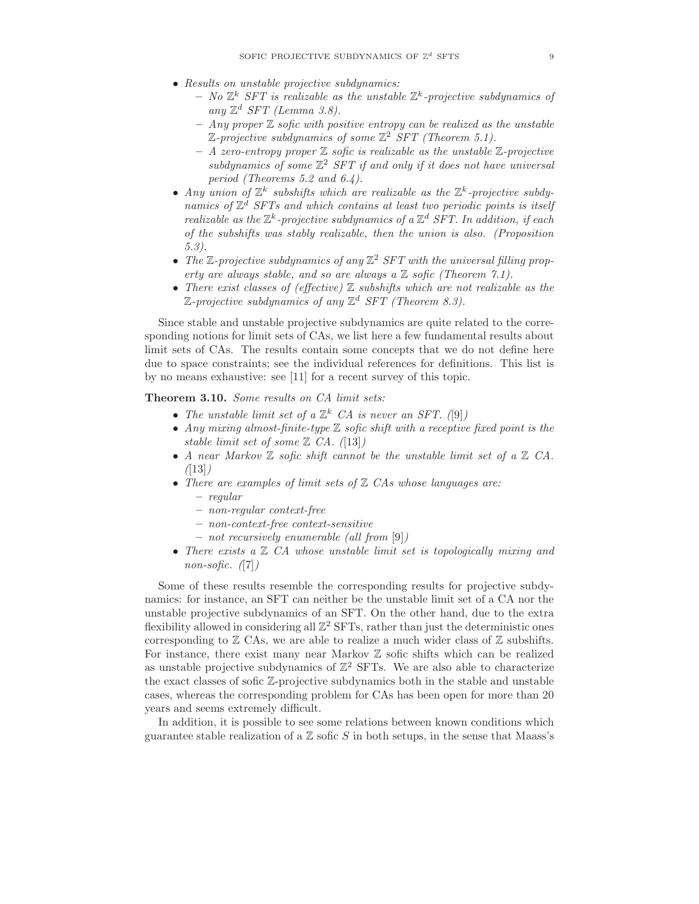- Results on unstable projective subdynamics:
	- $-$  No  $\mathbb{Z}^k$  SFT is realizable as the unstable  $\mathbb{Z}^k$ -projective subdynamics of any  $\mathbb{Z}^d$  SFT (Lemma 3.8).
	- $-$  Any proper  $\mathbb Z$  sofic with positive entropy can be realized as the unstable  $\mathbb{Z}\text{-}projective subdynamics of some  $\mathbb{Z}^2$  SFT (Theorem 5.1).$
	- $-$  A zero-entropy proper  $\mathbb Z$  sofic is realizable as the unstable  $\mathbb Z$ -projective subdynamics of some  $\mathbb{Z}^2$  SFT if and only if it does not have universal period (Theorems 5.2 and 6.4).
- Any union of  $\mathbb{Z}^k$  subshifts which are realizable as the  $\mathbb{Z}^k$ -projective subdynamics of  $\mathbb{Z}^d$  SFTs and which contains at least two periodic points is itself realizable as the  $\mathbb{Z}^k$ -projective subdynamics of a  $\mathbb{Z}^d$  SFT. In addition, if each of the subshifts was stably realizable, then the union is also. (Proposition 5.3).
- The  $\mathbb{Z}$ -projective subdynamics of any  $\mathbb{Z}^2$  SFT with the universal filling property are always stable, and so are always a  $\mathbb Z$  sofic (Theorem 7.1).
- There exist classes of (effective)  $\mathbb Z$  subshifts which are not realizable as the  $\mathbb{Z}\text{-}projective subdynamics of any  $\mathbb{Z}^d$  SFT (Theorem 8.3).$

Since stable and unstable projective subdynamics are quite related to the corresponding notions for limit sets of CAs, we list here a few fundamental results about limit sets of CAs. The results contain some concepts that we do not define here due to space constraints; see the individual references for definitions. This list is by no means exhaustive: see [11] for a recent survey of this topic.

Theorem 3.10. Some results on CA limit sets:

- The unstable limit set of a  $\mathbb{Z}^k$  CA is never an SFT. ([9])
- Any mixing almost-finite-type  $\mathbb Z$  sofic shift with a receptive fixed point is the stable limit set of some  $\mathbb{Z}$  CA. ([13])
- A near Markov  $\mathbb Z$  sofic shift cannot be the unstable limit set of a  $\mathbb Z$  CA.  $(13)$
- There are examples of limit sets of  $Z$  CAs whose languages are: – regular
	- non-regular context-free
	- non-context-free context-sensitive
	- not recursively enumerable (all from [9])
- There exists a  $\mathbb Z$  CA whose unstable limit set is topologically mixing and non-sofic.  $(7)$

Some of these results resemble the corresponding results for projective subdynamics: for instance, an SFT can neither be the unstable limit set of a CA nor the unstable projective subdynamics of an SFT. On the other hand, due to the extra flexibility allowed in considering all  $\mathbb{Z}^2$  SFTs, rather than just the deterministic ones corresponding to  $\mathbb Z$  CAs, we are able to realize a much wider class of  $\mathbb Z$  subshifts. For instance, there exist many near Markov  $Z$  sofic shifts which can be realized as unstable projective subdynamics of  $\mathbb{Z}^2$  SFTs. We are also able to characterize the exact classes of sofic Z-projective subdynamics both in the stable and unstable cases, whereas the corresponding problem for CAs has been open for more than 20 years and seems extremely difficult.

In addition, it is possible to see some relations between known conditions which guarantee stable realization of a  $\mathbb Z$  sofic  $S$  in both setups, in the sense that Maass's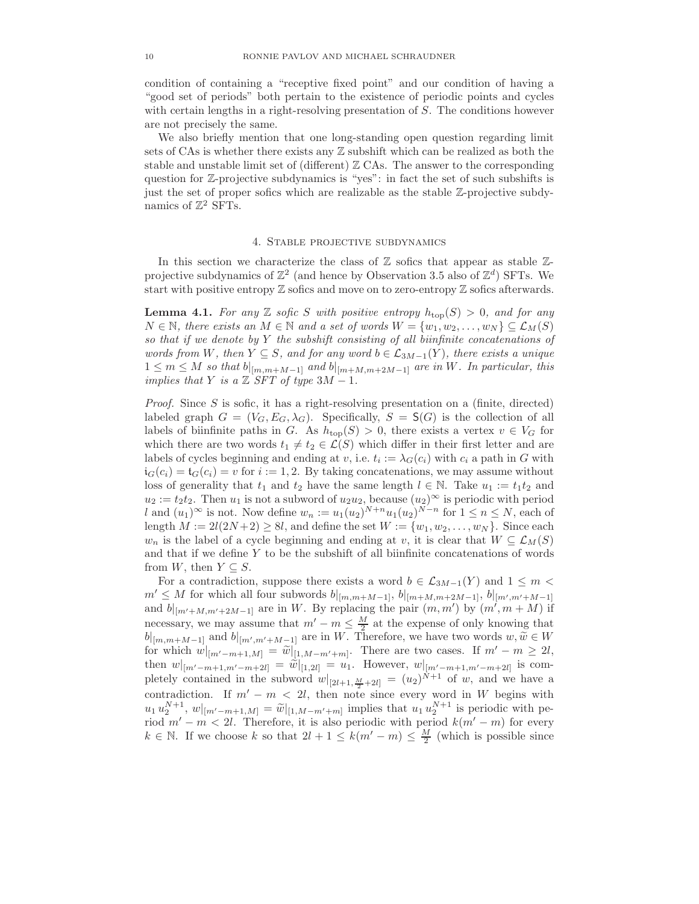condition of containing a "receptive fixed point" and our condition of having a "good set of periods" both pertain to the existence of periodic points and cycles with certain lengths in a right-resolving presentation of S. The conditions however are not precisely the same.

We also briefly mention that one long-standing open question regarding limit sets of CAs is whether there exists any Z subshift which can be realized as both the stable and unstable limit set of (different)  $\mathbb Z$  CAs. The answer to the corresponding question for Z-projective subdynamics is "yes": in fact the set of such subshifts is just the set of proper sofics which are realizable as the stable Z-projective subdynamics of  $\mathbb{Z}^2$  SFTs.

#### 4. Stable projective subdynamics

In this section we characterize the class of  $\mathbb Z$  sofics that appear as stable  $\mathbb Z$ projective subdynamics of  $\mathbb{Z}^2$  (and hence by Observation 3.5 also of  $\mathbb{Z}^d$ ) SFTs. We start with positive entropy  $\mathbb Z$  sofics and move on to zero-entropy  $\mathbb Z$  sofics afterwards.

**Lemma 4.1.** For any Z sofic S with positive entropy  $h_{top}(S) > 0$ , and for any  $N \in \mathbb{N}$ , there exists an  $M \in \mathbb{N}$  and a set of words  $W = \{w_1, w_2, \ldots, w_N\} \subseteq \mathcal{L}_M(S)$ so that if we denote by  $Y$  the subshift consisting of all biinfinite concatenations of words from W, then  $Y \subseteq S$ , and for any word  $b \in \mathcal{L}_{3M-1}(Y)$ , there exists a unique  $1 \leq m \leq M$  so that  $b|_{[m,m+M-1]}$  and  $b|_{[m+M,m+2M-1]}$  are in W. In particular, this implies that Y is a  $\mathbb{Z}$  SFT of type 3M – 1.

*Proof.* Since S is sofic, it has a right-resolving presentation on a (finite, directed) labeled graph  $G = (V_G, E_G, \lambda_G)$ . Specifically,  $S = S(G)$  is the collection of all labels of biinfinite paths in G. As  $h_{top}(S) > 0$ , there exists a vertex  $v \in V_G$  for which there are two words  $t_1 \neq t_2 \in \mathcal{L}(S)$  which differ in their first letter and are labels of cycles beginning and ending at v, i.e.  $t_i := \lambda_G(c_i)$  with  $c_i$  a path in G with  $i_G(c_i) = t_G(c_i) = v$  for  $i := 1, 2$ . By taking concatenations, we may assume without loss of generality that  $t_1$  and  $t_2$  have the same length  $l \in \mathbb{N}$ . Take  $u_1 := t_1 t_2$  and  $u_2 := t_2 t_2$ . Then  $u_1$  is not a subword of  $u_2 u_2$ , because  $(u_2)^\infty$  is periodic with period l and  $(u_1)^\infty$  is not. Now define  $w_n := u_1(u_2)^{N+n} u_1(u_2)^{N-n}$  for  $1 \le n \le N$ , each of length  $M := 2l(2N+2) \geq 8l$ , and define the set  $W := \{w_1, w_2, \ldots, w_N\}$ . Since each  $w_n$  is the label of a cycle beginning and ending at v, it is clear that  $W \subseteq \mathcal{L}_M(S)$ and that if we define  $Y$  to be the subshift of all biinfinite concatenations of words from W, then  $Y \subseteq S$ .

For a contradiction, suppose there exists a word  $b \in \mathcal{L}_{3M-1}(Y)$  and  $1 \leq m$  $m' \leq M$  for which all four subwords  $b|_{[m,m+M-1]}, b|_{[m+M,m+2M-1]}, b|_{[m',m'+M-1]}$ and  $b|_{[m'+M,m'+2M-1]}$  are in W. By replacing the pair  $(m, m')$  by  $(m', m + M)$  if necessary, we may assume that  $m'-m \leq \frac{M}{2}$  at the expense of only knowing that  $b|_{[m,m+M-1]}$  and  $b|_{[m',m'+M-1]}$  are in W. Therefore, we have two words  $w, \widetilde{w} \in W$ for which  $w|_{[m'-m+1,M]} = \widetilde{w}|_{[1,M-m'+m]}$ . There are two cases. If  $m'-m \geq 2l$ , then  $w|_{[m'-m+1,m'-m+2l]} = \tilde{w}|_{[1,2l]} = u_1$ . However,  $w|_{[m'-m+1,m'-m+2l]}$  is completely contained in the subword  $w|_{[2l+1,\frac{M}{2}+2l]} = (u_2)^{N+1}$  of w, and we have a contradiction. If  $m' - m < 2l$ , then note since every word in W begins with  $u_1 u_2^{N+1}, w|_{[m'-m+1,M]} = \widetilde{w}|_{[1,M-m'+m]}$  implies that  $u_1 u_2^{N+1}$  is periodic with period  $m'-m < 2l$ . Therefore, it is also periodic with period  $k(m'-m)$  for every  $k \in \mathbb{N}$ . If we choose k so that  $2l + 1 \leq k(m' - m) \leq \frac{M}{2}$  (which is possible since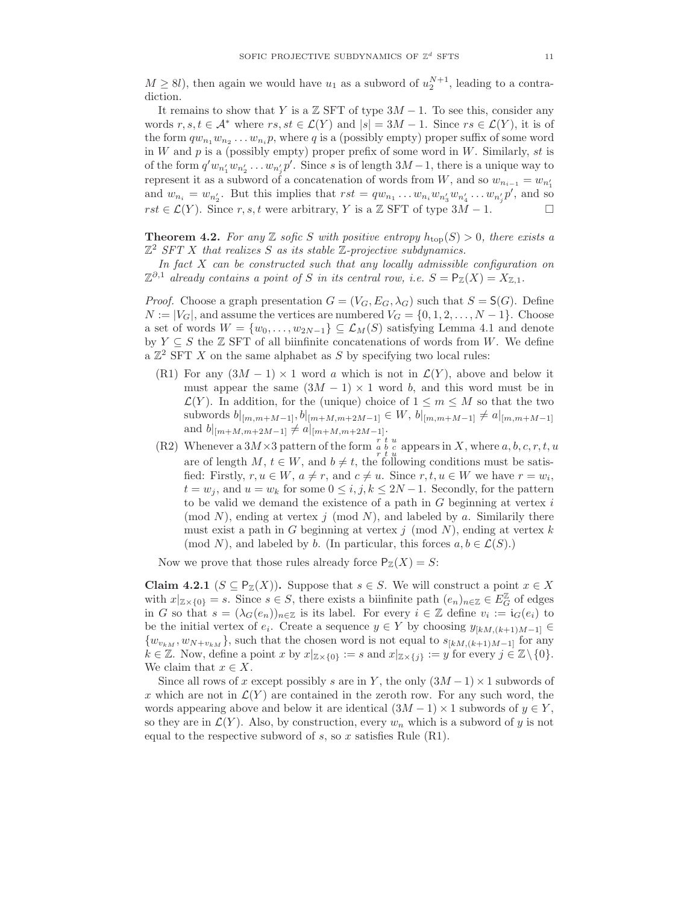$M \geq 8l$ ), then again we would have  $u_1$  as a subword of  $u_2^{N+1}$ , leading to a contradiction.

It remains to show that Y is a  $\mathbb Z$  SFT of type  $3M - 1$ . To see this, consider any words  $r, s, t \in A^*$  where  $rs, st \in \mathcal{L}(Y)$  and  $|s| = 3M - 1$ . Since  $rs \in \mathcal{L}(Y)$ , it is of the form  $qw_{n_1}w_{n_2}\ldots w_{n_i}p$ , where q is a (possibly empty) proper suffix of some word in  $W$  and  $p$  is a (possibly empty) proper prefix of some word in  $W$ . Similarly,  $st$  is of the form  $q'w_{n'_1}w_{n'_2}\ldots w_{n'_j}p'$ . Since s is of length  $3M-1$ , there is a unique way to represent it as a subword of a concatenation of words from  $W$ , and so  $w_{n_{i-1}} = w_{n'_1}$ and  $w_{n_i} = w_{n'_2}$ . But this implies that  $rst = qw_{n_1} \dots w_{n_i}w_{n'_3}w_{n'_4} \dots w_{n'_j}p'$ , and so  $rst \in \mathcal{L}(Y)$ . Since r, s, t were arbitrary, Y is a  $\mathbb{Z}$  SFT of type  $3M - 1$ .  $\Box$ 

**Theorem 4.2.** For any Z sofic S with positive entropy  $h_{\text{top}}(S) > 0$ , there exists a  $\mathbb{Z}^2$  SFT X that realizes S as its stable  $\mathbb{Z}$ -projective subdynamics.

In fact  $X$  can be constructed such that any locally admissible configuration on  $\mathbb{Z}^{\partial,1}$  already contains a point of S in its central row, i.e.  $S = \mathsf{P}_{\mathbb{Z}}(X) = X_{\mathbb{Z},1}$ .

*Proof.* Choose a graph presentation  $G = (V_G, E_G, \lambda_G)$  such that  $S = S(G)$ . Define  $N := |V_G|$ , and assume the vertices are numbered  $V_G = \{0, 1, 2, \ldots, N - 1\}$ . Choose a set of words  $W = \{w_0, \ldots, w_{2N-1}\} \subseteq \mathcal{L}_M(S)$  satisfying Lemma 4.1 and denote by  $Y \subseteq S$  the  $\mathbb{Z}$  SFT of all biinfinite concatenations of words from W. We define a  $\mathbb{Z}^2$  SFT X on the same alphabet as S by specifying two local rules:

- (R1) For any  $(3M 1) \times 1$  word a which is not in  $\mathcal{L}(Y)$ , above and below it must appear the same  $(3M - 1) \times 1$  word b, and this word must be in  $\mathcal{L}(Y)$ . In addition, for the (unique) choice of  $1 \leq m \leq M$  so that the two subwords  $b|_{[m,m+M-1]}, b|_{[m+M,m+2M-1]} ∈ W, b|_{[m,m+M-1]} \neq a|_{[m,m+M-1]}$ and  $b|_{[m+M,m+2M-1]} \neq a|_{[m+M,m+2M-1]}.$
- (R2) Whenever a  $3M \times 3$  pattern of the form  $\int_{r}^{r} \frac{t}{u} u$  appears in X, where  $a, b, c, r, t, u$ are of length  $M, t \in W$ , and  $b \neq t$ , the following conditions must be satisfied: Firstly,  $r, u \in W$ ,  $a \neq r$ , and  $c \neq u$ . Since  $r, t, u \in W$  we have  $r = w_i$ ,  $t = w_j$ , and  $u = w_k$  for some  $0 \le i, j, k \le 2N - 1$ . Secondly, for the pattern to be valid we demand the existence of a path in  $G$  beginning at vertex  $i$ (mod N), ending at vertex j (mod N), and labeled by a. Similarily there must exist a path in G beginning at vertex  $j \pmod{N}$ , ending at vertex k (mod N), and labeled by b. (In particular, this forces  $a, b \in \mathcal{L}(S)$ .)

Now we prove that those rules already force  $P_{\mathbb{Z}}(X) = S$ :

Claim 4.2.1 ( $S \subseteq \mathsf{P}_{\mathbb{Z}}(X)$ ). Suppose that  $s \in S$ . We will construct a point  $x \in X$ with  $x|_{\mathbb{Z}\times\{0\}}=s$ . Since  $s\in S$ , there exists a biinfinite path  $(e_n)_{n\in\mathbb{Z}}\in E_G^{\mathbb{Z}}$  of edges in G so that  $s = (\lambda_G(e_n))_{n \in \mathbb{Z}}$  is its label. For every  $i \in \mathbb{Z}$  define  $v_i := i_G(e_i)$  to be the initial vertex of  $e_i$ . Create a sequence  $y \in Y$  by choosing  $y_{[kM,(k+1)M-1]} \in$  $\{w_{v_{kM}}, w_{N+v_{kM}}\}$ , such that the chosen word is not equal to  $s_{[kM,(k+1)M-1]}$  for any  $k \in \mathbb{Z}$ . Now, define a point x by  $x|_{\mathbb{Z} \times \{0\}} := s$  and  $x|_{\mathbb{Z} \times \{j\}} := y$  for every  $j \in \mathbb{Z} \setminus \{0\}$ . We claim that  $x \in X$ .

Since all rows of x except possibly s are in Y, the only  $(3M-1)\times 1$  subwords of x which are not in  $\mathcal{L}(Y)$  are contained in the zeroth row. For any such word, the words appearing above and below it are identical  $(3M-1) \times 1$  subwords of  $y \in Y$ , so they are in  $\mathcal{L}(Y)$ . Also, by construction, every  $w_n$  which is a subword of y is not equal to the respective subword of s, so x satisfies Rule  $(R1)$ .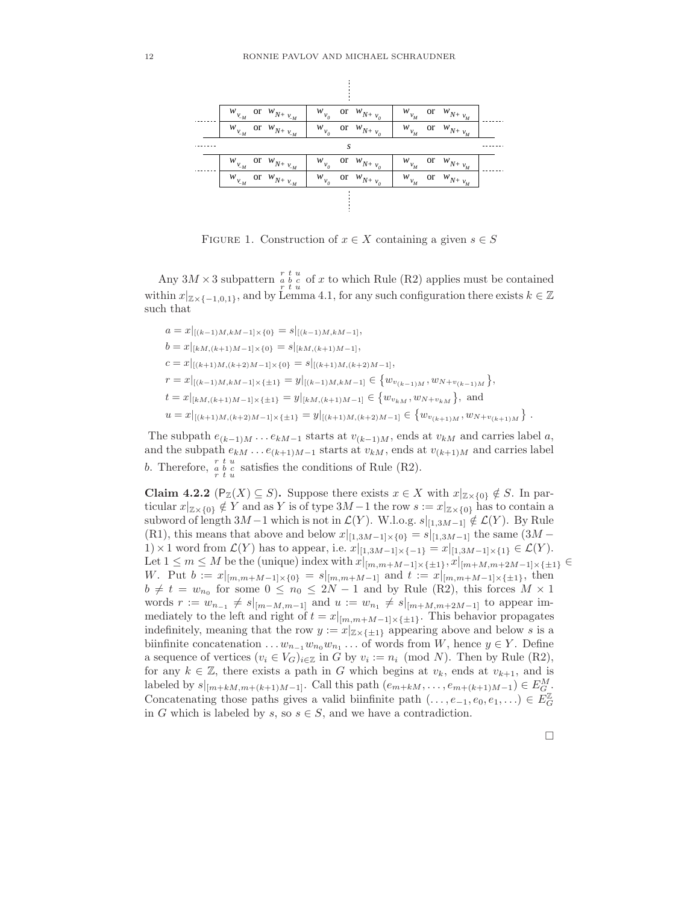

FIGURE 1. Construction of  $x \in X$  containing a given  $s \in S$ 

Any  $3M \times 3$  subpattern  $\begin{array}{cc} r & t & u \\ r & t & u \end{array}$  of x to which Rule (R2) applies must be contained within  $x|_{\mathbb{Z}\times\{-1,0,1\}}$ , and by Lemma 4.1, for any such configuration there exists  $k \in \mathbb{Z}$ such that

$$
a = x|_{[(k-1)M, kM-1] \times \{0\}} = s|_{[(k-1)M, kM-1]},
$$
  
\n
$$
b = x|_{[kM, (k+1)M-1] \times \{0\}} = s|_{[kM, (k+1)M-1]},
$$
  
\n
$$
c = x|_{[(k+1)M, (k+2)M-1] \times \{0\}} = s|_{[(k+1)M, (k+2)M-1]},
$$
  
\n
$$
r = x|_{[(k-1)M, kM-1] \times \{\pm 1\}} = y|_{[(k-1)M, kM-1]} \in \{w_{v_{(k-1)M}}, w_{N+v_{(k-1)M}}\},
$$
  
\n
$$
t = x|_{[kM, (k+1)M-1] \times \{\pm 1\}} = y|_{[kM, (k+1)M-1]} \in \{w_{v_{kM}}, w_{N+v_{kM}}\},
$$
and  
\n
$$
u = x|_{[(k+1)M, (k+2)M-1] \times \{\pm 1\}} = y|_{[(k+1)M, (k+2)M-1]} \in \{w_{v_{(k+1)M}}, w_{N+v_{(k+1)M}}\}
$$

The subpath  $e_{(k-1)M} \dots e_{kM-1}$  starts at  $v_{(k-1)M}$ , ends at  $v_{kM}$  and carries label a, and the subpath  $e_{kM} \dots e_{(k+1)M-1}$  starts at  $v_{kM}$ , ends at  $v_{(k+1)M}$  and carries label b. Therefore,  $\begin{matrix} r & t & u \\ r & t & u \end{matrix}$  satisfies the conditions of Rule (R2).

Claim 4.2.2 ( $P_{\mathbb{Z}}(X) \subseteq S$ ). Suppose there exists  $x \in X$  with  $x|_{\mathbb{Z} \times \{0\}} \notin S$ . In particular  $x|_{\mathbb{Z}\times\{0\}} \notin Y$  and as Y is of type  $3M-1$  the row  $s := x|_{\mathbb{Z}\times\{0\}}$  has to contain a subword of length 3M −1 which is not in  $\mathcal{L}(Y)$ . W.l.o.g.  $s|_{[1,3M-1]} \notin \mathcal{L}(Y)$ . By Rule (R1), this means that above and below  $x|_{[1,3M-1] \times \{0\}} = s|_{[1,3M-1]}$  the same  $(3M -$ 1) × 1 word from  $\mathcal{L}(Y)$  has to appear, i.e.  $x|_{[1,3M-1] \times \{-1\}} = x|_{[1,3M-1] \times \{1\}} \in \mathcal{L}(Y)$ . Let  $1 \leq m \leq M$  be the (unique) index with  $x|_{[m,m+M-1] \times \{\pm 1\}}, x|_{[m+M,m+2M-1] \times \{\pm 1\}} \in$ W. Put  $b := x|_{[m,m+M-1] \times \{0\}} = s|_{[m,m+M-1]}$  and  $t := x|_{[m,m+M-1] \times \{\pm 1\}}$ , then  $b \neq t = w_{n_0}$  for some  $0 \leq n_0 \leq 2N-1$  and by Rule (R2), this forces  $M \times 1$ words  $r := w_{n-1} \neq s|_{[m-M,m-1]}$  and  $u := w_{n_1} \neq s|_{[m+M,m+2M-1]}$  to appear immediately to the left and right of  $t = x|_{[m,m+M-1] \times {\{\pm 1\}}}$ . This behavior propagates indefinitely, meaning that the row  $y := x|_{\mathbb{Z} \times {\{\pm 1\}}}$  appearing above and below s is a biinfinite concatenation  $\dots w_{n-1}w_{n_0}w_{n_1}\dots$  of words from W, hence  $y \in Y$ . Define a sequence of vertices  $(v_i \in V_G)_{i \in \mathbb{Z}}$  in G by  $v_i := n_i \pmod{N}$ . Then by Rule (R2), for any  $k \in \mathbb{Z}$ , there exists a path in G which begins at  $v_k$ , ends at  $v_{k+1}$ , and is labeled by  $s|_{[m+kM,m+(k+1)M-1]}$ . Call this path  $(e_{m+kM},...,e_{m+(k+1)M-1}) \in E_G^M$ . Concatenating those paths gives a valid biinfinite path  $(\ldots, e_{-1}, e_0, e_1, \ldots) \in E_G^{\mathbb{Z}}$ in G which is labeled by s, so  $s \in S$ , and we have a contradiction.

.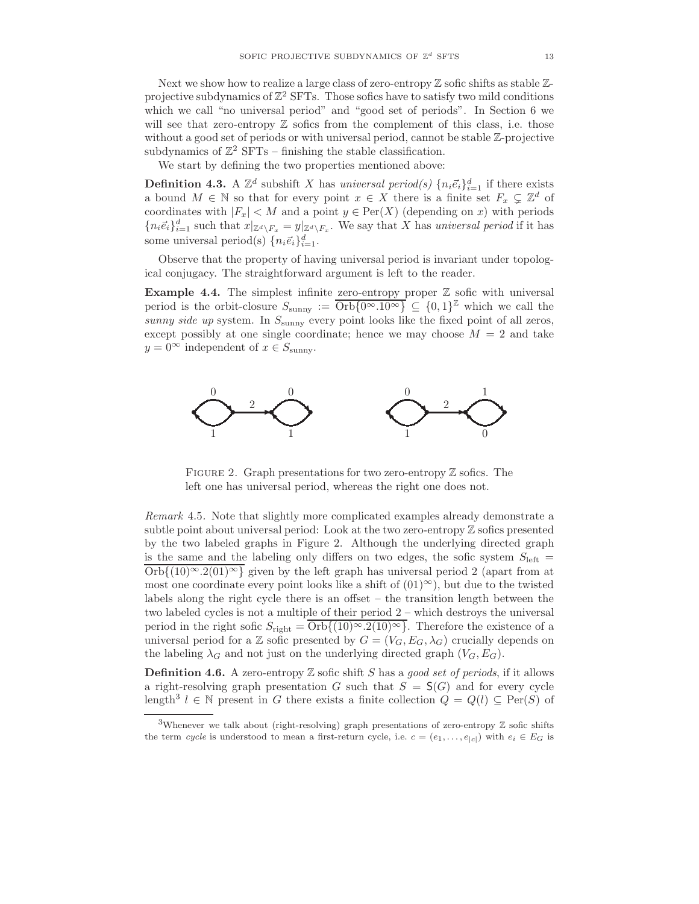Next we show how to realize a large class of zero-entropy  $\mathbb Z$  sofic shifts as stable  $\mathbb Z$ projective subdynamics of  $\mathbb{Z}^2$  SFTs. Those sofics have to satisfy two mild conditions which we call "no universal period" and "good set of periods". In Section 6 we will see that zero-entropy  $\mathbb Z$  sofics from the complement of this class, i.e. those without a good set of periods or with universal period, cannot be stable Z-projective subdynamics of  $\mathbb{Z}^2$  SFTs – finishing the stable classification.

We start by defining the two properties mentioned above:

**Definition 4.3.** A  $\mathbb{Z}^d$  subshift X has universal period(s)  $\{n_i \vec{e}_i\}_{i=1}^d$  if there exists a bound  $M \in \mathbb{N}$  so that for every point  $x \in X$  there is a finite set  $F_x \subsetneq \mathbb{Z}^d$  of coordinates with  $|F_x| < M$  and a point  $y \in Per(X)$  (depending on x) with periods  ${n_i\vec{e}_i}_{i=1}^d$  such that  $x|_{\mathbb{Z}^d\setminus F_x} = y|_{\mathbb{Z}^d\setminus F_x}$ . We say that X has universal period if it has some universal period(s)  $\{n_i \vec{e}_i\}_{i=1}^d$ .

Observe that the property of having universal period is invariant under topological conjugacy. The straightforward argument is left to the reader.

**Example 4.4.** The simplest infinite zero-entropy proper  $\mathbb{Z}$  sofic with universal period is the orbit-closure  $S_{\text{sumny}} := \text{Orb}\{0^{\infty}.10^{\infty}\}\subseteq \{0,1\}^{\mathbb{Z}}$  which we call the sunny side up system. In  $S_{\text{sumny}}$  every point looks like the fixed point of all zeros, except possibly at one single coordinate; hence we may choose  $M = 2$  and take  $y = 0^{\infty}$  independent of  $x \in S_{\text{sumnv}}$ .



FIGURE 2. Graph presentations for two zero-entropy  $\mathbb Z$  sofics. The left one has universal period, whereas the right one does not.

Remark 4.5. Note that slightly more complicated examples already demonstrate a subtle point about universal period: Look at the two zero-entropy  $\mathbb Z$  sofics presented by the two labeled graphs in Figure 2. Although the underlying directed graph is the same and the labeling only differs on two edges, the sofic system  $S_{\text{left}} =$  $\overline{Orb{(10)^\infty.2(01)^\infty}}$  given by the left graph has universal period 2 (apart from at most one coordinate every point looks like a shift of  $(01)^\infty$ ), but due to the twisted labels along the right cycle there is an offset – the transition length between the two labeled cycles is not a multiple of their period 2 – which destroys the universal period in the right sofic  $S_{\text{right}} = \overline{\text{Orb}\{(10)^\infty \cdot 2(10)^\infty\}}$ . Therefore the existence of a universal period for a Z sofic presented by  $G = (V_G, E_G, \lambda_G)$  crucially depends on the labeling  $\lambda_G$  and not just on the underlying directed graph  $(V_G, E_G)$ .

**Definition 4.6.** A zero-entropy  $\mathbb Z$  sofic shift S has a good set of periods, if it allows a right-resolving graph presentation G such that  $S = S(G)$  and for every cycle length<sup>3</sup>  $l \in \mathbb{N}$  present in G there exists a finite collection  $Q = Q(l) \subseteq \text{Per}(S)$  of

<sup>&</sup>lt;sup>3</sup>Whenever we talk about (right-resolving) graph presentations of zero-entropy  $\mathbb Z$  sofic shifts the term cycle is understood to mean a first-return cycle, i.e.  $c = (e_1, \ldots, e_{|c|})$  with  $e_i \in E_G$  is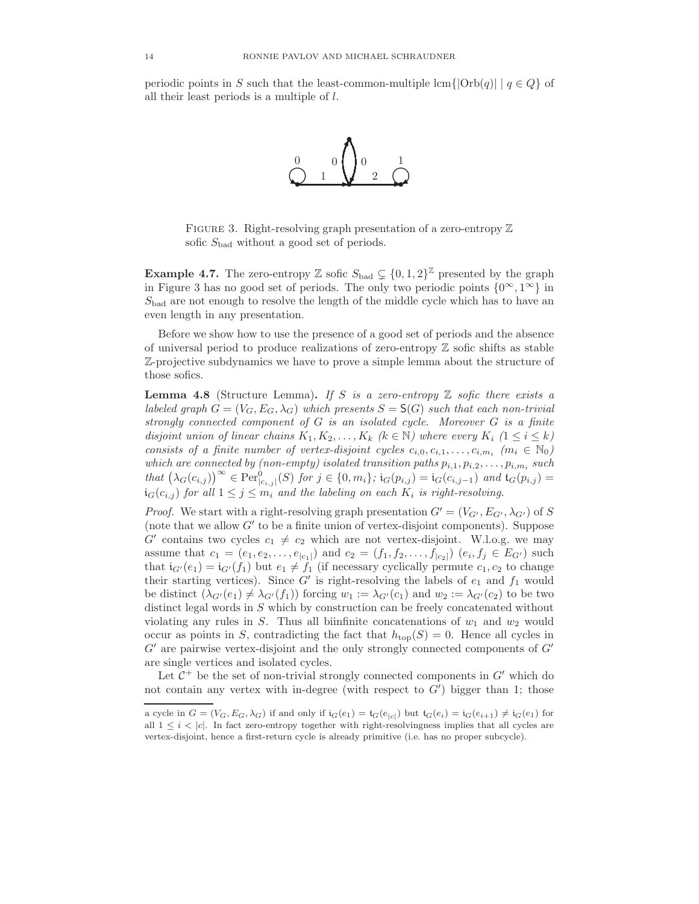periodic points in S such that the least-common-multiple lcm{ $|Orb(q)|$  |  $q \in Q$ } of all their least periods is a multiple of l.



FIGURE 3. Right-resolving graph presentation of a zero-entropy  $\mathbb Z$ sofic  $S_{bad}$  without a good set of periods.

**Example 4.7.** The zero-entropy Z sofic  $S_{bad} \subsetneq \{0, 1, 2\}^{\mathbb{Z}}$  presented by the graph in Figure 3 has no good set of periods. The only two periodic points  $\{0^\infty, 1^\infty\}$  in  $S_{bad}$  are not enough to resolve the length of the middle cycle which has to have an even length in any presentation.

Before we show how to use the presence of a good set of periods and the absence of universal period to produce realizations of zero-entropy  $\mathbb Z$  sofic shifts as stable Z-projective subdynamics we have to prove a simple lemma about the structure of those sofics.

**Lemma 4.8** (Structure Lemma). If S is a zero-entropy  $\mathbb Z$  sofic there exists a labeled graph  $G = (V_G, E_G, \lambda_G)$  which presents  $S = S(G)$  such that each non-trivial strongly connected component of G is an isolated cycle. Moreover G is a finite disjoint union of linear chains  $K_1, K_2, \ldots, K_k$  ( $k \in \mathbb{N}$ ) where every  $K_i$  ( $1 \leq i \leq k$ ) consists of a finite number of vertex-disjoint cycles  $c_{i,0}, c_{i,1}, \ldots, c_{i,m_i}$   $(m_i \in \mathbb{N}_0)$ which are connected by (non-empty) isolated transition paths  $p_{i,1}, p_{i,2}, \ldots, p_{i,m_i}$  such  $that\ (\lambda_G(c_{i,j}))^{\infty} \in \text{Per}_{[c_{i,j}]}^{\{0\}}(S)\ \text{for}\ j\in\{0,m_i\}\ ;\ \mathfrak{i}_G(p_{i,j})=\mathfrak{i}_G(c_{i,j-1})\ \text{and}\ \mathfrak{i}_G(p_{i,j})=$  $i_G(c_{i,j})$  for all  $1 \leq j \leq m_i$  and the labeling on each  $K_i$  is right-resolving.

*Proof.* We start with a right-resolving graph presentation  $G' = (V_{G'}, E_{G'}, \lambda_{G'})$  of S (note that we allow  $G'$  to be a finite union of vertex-disjoint components). Suppose  $G'$  contains two cycles  $c_1 \neq c_2$  which are not vertex-disjoint. W.l.o.g. we may assume that  $c_1 = (e_1, e_2, \ldots, e_{|c_1|})$  and  $c_2 = (f_1, f_2, \ldots, f_{|c_2|})$   $(e_i, f_j \in E_{G'})$  such that  $i_{G'}(e_1) = i_{G'}(f_1)$  but  $e_1 \neq f_1$  (if necessary cyclically permute  $c_1, c_2$  to change their starting vertices). Since  $G'$  is right-resolving the labels of  $e_1$  and  $f_1$  would be distinct  $(\lambda_{G'}(e_1) \neq \lambda_{G'}(f_1))$  forcing  $w_1 := \lambda_{G'}(c_1)$  and  $w_2 := \lambda_{G'}(c_2)$  to be two distinct legal words in S which by construction can be freely concatenated without violating any rules in S. Thus all biinfinite concatenations of  $w_1$  and  $w_2$  would occur as points in S, contradicting the fact that  $h_{\text{top}}(S) = 0$ . Hence all cycles in  $G'$  are pairwise vertex-disjoint and the only strongly connected components of  $G'$ are single vertices and isolated cycles.

Let  $C^+$  be the set of non-trivial strongly connected components in  $G'$  which do not contain any vertex with in-degree (with respect to  $G'$ ) bigger than 1; those

a cycle in  $G = (V_G, E_G, \lambda_G)$  if and only if  $i_G(e_1) = t_G(e_{|c|})$  but  $t_G(e_i) = i_G(e_{i+1}) \neq i_G(e_1)$  for all  $1 \leq i < |c|$ . In fact zero-entropy together with right-resolvingness implies that all cycles are vertex-disjoint, hence a first-return cycle is already primitive (i.e. has no proper subcycle).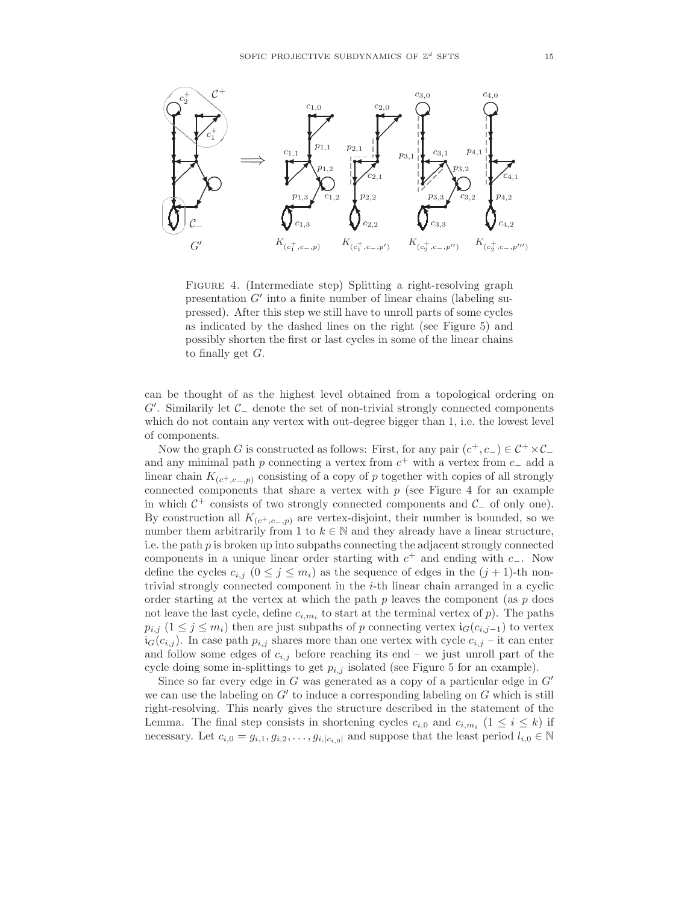

FIGURE 4. (Intermediate step) Splitting a right-resolving graph presentation  $G'$  into a finite number of linear chains (labeling supressed). After this step we still have to unroll parts of some cycles as indicated by the dashed lines on the right (see Figure 5) and possibly shorten the first or last cycles in some of the linear chains to finally get  $G$ .

can be thought of as the highest level obtained from a topological ordering on  $G'$ . Similarily let  $C_$  denote the set of non-trivial strongly connected components which do not contain any vertex with out-degree bigger than 1, i.e. the lowest level of components.

Now the graph G is constructed as follows: First, for any pair  $(c^+, c_-) \in C^+ \times C^$ and any minimal path p connecting a vertex from  $c^+$  with a vertex from  $c^-$  add a linear chain  $K_{(c^+,c^-,p)}$  consisting of a copy of p together with copies of all strongly connected components that share a vertex with  $p$  (see Figure 4 for an example in which  $C^+$  consists of two strongly connected components and  $C_$  of only one). By construction all  $K_{(c^+,c^-,p)}$  are vertex-disjoint, their number is bounded, so we number them arbitrarily from 1 to  $k \in \mathbb{N}$  and they already have a linear structure, i.e. the path p is broken up into subpaths connecting the adjacent strongly connected components in a unique linear order starting with  $c^+$  and ending with  $c_-\$ . Now define the cycles  $c_{i,j}$   $(0 \leq j \leq m_i)$  as the sequence of edges in the  $(j + 1)$ -th nontrivial strongly connected component in the i-th linear chain arranged in a cyclic order starting at the vertex at which the path  $p$  leaves the component (as  $p$  does not leave the last cycle, define  $c_{i,m_i}$  to start at the terminal vertex of p). The paths  $p_{i,j}$  (1 ≤ j ≤ m<sub>i</sub>) then are just subpaths of p connecting vertex  $i_G(c_{i,j-1})$  to vertex  $i_G(c_{i,j})$ . In case path  $p_{i,j}$  shares more than one vertex with cycle  $c_{i,j}$  – it can enter and follow some edges of  $c_{i,j}$  before reaching its end – we just unroll part of the cycle doing some in-splittings to get  $p_{i,j}$  isolated (see Figure 5 for an example).

Since so far every edge in  $G$  was generated as a copy of a particular edge in  $G'$ we can use the labeling on  $G'$  to induce a corresponding labeling on  $G$  which is still right-resolving. This nearly gives the structure described in the statement of the Lemma. The final step consists in shortening cycles  $c_{i,0}$  and  $c_{i,m_i}$   $(1 \leq i \leq k)$  if necessary. Let  $c_{i,0} = g_{i,1}, g_{i,2}, \ldots, g_{i,|c_{i,0}|}$  and suppose that the least period  $l_{i,0} \in \mathbb{N}$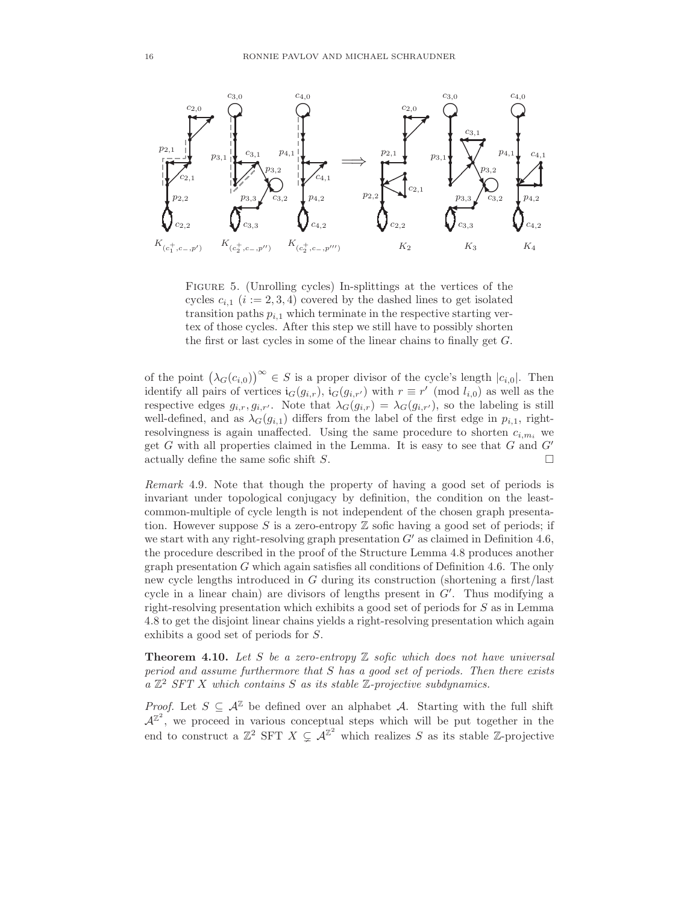

Figure 5. (Unrolling cycles) In-splittings at the vertices of the cycles  $c_{i,1}$  ( $i := 2,3,4$ ) covered by the dashed lines to get isolated transition paths  $p_{i,1}$  which terminate in the respective starting vertex of those cycles. After this step we still have to possibly shorten the first or last cycles in some of the linear chains to finally get  $G$ .

of the point  $(\lambda_G(c_{i,0}))^{\infty} \in S$  is a proper divisor of the cycle's length  $|c_{i,0}|$ . Then identify all pairs of vertices  $i_G(g_{i,r})$ ,  $i_G(g_{i,r'})$  with  $r \equiv r' \pmod{l_{i,0}}$  as well as the respective edges  $g_{i,r}, g_{i,r'}$ . Note that  $\lambda_G(g_{i,r}) = \lambda_G(g_{i,r'})$ , so the labeling is still well-defined, and as  $\lambda_G(g_{i,1})$  differs from the label of the first edge in  $p_{i,1}$ , rightresolvingness is again unaffected. Using the same procedure to shorten  $c_{i,m_i}$  we get  $G$  with all properties claimed in the Lemma. It is easy to see that  $G$  and  $G'$ actually define the same sofic shift S.  $\Box$ 

Remark 4.9. Note that though the property of having a good set of periods is invariant under topological conjugacy by definition, the condition on the leastcommon-multiple of cycle length is not independent of the chosen graph presentation. However suppose S is a zero-entropy  $\mathbb Z$  sofic having a good set of periods; if we start with any right-resolving graph presentation  $G'$  as claimed in Definition 4.6, the procedure described in the proof of the Structure Lemma 4.8 produces another graph presentation  $G$  which again satisfies all conditions of Definition 4.6. The only new cycle lengths introduced in G during its construction (shortening a first/last cycle in a linear chain) are divisors of lengths present in  $G'$ . Thus modifying a right-resolving presentation which exhibits a good set of periods for S as in Lemma 4.8 to get the disjoint linear chains yields a right-resolving presentation which again exhibits a good set of periods for S.

**Theorem 4.10.** Let S be a zero-entropy  $\mathbb Z$  sofic which does not have universal period and assume furthermore that S has a good set of periods. Then there exists  $a \mathbb{Z}^2$  SFT X which contains S as its stable  $\mathbb{Z}$ -projective subdynamics.

*Proof.* Let  $S \subseteq \mathcal{A}^{\mathbb{Z}}$  be defined over an alphabet A. Starting with the full shift  $\mathcal{A}^{\mathbb{Z}^2}$ , we proceed in various conceptual steps which will be put together in the end to construct a  $\mathbb{Z}^2$  SFT  $X \subsetneq \mathcal{A}^{\mathbb{Z}^2}$  which realizes S as its stable  $\mathbb{Z}$ -projective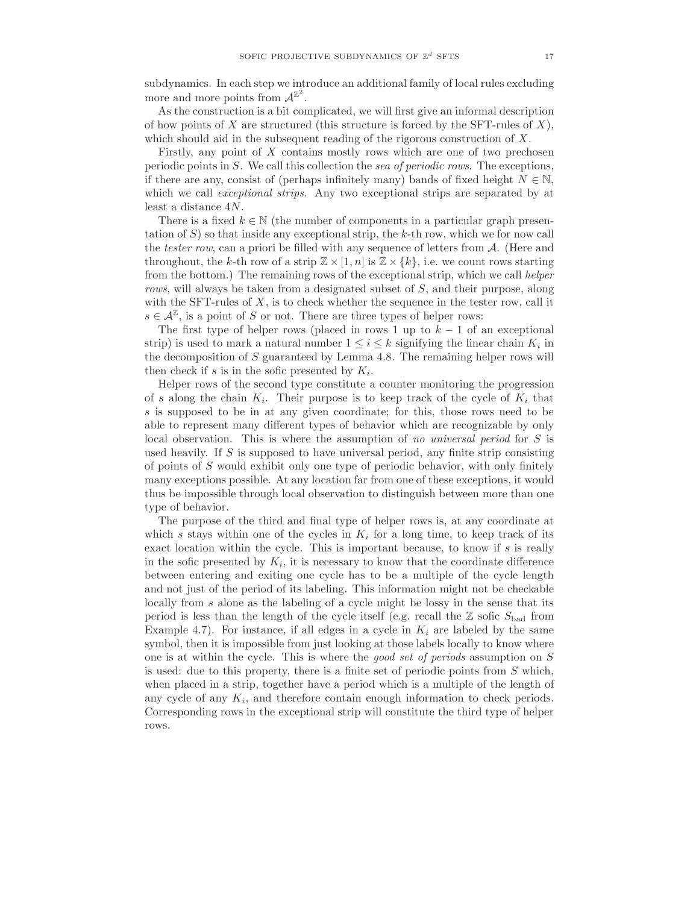subdynamics. In each step we introduce an additional family of local rules excluding more and more points from  $\mathcal{A}^{\mathbb{Z}^2}$ .

As the construction is a bit complicated, we will first give an informal description of how points of  $X$  are structured (this structure is forced by the SFT-rules of  $X$ ), which should aid in the subsequent reading of the rigorous construction of X.

Firstly, any point of  $X$  contains mostly rows which are one of two prechosen periodic points in S. We call this collection the sea of periodic rows. The exceptions, if there are any, consist of (perhaps infinitely many) bands of fixed height  $N \in \mathbb{N}$ , which we call *exceptional strips*. Any two exceptional strips are separated by at least a distance 4N.

There is a fixed  $k \in \mathbb{N}$  (the number of components in a particular graph presentation of  $S$ ) so that inside any exceptional strip, the k-th row, which we for now call the tester row, can a priori be filled with any sequence of letters from A. (Here and throughout, the k-th row of a strip  $\mathbb{Z} \times [1,n]$  is  $\mathbb{Z} \times \{k\}$ , i.e. we count rows starting from the bottom.) The remaining rows of the exceptional strip, which we call helper rows, will always be taken from a designated subset of S, and their purpose, along with the SFT-rules of  $X$ , is to check whether the sequence in the tester row, call it  $s \in \mathcal{A}^{\mathbb{Z}}$ , is a point of S or not. There are three types of helper rows:

The first type of helper rows (placed in rows 1 up to  $k-1$  of an exceptional strip) is used to mark a natural number  $1 \leq i \leq k$  signifying the linear chain  $K_i$  in the decomposition of  $S$  guaranteed by Lemma 4.8. The remaining helper rows will then check if s is in the sofic presented by  $K_i$ .

Helper rows of the second type constitute a counter monitoring the progression of s along the chain  $K_i$ . Their purpose is to keep track of the cycle of  $K_i$  that s is supposed to be in at any given coordinate; for this, those rows need to be able to represent many different types of behavior which are recognizable by only local observation. This is where the assumption of no universal period for S is used heavily. If S is supposed to have universal period, any finite strip consisting of points of S would exhibit only one type of periodic behavior, with only finitely many exceptions possible. At any location far from one of these exceptions, it would thus be impossible through local observation to distinguish between more than one type of behavior.

The purpose of the third and final type of helper rows is, at any coordinate at which s stays within one of the cycles in  $K_i$  for a long time, to keep track of its exact location within the cycle. This is important because, to know if s is really in the sofic presented by  $K_i$ , it is necessary to know that the coordinate difference between entering and exiting one cycle has to be a multiple of the cycle length and not just of the period of its labeling. This information might not be checkable locally from s alone as the labeling of a cycle might be lossy in the sense that its period is less than the length of the cycle itself (e.g. recall the  $\mathbb{Z}$  sofic  $S_{bad}$  from Example 4.7). For instance, if all edges in a cycle in  $K_i$  are labeled by the same symbol, then it is impossible from just looking at those labels locally to know where one is at within the cycle. This is where the good set of periods assumption on S is used: due to this property, there is a finite set of periodic points from S which, when placed in a strip, together have a period which is a multiple of the length of any cycle of any  $K_i$ , and therefore contain enough information to check periods. Corresponding rows in the exceptional strip will constitute the third type of helper rows.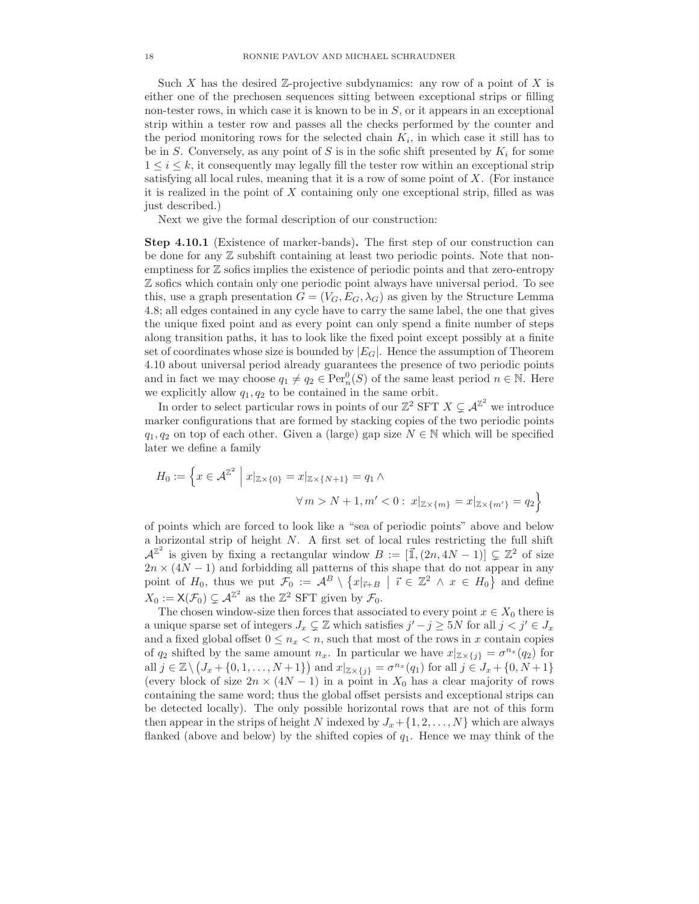Such X has the desired  $\mathbb{Z}$ -projective subdynamics: any row of a point of X is either one of the prechosen sequences sitting between exceptional strips or filling non-tester rows, in which case it is known to be in  $S$ , or it appears in an exceptional strip within a tester row and passes all the checks performed by the counter and the period monitoring rows for the selected chain  $K_i$ , in which case it still has to be in S. Conversely, as any point of S is in the sofic shift presented by  $K_i$  for some  $1 \leq i \leq k$ , it consequently may legally fill the tester row within an exceptional strip satisfying all local rules, meaning that it is a row of some point of X. (For instance it is realized in the point of  $X$  containing only one exceptional strip, filled as was just described.)

Next we give the formal description of our construction:

Step 4.10.1 (Existence of marker-bands). The first step of our construction can be done for any  $\mathbb Z$  subshift containing at least two periodic points. Note that nonemptiness for Z sofics implies the existence of periodic points and that zero-entropy Z sofics which contain only one periodic point always have universal period. To see this, use a graph presentation  $G = (V_G, E_G, \lambda_G)$  as given by the Structure Lemma 4.8; all edges contained in any cycle have to carry the same label, the one that gives the unique fixed point and as every point can only spend a finite number of steps along transition paths, it has to look like the fixed point except possibly at a finite set of coordinates whose size is bounded by  $|E_G|$ . Hence the assumption of Theorem 4.10 about universal period already guarantees the presence of two periodic points and in fact we may choose  $q_1 \neq q_2 \in \text{Per}_n^0(S)$  of the same least period  $n \in \mathbb{N}$ . Here we explicitly allow  $q_1, q_2$  to be contained in the same orbit.

In order to select particular rows in points of our  $\mathbb{Z}^2$  SFT  $X \subsetneq \mathcal{A}^{\mathbb{Z}^2}$  we introduce marker configurations that are formed by stacking copies of the two periodic points  $q_1, q_2$  on top of each other. Given a (large) gap size  $N \in \mathbb{N}$  which will be specified later we define a family

$$
H_0 := \left\{ x \in \mathcal{A}^{\mathbb{Z}^2} \middle| x|_{\mathbb{Z} \times \{0\}} = x|_{\mathbb{Z} \times \{N+1\}} = q_1 \land \right\}
$$
  

$$
\forall m > N+1, m' < 0: x|_{\mathbb{Z} \times \{m\}} = x|_{\mathbb{Z} \times \{m'\}} = q_2 \right\}
$$

of points which are forced to look like a "sea of periodic points" above and below a horizontal strip of height N. A first set of local rules restricting the full shift  $\mathcal{A}^{\mathbb{Z}^2}$  is given by fixing a rectangular window  $B := [\vec{\mathbb{I}}, (2n, 4N - 1)] \subsetneq \mathbb{Z}^2$  of size  $2n \times (4N-1)$  and forbidding all patterns of this shape that do not appear in any point of  $H_0$ , thus we put  $\mathcal{F}_0 := \mathcal{A}^B \setminus \{x|_{\vec{\imath}+B} \mid \vec{\imath} \in \mathbb{Z}^2 \land x \in H_0\}$  and define  $X_0 := \mathsf{X}(\mathcal{F}_0) \subsetneq \mathcal{A}^{\mathbb{Z}^2}$  as the  $\mathbb{Z}^2$  SFT given by  $\mathcal{F}_0$ .

The chosen window-size then forces that associated to every point  $x \in X_0$  there is a unique sparse set of integers  $J_x \subsetneq \mathbb{Z}$  which satisfies  $j' - j \geq 5N$  for all  $j < j' \in J_x$ and a fixed global offset  $0 \leq n_x < n$ , such that most of the rows in x contain copies of  $q_2$  shifted by the same amount  $n_x$ . In particular we have  $x|_{\mathbb{Z}\times\{j\}} = \sigma^{n_x}(q_2)$  for all  $j \in \mathbb{Z} \setminus (J_x + \{0, 1, \ldots, N + 1\})$  and  $x|_{\mathbb{Z} \times \{j\}} = \sigma^{n_x}(q_1)$  for all  $j \in J_x + \{0, N + 1\}$ (every block of size  $2n \times (4N-1)$  in a point in  $X_0$  has a clear majority of rows containing the same word; thus the global offset persists and exceptional strips can be detected locally). The only possible horizontal rows that are not of this form then appear in the strips of height N indexed by  $J_x + \{1, 2, \ldots, N\}$  which are always flanked (above and below) by the shifted copies of  $q_1$ . Hence we may think of the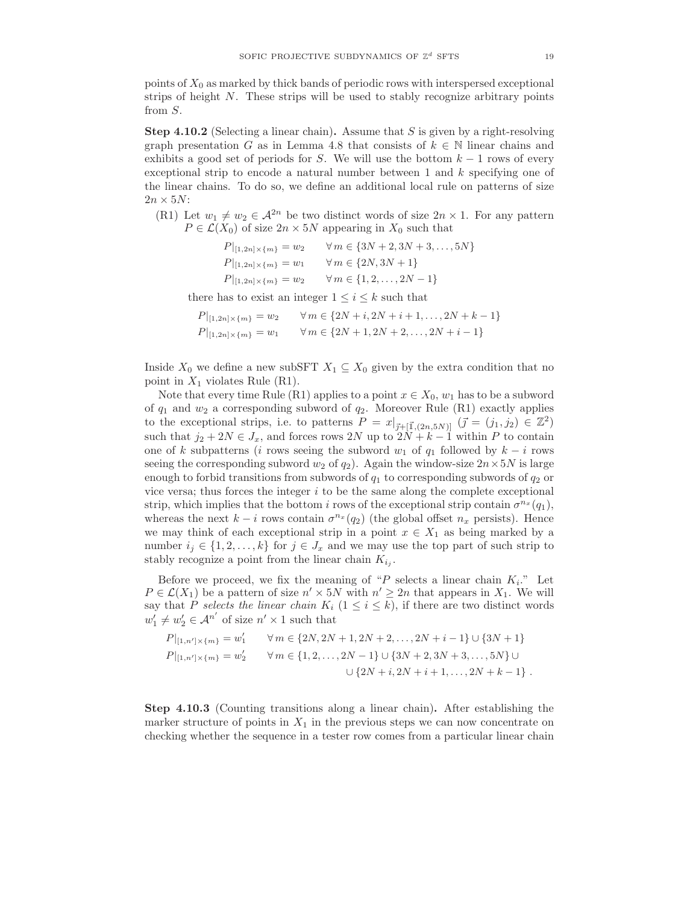points of  $X_0$  as marked by thick bands of periodic rows with interspersed exceptional strips of height N. These strips will be used to stably recognize arbitrary points from S.

**Step 4.10.2** (Selecting a linear chain). Assume that S is given by a right-resolving graph presentation G as in Lemma 4.8 that consists of  $k \in \mathbb{N}$  linear chains and exhibits a good set of periods for S. We will use the bottom  $k-1$  rows of every exceptional strip to encode a natural number between  $1$  and  $k$  specifying one of the linear chains. To do so, we define an additional local rule on patterns of size  $2n \times 5N$ :

(R1) Let  $w_1 \neq w_2 \in \mathcal{A}^{2n}$  be two distinct words of size  $2n \times 1$ . For any pattern  $P \in \mathcal{L}(X_0)$  of size  $2n \times 5N$  appearing in  $X_0$  such that

| $P _{[1,2n]\times\{m\}}=w_2$ | $\forall m \in \{3N+2, 3N+3, , 5N\}$ |
|------------------------------|--------------------------------------|
| $P _{[1,2n]\times\{m\}}=w_1$ | $\forall m \in \{2N, 3N+1\}$         |
| $P _{[1,2n]\times\{m\}}=w_2$ | $\forall m \in \{1, 2, , 2N - 1\}$   |
|                              |                                      |

there has to exist an integer  $1 \leq i \leq k$  such that

$$
P|_{[1,2n] \times \{m\}} = w_2 \qquad \forall m \in \{2N+i, 2N+i+1, ..., 2N+k-1\}
$$
  

$$
P|_{[1,2n] \times \{m\}} = w_1 \qquad \forall m \in \{2N+1, 2N+2, ..., 2N+i-1\}
$$

Inside  $X_0$  we define a new subSFT  $X_1 \subseteq X_0$  given by the extra condition that no point in  $X_1$  violates Rule (R1).

Note that every time Rule (R1) applies to a point  $x \in X_0$ ,  $w_1$  has to be a subword of  $q_1$  and  $w_2$  a corresponding subword of  $q_2$ . Moreover Rule (R1) exactly applies to the exceptional strips, i.e. to patterns  $P = x|_{\vec{j} + [\vec{1}, (2n,5N)]}$   $(\vec{j} = (j_1, j_2) \in \mathbb{Z}^2)$ such that  $j_2 + 2N \in J_x$ , and forces rows 2N up to  $2N + k - 1$  within P to contain one of k subpatterns (i rows seeing the subword  $w_1$  of  $q_1$  followed by  $k - i$  rows seeing the corresponding subword  $w_2$  of  $q_2$ ). Again the window-size  $2n \times 5N$  is large enough to forbid transitions from subwords of  $q_1$  to corresponding subwords of  $q_2$  or vice versa; thus forces the integer  $i$  to be the same along the complete exceptional strip, which implies that the bottom i rows of the exceptional strip contain  $\sigma^{n_x}(q_1)$ , whereas the next  $k - i$  rows contain  $\sigma^{n_x}(q_2)$  (the global offset  $n_x$  persists). Hence we may think of each exceptional strip in a point  $x \in X_1$  as being marked by a number  $i_j \in \{1, 2, ..., k\}$  for  $j \in J_x$  and we may use the top part of such strip to stably recognize a point from the linear chain  $K_{i_j}$ .

Before we proceed, we fix the meaning of "P selects a linear chain  $K_i$ ." Let  $P \in \mathcal{L}(X_1)$  be a pattern of size  $n' \times 5N$  with  $n' \geq 2n$  that appears in  $X_1$ . We will say that P selects the linear chain  $K_i$   $(1 \leq i \leq k)$ , if there are two distinct words  $w'_1 \neq w'_2 \in \mathcal{A}^{n'}$  of size  $n' \times 1$  such that

$$
P|_{[1,n']\times\{m\}} = w'_1 \qquad \forall m \in \{2N, 2N+1, 2N+2, ..., 2N+i-1\} \cup \{3N+1\}
$$
  
\n
$$
P|_{[1,n']\times\{m\}} = w'_2 \qquad \forall m \in \{1, 2, ..., 2N-1\} \cup \{3N+2, 3N+3, ..., 5N\} \cup
$$
  
\n
$$
\cup \{2N+i, 2N+i+1, ..., 2N+k-1\}.
$$

Step 4.10.3 (Counting transitions along a linear chain). After establishing the marker structure of points in  $X_1$  in the previous steps we can now concentrate on checking whether the sequence in a tester row comes from a particular linear chain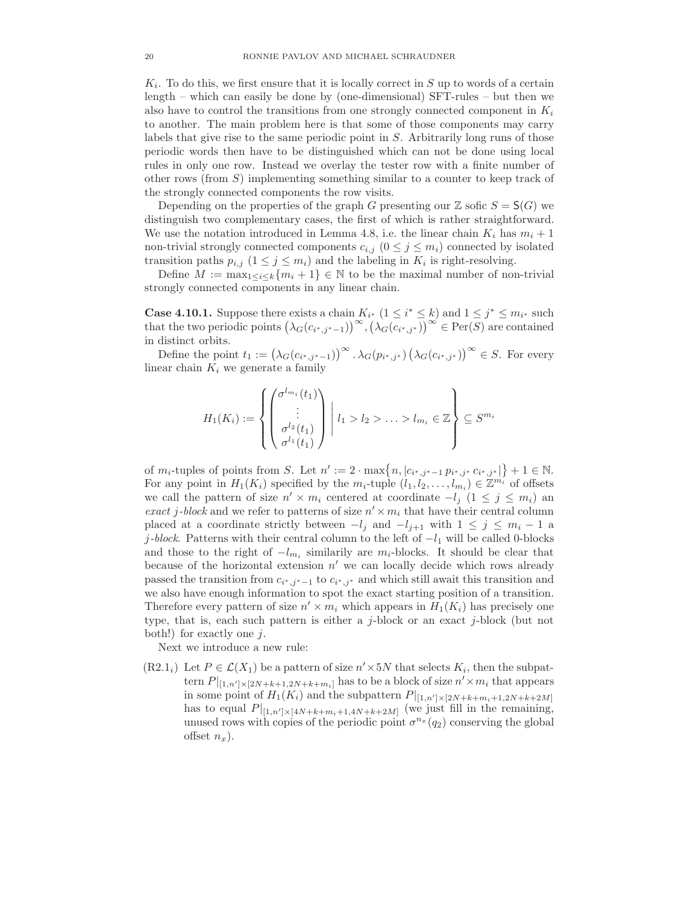$K_i$ . To do this, we first ensure that it is locally correct in S up to words of a certain length – which can easily be done by (one-dimensional) SFT-rules – but then we also have to control the transitions from one strongly connected component in  $K_i$ to another. The main problem here is that some of those components may carry labels that give rise to the same periodic point in S. Arbitrarily long runs of those periodic words then have to be distinguished which can not be done using local rules in only one row. Instead we overlay the tester row with a finite number of other rows (from  $S$ ) implementing something similar to a counter to keep track of the strongly connected components the row visits.

Depending on the properties of the graph G presenting our  $\mathbb Z$  sofic  $S = \mathsf S(G)$  we distinguish two complementary cases, the first of which is rather straightforward. We use the notation introduced in Lemma 4.8, i.e. the linear chain  $K_i$  has  $m_i + 1$ non-trivial strongly connected components  $c_{i,j}$   $(0 \leq j \leq m_i)$  connected by isolated transition paths  $p_{i,j}$   $(1 \leq j \leq m_i)$  and the labeling in  $K_i$  is right-resolving.

Define  $M := \max_{1 \leq i \leq k} \{m_i + 1\} \in \mathbb{N}$  to be the maximal number of non-trivial strongly connected components in any linear chain.

**Case 4.10.1.** Suppose there exists a chain  $K_{i^*}$   $(1 \leq i^* \leq k)$  and  $1 \leq j^* \leq m_{i^*}$  such that the two periodic points  $(\lambda_G(c_{i^*,j^*-1}))^{\infty}, (\lambda_G(c_{i^*,j^*}))^{\infty} \in \text{Per}(\overline{S})$  are contained in distinct orbits.

Define the point  $t_1 := (\lambda_G(c_{i^*,j^*-1}))^{\infty} \cdot \lambda_G(p_{i^*,j^*}) (\lambda_G(c_{i^*,j^*}))^{\infty} \in S$ . For every linear chain  $K_i$  we generate a family

$$
H_1(K_i) := \left\{ \begin{pmatrix} \sigma^{l_{m_i}}(t_1) \\ \vdots \\ \sigma^{l_2}(t_1) \\ \sigma^{l_1}(t_1) \end{pmatrix} \middle| l_1 > l_2 > \ldots > l_{m_i} \in \mathbb{Z} \right\} \subseteq S^{m_i}
$$

of  $m_i$ -tuples of points from S. Let  $n' := 2 \cdot \max\{n, |c_{i^*,j^*-1} p_{i^*,j^*} c_{i^*,j^*}| \} + 1 \in \mathbb{N}$ . For any point in  $H_1(K_i)$  specified by the  $m_i$ -tuple  $(l_1, l_2, \ldots, l_{m_i}) \in \mathbb{Z}^{m_i}$  of offsets we call the pattern of size  $n' \times m_i$  centered at coordinate  $-l_j$   $(1 \leq j \leq m_i)$  and exact j-block and we refer to patterns of size  $n' \times m_i$  that have their central column placed at a coordinate strictly between  $-l_j$  and  $-l_{j+1}$  with  $1 \leq j \leq m_i - 1$  a j-block. Patterns with their central column to the left of  $-l_1$  will be called 0-blocks and those to the right of  $-l_{m_i}$  similarily are  $m_i$ -blocks. It should be clear that because of the horizontal extension  $n'$  we can locally decide which rows already passed the transition from  $c_{i^*,j^*-1}$  to  $c_{i^*,j^*}$  and which still await this transition and we also have enough information to spot the exact starting position of a transition. Therefore every pattern of size  $n' \times m_i$  which appears in  $H_1(K_i)$  has precisely one type, that is, each such pattern is either a j-block or an exact j-block (but not both!) for exactly one  $j$ .

Next we introduce a new rule:

 $(R2.1<sub>i</sub>)$  Let  $P \in \mathcal{L}(X_1)$  be a pattern of size  $n' \times 5N$  that selects  $K_i$ , then the subpattern  $P|_{[1,n']\times[2N+k+1,2N+k+m_i]}$  has to be a block of size  $n'\times m_i$  that appears in some point of  $H_1(K_i)$  and the subpattern  $P|_{[1,n']\times[2N+k+m_i+1,2N+k+2M]}$ has to equal  $P|_{[1,n']\times[4N+k+m_i+1,4N+k+2M]}$  (we just fill in the remaining, unused rows with copies of the periodic point  $\sigma^{n_x}(q_2)$  conserving the global offset  $n_x$ ).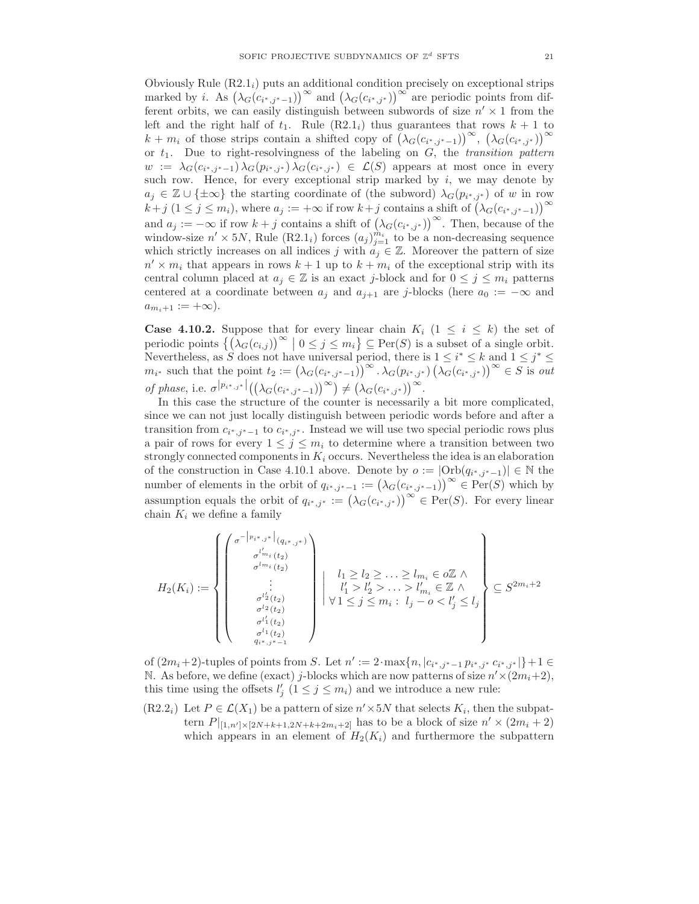Obviously Rule  $(R2.1<sub>i</sub>)$  puts an additional condition precisely on exceptional strips marked by *i*. As  $(\lambda_G(c_{i^*,j^*-1}))^{\infty}$  and  $(\lambda_G(c_{i^*,j^*}))^{\infty}$  are periodic points from different orbits, we can easily distinguish between subwords of size  $n' \times 1$  from the left and the right half of  $t_1$ . Rule  $(R2.1<sub>i</sub>)$  thus guarantees that rows  $k + 1$  to  $k + m_i$  of those strips contain a shifted copy of  $(\lambda_G(c_{i^*,j^*-1}))^{\infty}$ ,  $(\lambda_G(c_{i^*,j^*}))^{\infty}$ or  $t_1$ . Due to right-resolvingness of the labeling on  $G$ , the *transition pattern*  $w := \lambda_G(c_{i^*,j^*-1}) \lambda_G(p_{i^*,j^*}) \lambda_G(c_{i^*,j^*}) \in \mathcal{L}(S)$  appears at most once in every such row. Hence, for every exceptional strip marked by  $i$ , we may denote by  $a_j \in \mathbb{Z} \cup \{\pm \infty\}$  the starting coordinate of (the subword)  $\lambda_G(p_{i^*,j^*})$  of w in row  $k+j$   $(1 \leq j \leq m_i)$ , where  $a_j := +\infty$  if row  $k+j$  contains a shift of  $(\lambda_G(c_{i^*,j^*-1}))^{\infty}$ and  $a_j := -\infty$  if row  $k + j$  contains a shift of  $(\lambda_G(c_{i^*,j^*}))^{\infty}$ . Then, because of the window-size  $n' \times 5N$ , Rule (R2.1<sub>i</sub>) forces  $(a_j)_{j=1}^{m_i}$  to be a non-decreasing sequence which strictly increases on all indices j with  $a_i \in \mathbb{Z}$ . Moreover the pattern of size  $n' \times m_i$  that appears in rows  $k + 1$  up to  $k + m_i$  of the exceptional strip with its central column placed at  $a_j \in \mathbb{Z}$  is an exact j-block and for  $0 \leq j \leq m_i$  patterns centered at a coordinate between  $a_j$  and  $a_{j+1}$  are j-blocks (here  $a_0 := -\infty$  and  $a_{m_i+1} := +\infty$ ).

**Case 4.10.2.** Suppose that for every linear chain  $K_i$  ( $1 \leq i \leq k$ ) the set of periodic points  $\left\{ (\lambda_G(c_{i,j}))^{\infty} \mid 0 \leq j \leq m_i \right\} \subseteq \text{Per}(S)$  is a subset of a single orbit. Nevertheless, as S does not have universal period, there is  $1 \le i^* \le k$  and  $1 \le j^* \le k$  $m_{i^*}$  such that the point  $t_2 := (\lambda_G(c_{i^*,j^*-1}))^{\infty} \cdot \lambda_G(p_{i^*,j^*}) (\lambda_G(c_{i^*,j^*}))^{\infty} \in S$  is out of phase, i.e.  $\sigma^{|p_{i^*,j^*}|}((\lambda_G(c_{i^*,j^*-1}))^{\infty}) \neq (\lambda_G(c_{i^*,j^*}))^{\infty}.$ 

In this case the structure of the counter is necessarily a bit more complicated, since we can not just locally distinguish between periodic words before and after a transition from  $c_{i^*,j^*-1}$  to  $c_{i^*,j^*}$ . Instead we will use two special periodic rows plus a pair of rows for every  $1 \leq j \leq m_i$  to determine where a transition between two strongly connected components in  $K_i$  occurs. Nevertheless the idea is an elaboration of the construction in Case 4.10.1 above. Denote by  $o := |\text{Orb}(q_{i^*,j^*-1})| \in \mathbb{N}$  the number of elements in the orbit of  $q_{i^*,j^*-1} := (\lambda_G(c_{i^*,j^*-1}))^{\infty} \in \text{Per}(S)$  which by assumption equals the orbit of  $q_{i^*,j^*} := (\lambda_G(c_{i^*,j^*}))^{\infty} \in \text{Per}(S)$ . For every linear chain  $K_i$  we define a family

$$
H_2(K_i) := \left\{ \begin{pmatrix} \sigma^{-|p_{i^*,j^*}|}(q_{i^*,j^*}) \\ \sigma^{l_{m_i}}(t_2) \\ \vdots \\ \sigma^{l_2}(t_2) \\ \sigma^{l_2}(t_2) \\ \vdots \\ \sigma^{l_1}(t_2) \\ \vdots \\ \sigma^{l_1}(t_2) \\ \vdots \\ \sigma^{l_1}(t_2) \\ \vdots \\ \sigma^{l_1}(t_2) \\ \vdots \\ \sigma^{l_1}(t_2) \end{pmatrix} \right\} \cup \left\{ \begin{matrix} l_1 \geq l_2 \geq \ldots \geq l_{m_i} \in \mathcal{OZ} \land \\ l'_1 > l'_2 > \ldots \geq l_{m_i} \in \mathcal{Z} \land \\ l'_1 > l'_2 > \ldots > l'_{m_i} \in \mathbb{Z} \land \\ l'_1 \leq j \leq m_i : l_j - o < l'_j \leq l_j \\ \vdots \\ l_j - o < l'_j \leq l_j \end{matrix} \right\} \subseteq S^{2m_i + 2}
$$

of  $(2m_i+2)$ -tuples of points from S. Let  $n' := 2 \cdot \max\{n, |c_{i^*,j^*-1} p_{i^*,j^*} c_{i^*,j^*}| \} + 1 \in$ N. As before, we define (exact) j-blocks which are now patterns of size  $n' \times (2m_i+2)$ , this time using the offsets  $l'_j$   $(1 \leq j \leq m_i)$  and we introduce a new rule:

 $(R2.2<sub>i</sub>)$  Let  $P \in \mathcal{L}(X_1)$  be a pattern of size  $n' \times 5N$  that selects  $K_i$ , then the subpattern  $P|_{[1,n']\times[2N+k+1,2N+k+2m_i+2]}$  has to be a block of size  $n'\times(2m_i+2)$ which appears in an element of  $H_2(K_i)$  and furthermore the subpattern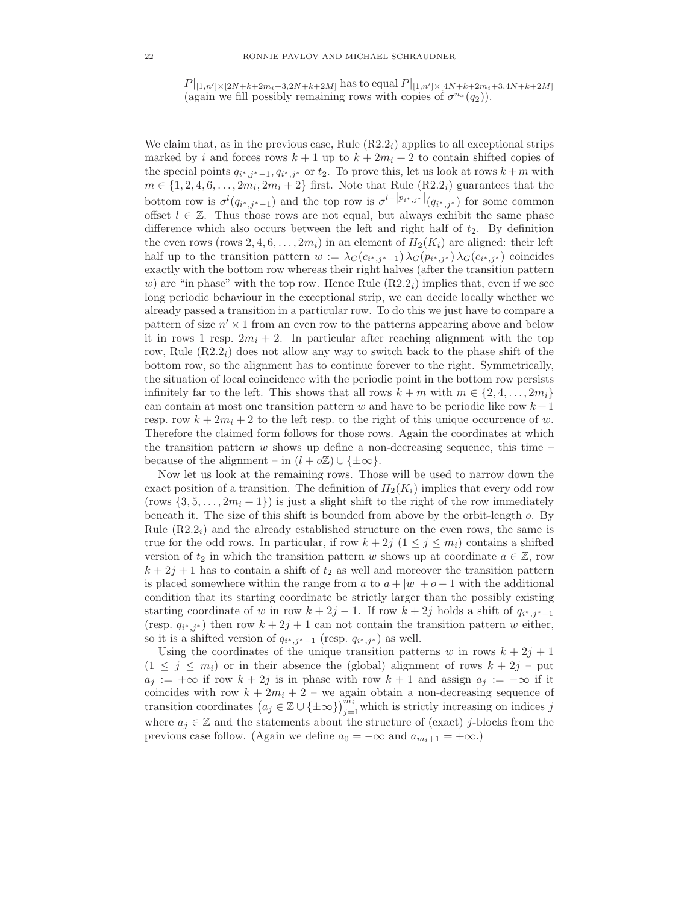$P|_{[1,n']\times[2N+k+2m_i+3,2N+k+2M]}$  has to equal  $P|_{[1,n']\times[4N+k+2m_i+3,4N+k+2M]}$ (again we fill possibly remaining rows with copies of  $\sigma^{n_x}(q_2)$ ).

We claim that, as in the previous case, Rule  $(R2.2<sub>i</sub>)$  applies to all exceptional strips marked by i and forces rows  $k + 1$  up to  $k + 2m<sub>i</sub> + 2$  to contain shifted copies of the special points  $q_{i^*,j^*-1}, q_{i^*,j^*}$  or  $t_2$ . To prove this, let us look at rows  $k+m$  with  $m \in \{1, 2, 4, 6, \ldots, 2m_i, 2m_i + 2\}$  first. Note that Rule  $(R2.2<sub>i</sub>)$  guarantees that the bottom row is  $\sigma^l(q_{i^*,j^*-1})$  and the top row is  $\sigma^{l-|p_{i^*,j^*}|}(q_{i^*,j^*})$  for some common offset  $l \in \mathbb{Z}$ . Thus those rows are not equal, but always exhibit the same phase difference which also occurs between the left and right half of  $t_2$ . By definition the even rows (rows  $2, 4, 6, \ldots, 2m_i$ ) in an element of  $H_2(K_i)$  are aligned: their left half up to the transition pattern  $w := \lambda_G(c_{i^*,j^*-1}) \lambda_G(p_{i^*,j^*}) \lambda_G(c_{i^*,j^*})$  coincides exactly with the bottom row whereas their right halves (after the transition pattern w) are "in phase" with the top row. Hence Rule  $(R2.2<sub>i</sub>)$  implies that, even if we see long periodic behaviour in the exceptional strip, we can decide locally whether we already passed a transition in a particular row. To do this we just have to compare a pattern of size  $n' \times 1$  from an even row to the patterns appearing above and below it in rows 1 resp.  $2m_i + 2$ . In particular after reaching alignment with the top row, Rule  $(R2.2<sub>i</sub>)$  does not allow any way to switch back to the phase shift of the bottom row, so the alignment has to continue forever to the right. Symmetrically, the situation of local coincidence with the periodic point in the bottom row persists infinitely far to the left. This shows that all rows  $k + m$  with  $m \in \{2, 4, \ldots, 2m_i\}$ can contain at most one transition pattern w and have to be periodic like row  $k+1$ resp. row  $k + 2m_i + 2$  to the left resp. to the right of this unique occurrence of w. Therefore the claimed form follows for those rows. Again the coordinates at which the transition pattern  $w$  shows up define a non-decreasing sequence, this time – because of the alignment – in  $(l + o\mathbb{Z}) \cup {\pm \infty}$ .

Now let us look at the remaining rows. Those will be used to narrow down the exact position of a transition. The definition of  $H_2(K_i)$  implies that every odd row (rows  $\{3, 5, \ldots, 2m_i + 1\}$ ) is just a slight shift to the right of the row immediately beneath it. The size of this shift is bounded from above by the orbit-length o. By Rule  $(R2.2<sub>i</sub>)$  and the already established structure on the even rows, the same is true for the odd rows. In particular, if row  $k + 2j$  ( $1 \le j \le m_i$ ) contains a shifted version of  $t_2$  in which the transition pattern w shows up at coordinate  $a \in \mathbb{Z}$ , row  $k + 2j + 1$  has to contain a shift of  $t_2$  as well and moreover the transition pattern is placed somewhere within the range from a to  $a + |w| + o - 1$  with the additional condition that its starting coordinate be strictly larger than the possibly existing starting coordinate of w in row  $k + 2j - 1$ . If row  $k + 2j$  holds a shift of  $q_{i^*,j^*-1}$ (resp.  $q_{i^*,j^*}$ ) then row  $k+2j+1$  can not contain the transition pattern w either, so it is a shifted version of  $q_{i^*,j^*-1}$  (resp.  $q_{i^*,j^*}$ ) as well.

Using the coordinates of the unique transition patterns w in rows  $k + 2j + 1$  $(1 \leq j \leq m_i)$  or in their absence the (global) alignment of rows  $k + 2j$  – put  $a_j := +\infty$  if row  $k + 2j$  is in phase with row  $k + 1$  and assign  $a_j := -\infty$  if it coincides with row  $k + 2m_i + 2$  – we again obtain a non-decreasing sequence of transition coordinates  $(a_j \in \mathbb{Z} \cup {\{\pm \infty\}})_{j=1}^{\widetilde{m}_i}$  which is strictly increasing on indices j where  $a_i \in \mathbb{Z}$  and the statements about the structure of (exact) j-blocks from the previous case follow. (Again we define  $a_0 = -\infty$  and  $a_{m_i+1} = +\infty$ .)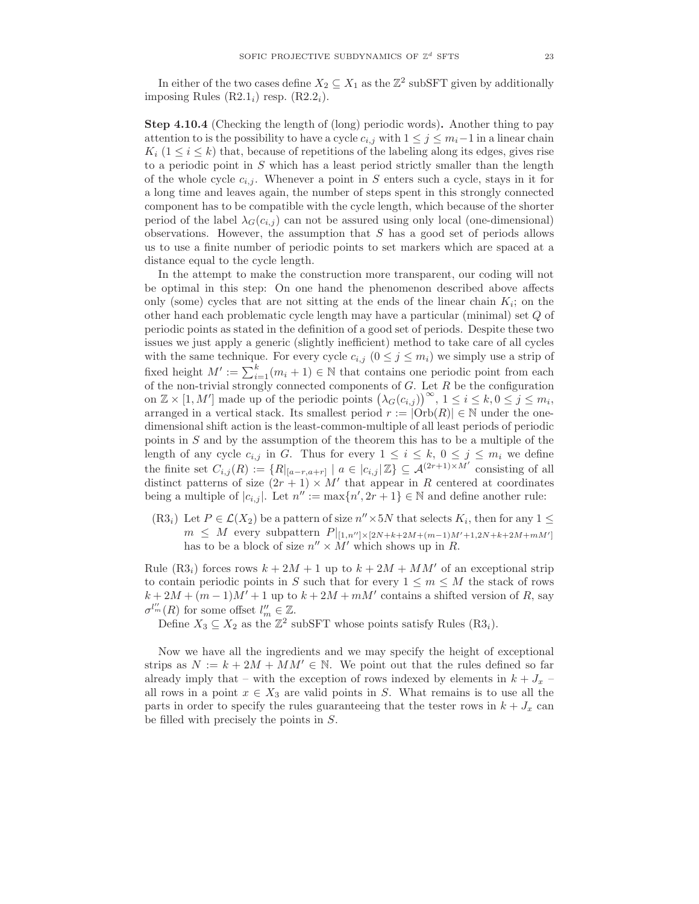In either of the two cases define  $X_2 \subseteq X_1$  as the  $\mathbb{Z}^2$  subSFT given by additionally imposing Rules  $(R2.1<sub>i</sub>)$  resp.  $(R2.2<sub>i</sub>)$ .

Step 4.10.4 (Checking the length of (long) periodic words). Another thing to pay attention to is the possibility to have a cycle  $c_{i,j}$  with  $1 \leq j \leq m_i-1$  in a linear chain  $K_i$  ( $1 \leq i \leq k$ ) that, because of repetitions of the labeling along its edges, gives rise to a periodic point in  $S$  which has a least period strictly smaller than the length of the whole cycle  $c_{i,j}$ . Whenever a point in S enters such a cycle, stays in it for a long time and leaves again, the number of steps spent in this strongly connected component has to be compatible with the cycle length, which because of the shorter period of the label  $\lambda_G(c_{i,j})$  can not be assured using only local (one-dimensional) observations. However, the assumption that  $S$  has a good set of periods allows us to use a finite number of periodic points to set markers which are spaced at a distance equal to the cycle length.

In the attempt to make the construction more transparent, our coding will not be optimal in this step: On one hand the phenomenon described above affects only (some) cycles that are not sitting at the ends of the linear chain  $K_i$ ; on the other hand each problematic cycle length may have a particular (minimal) set Q of periodic points as stated in the definition of a good set of periods. Despite these two issues we just apply a generic (slightly inefficient) method to take care of all cycles with the same technique. For every cycle  $c_{i,j}$   $(0 \leq j \leq m_i)$  we simply use a strip of fixed height  $M' := \sum_{i=1}^{k} (m_i + 1) \in \mathbb{N}$  that contains one periodic point from each of the non-trivial strongly connected components of  $G$ . Let  $R$  be the configuration on  $\mathbb{Z} \times [1, M']$  made up of the periodic points  $(\lambda_G(c_{i,j}))^{\infty}$ ,  $1 \leq i \leq k, 0 \leq j \leq m_i$ , arranged in a vertical stack. Its smallest period  $r := |\text{Orb}(R)| \in \mathbb{N}$  under the onedimensional shift action is the least-common-multiple of all least periods of periodic points in S and by the assumption of the theorem this has to be a multiple of the length of any cycle  $c_{i,j}$  in G. Thus for every  $1 \leq i \leq k, 0 \leq j \leq m_i$  we define the finite set  $C_{i,j}(R) := \{R|_{[a-r,a+r]} \mid a \in |c_{i,j}|\mathbb{Z}\}\subseteq \mathcal{A}^{(2r+1)\times M'}$  consisting of all distinct patterns of size  $(2r + 1) \times M'$  that appear in R centered at coordinates being a multiple of  $|c_{i,j}|$ . Let  $n'' := \max\{n', 2r + 1\} \in \mathbb{N}$  and define another rule:

 $(R3<sub>i</sub>)$  Let  $P \in \mathcal{L}(X_2)$  be a pattern of size  $n'' \times 5N$  that selects  $K_i$ , then for any  $1 \leq$  $m \leq M$  every subpattern  $P|_{[1,n'']\times[2N+k+2M+(m-1)M'+1,2N+k+2M+mM']}$ has to be a block of size  $n'' \times M'$  which shows up in R.

Rule  $(R3<sub>i</sub>)$  forces rows  $k + 2M + 1$  up to  $k + 2M + MM'$  of an exceptional strip to contain periodic points in S such that for every  $1 \leq m \leq M$  the stack of rows  $k + 2M + (m - 1)M' + 1$  up to  $k + 2M + mM'$  contains a shifted version of R, say  $\sigma^{l'_m}(R)$  for some offset  $l''_m \in \mathbb{Z}$ .

Define  $X_3 \subseteq X_2$  as the  $\mathbb{Z}^2$  subSFT whose points satisfy Rules  $(R3_i)$ .

Now we have all the ingredients and we may specify the height of exceptional strips as  $N := k + 2M + MM' \in \mathbb{N}$ . We point out that the rules defined so far already imply that – with the exception of rows indexed by elements in  $k + J_x$ all rows in a point  $x \in X_3$  are valid points in S. What remains is to use all the parts in order to specify the rules guaranteeing that the tester rows in  $k + J_x$  can be filled with precisely the points in S.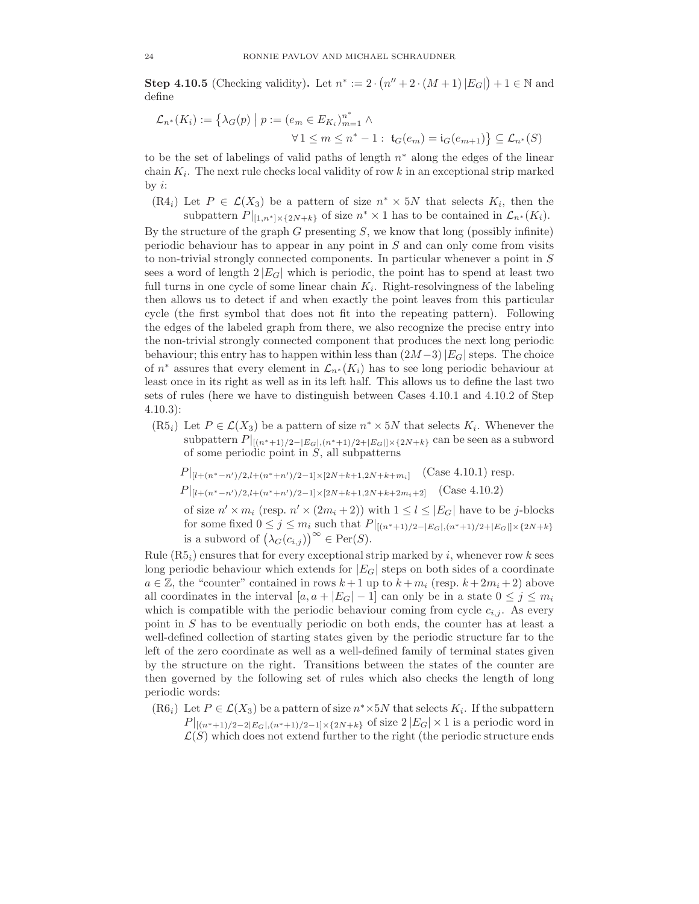**Step 4.10.5** (Checking validity). Let  $n^* := 2 \cdot (n'' + 2 \cdot (M + 1) |E_G|) + 1 \in \mathbb{N}$  and define

$$
\mathcal{L}_{n^*}(K_i) := \{ \lambda_G(p) \mid p := (e_m \in E_{K_i})_{m=1}^{n^*} \land \forall 1 \le m \le n^* - 1 : \mathfrak{t}_G(e_m) = \mathfrak{i}_G(e_{m+1}) \} \subseteq \mathcal{L}_{n^*}(S)
$$

to be the set of labelings of valid paths of length  $n^*$  along the edges of the linear chain  $K_i$ . The next rule checks local validity of row k in an exceptional strip marked by  $i$ :

 $(R4_i)$  Let  $P \in \mathcal{L}(X_3)$  be a pattern of size  $n^* \times 5N$  that selects  $K_i$ , then the subpattern  $P|_{[1,n^*] \times \{2N+k\}}$  of size  $n^* \times 1$  has to be contained in  $\mathcal{L}_{n^*}(K_i)$ .

By the structure of the graph  $G$  presenting  $S$ , we know that long (possibly infinite) periodic behaviour has to appear in any point in S and can only come from visits to non-trivial strongly connected components. In particular whenever a point in  $S$ sees a word of length  $2 |E_G|$  which is periodic, the point has to spend at least two full turns in one cycle of some linear chain  $K_i$ . Right-resolvingness of the labeling then allows us to detect if and when exactly the point leaves from this particular cycle (the first symbol that does not fit into the repeating pattern). Following the edges of the labeled graph from there, we also recognize the precise entry into the non-trivial strongly connected component that produces the next long periodic behaviour; this entry has to happen within less than  $(2M-3)|E_G|$  steps. The choice of  $n^*$  assures that every element in  $\mathcal{L}_{n^*}(K_i)$  has to see long periodic behaviour at least once in its right as well as in its left half. This allows us to define the last two sets of rules (here we have to distinguish between Cases 4.10.1 and 4.10.2 of Step 4.10.3):

(R5<sub>i</sub>) Let  $P \in \mathcal{L}(X_3)$  be a pattern of size  $n^* \times 5N$  that selects  $K_i$ . Whenever the subpattern  $P|_{[(n^*+1)/2-|E_G|,(n^*+1)/2+|E_G|]\times\{2N+k\}}$  can be seen as a subword of some periodic point in  $S$ , all subpatterns

$$
P|_{[l+(n^*-n')/2,l+(n^*+n')/2-1]\times[2N+k+1,2N+k+m_i]} \quad \text{(Case 4.10.1) resp.}
$$

$$
P|_{[l+(n^*-n')/2,l+(n^*+n')/2-1]\times[2N+k+1,2N+k+2m_i+2]} \quad \text{(Case 4.10.2)}
$$

of size  $n' \times m_i$  (resp.  $n' \times (2m_i + 2)$ ) with  $1 \leq l \leq |E_G|$  have to be j-blocks for some fixed  $0 \le j \le m_i$  such that  $P|_{[(n^*+1)/2-|E_G|,(n^*+1)/2+|E_G|]\times\{2N+k\}}$ is a subword of  $(\lambda_G(c_{i,j}))^{\infty} \in \text{Per}(S)$ .

Rule  $(R5<sub>i</sub>)$  ensures that for every exceptional strip marked by i, whenever row k sees long periodic behaviour which extends for  $|E_G|$  steps on both sides of a coordinate  $a \in \mathbb{Z}$ , the "counter" contained in rows  $k+1$  up to  $k+m_i$  (resp.  $k+2m_i+2$ ) above all coordinates in the interval  $[a, a + |E_G| - 1]$  can only be in a state  $0 \le j \le m_i$ which is compatible with the periodic behaviour coming from cycle  $c_{i,j}$ . As every point in S has to be eventually periodic on both ends, the counter has at least a well-defined collection of starting states given by the periodic structure far to the left of the zero coordinate as well as a well-defined family of terminal states given by the structure on the right. Transitions between the states of the counter are then governed by the following set of rules which also checks the length of long periodic words:

(R6<sub>i</sub>) Let  $P \in \mathcal{L}(X_3)$  be a pattern of size  $n^* \times 5N$  that selects  $K_i$ . If the subpattern  $P|_{[(n^*+1)/2-2|E_G|,(n^*+1)/2-1]\times\{2N+k\}}$  of size  $2|E_G|\times 1$  is a periodic word in  $\mathcal{L}(S)$  which does not extend further to the right (the periodic structure ends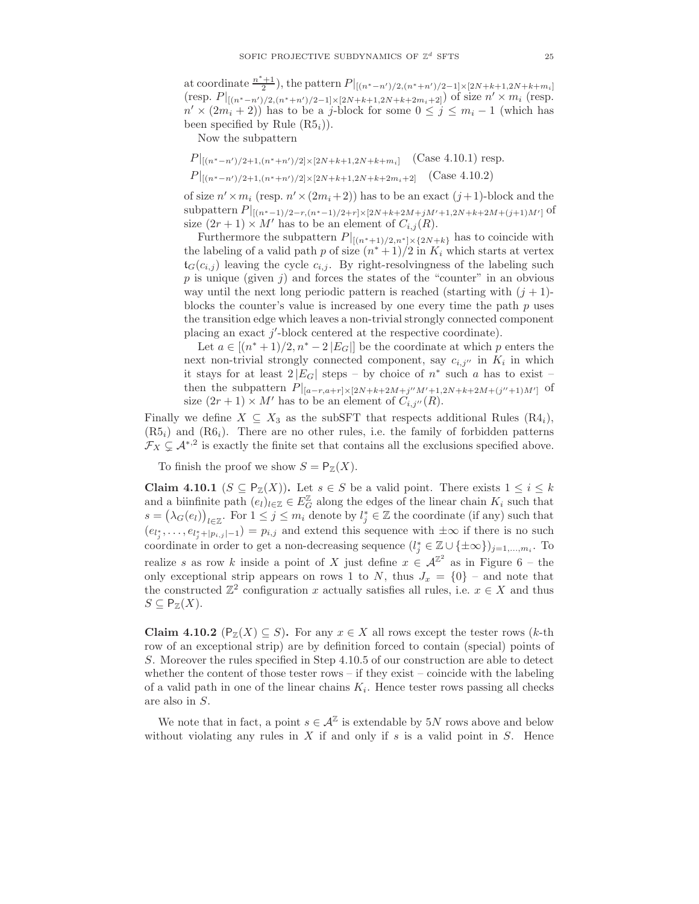at coordinate  $\frac{n^*+1}{2}$ , the pattern  $P|_{[(n^*-n')/2,(n^*+n')/2-1]\times[2N+k+1,2N+k+m_i]}$ (resp.  $P|_{[(n^*-n')/2,(n^*+n')/2-1]\times[2N+k+1,2N+k+2m_i+2]})$  of size  $n'\times m_i$  (resp.  $n' \times (2m_i + 2)$ ) has to be a j-block for some  $0 \le j \le m_i - 1$  (which has been specified by Rule  $(R5<sub>i</sub>)$ ).

Now the subpattern

$$
P|_{[(n^{*}-n')/2+1,(n^{*}+n')/2] \times [2N+k+1,2N+k+m_{i}]} \quad \text{(Case 4.10.1) resp.}
$$
\n
$$
P|_{[(n^{*}-n')/2+1,(n^{*}+n')/2] \times [2N+k+1,2N+k+2m_{i}+2]} \quad \text{(Case 4.10.2)}
$$

of size  $n' \times m_i$  (resp.  $n' \times (2m_i + 2)$ ) has to be an exact  $(j+1)$ -block and the subpattern  $P|_{[(n^*-1)/2-r,(n^*-1)/2+r]\times[2N+k+2M+jM'+1,2N+k+2M+(j+1)M']}$  of size  $(2r + 1) \times M'$  has to be an element of  $C_{i,j}(R)$ .

Furthermore the subpattern  $P|_{[(n^*+1)/2,n^*]\times{2N+k}}$  has to coincide with the labeling of a valid path p of size  $(n^*+1)/2$  in  $K_i$  which starts at vertex  $t_G(c_{i,j})$  leaving the cycle  $c_{i,j}$ . By right-resolvingness of the labeling such  $p$  is unique (given j) and forces the states of the "counter" in an obvious way until the next long periodic pattern is reached (starting with  $(j + 1)$ blocks the counter's value is increased by one every time the path  $p$  uses the transition edge which leaves a non-trivial strongly connected component placing an exact  $j'$ -block centered at the respective coordinate).

Let  $a \in [(n^*+1)/2, n^* - 2|E_G|]$  be the coordinate at which p enters the next non-trivial strongly connected component, say  $c_{i,j}$  in  $K_i$  in which it stays for at least  $2|E_G|$  steps – by choice of  $n^*$  such a has to exist – then the subpattern  $P|_{[a-r,a+r] \times [2N+k+2M+j''M'+1,2N+k+2M+(j''+1)M']}$  of size  $(2r + 1) \times M'$  has to be an element of  $C_{i,j''}(R)$ .

Finally we define  $X \subseteq X_3$  as the subSFT that respects additional Rules  $(R4_i)$ ,  $(R5<sub>i</sub>)$  and  $(R6<sub>i</sub>)$ . There are no other rules, i.e. the family of forbidden patterns  $\mathcal{F}_X \subsetneq \mathcal{A}^{*,2}$  is exactly the finite set that contains all the exclusions specified above.

To finish the proof we show  $S = \mathsf{P}_{\mathbb{Z}}(X)$ .

Claim 4.10.1 ( $S \subseteq P_{\mathbb{Z}}(X)$ ). Let  $s \in S$  be a valid point. There exists  $1 \leq i \leq k$ and a biinfinite path  $(e_l)_{l\in\mathbb{Z}} \in E_G^{\mathbb{Z}}$  along the edges of the linear chain  $K_i$  such that  $s = (\lambda_G(e_l))_{l \in \mathbb{Z}}$ . For  $1 \leq j \leq m_i$  denote by  $l_j^* \in \mathbb{Z}$  the coordinate (if any) such that  $(e_{l_j^*},\ldots,e_{l_j^*+|p_{i,j}|-1})=p_{i,j}$  and extend this sequence with  $\pm\infty$  if there is no such coordinate in order to get a non-decreasing sequence  $(l_j^* \in \mathbb{Z} \cup {\{\pm \infty\}})_{j=1,...,m_i}$ . To realize s as row k inside a point of X just define  $x \in \mathcal{A}^{\mathbb{Z}^2}$  as in Figure 6 – the only exceptional strip appears on rows 1 to N, thus  $J_x = \{0\}$  – and note that the constructed  $\mathbb{Z}^2$  configuration x actually satisfies all rules, i.e.  $x \in X$  and thus  $S \subseteq \mathsf{P}_{\mathbb{Z}}(X).$ 

Claim 4.10.2 ( $P_{\mathbb{Z}}(X) \subseteq S$ ). For any  $x \in X$  all rows except the tester rows (k-th row of an exceptional strip) are by definition forced to contain (special) points of S. Moreover the rules specified in Step 4.10.5 of our construction are able to detect whether the content of those tester rows – if they exist – coincide with the labeling of a valid path in one of the linear chains  $K_i$ . Hence tester rows passing all checks are also in S.

We note that in fact, a point  $s \in \mathcal{A}^{\mathbb{Z}}$  is extendable by 5N rows above and below without violating any rules in  $X$  if and only if  $s$  is a valid point in  $S$ . Hence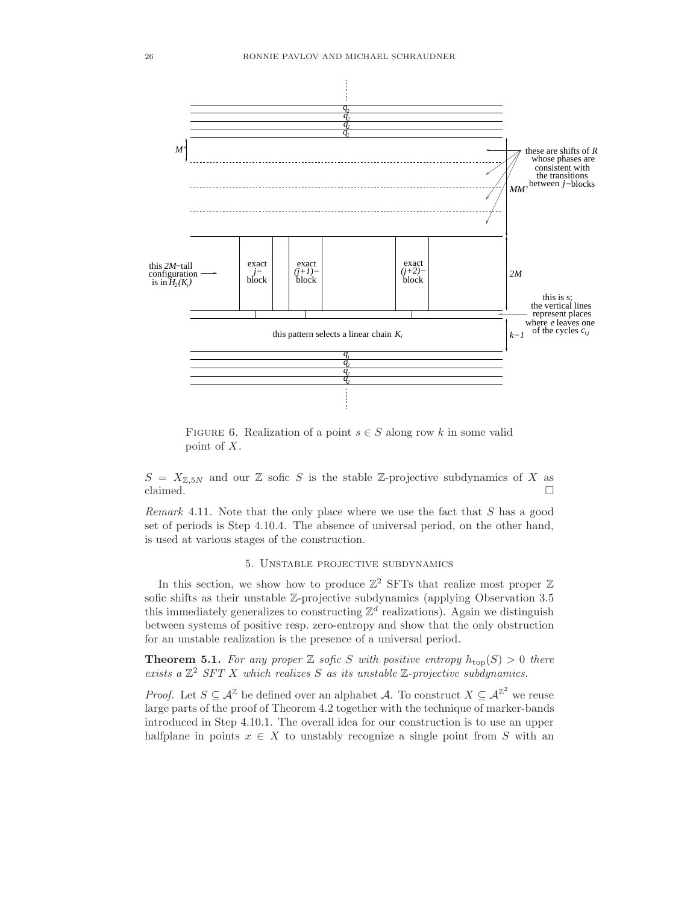

FIGURE 6. Realization of a point  $s \in S$  along row k in some valid point of X.

 $S = X_{\mathbb{Z},5N}$  and our  $\mathbb{Z}$  sofic S is the stable  $\mathbb{Z}$ -projective subdynamics of X as claimed.  $\square$ 

Remark 4.11. Note that the only place where we use the fact that S has a good set of periods is Step 4.10.4. The absence of universal period, on the other hand, is used at various stages of the construction.

### 5. Unstable projective subdynamics

In this section, we show how to produce  $\mathbb{Z}^2$  SFTs that realize most proper  $\mathbb Z$ sofic shifts as their unstable Z-projective subdynamics (applying Observation 3.5 this immediately generalizes to constructing  $\mathbb{Z}^d$  realizations). Again we distinguish between systems of positive resp. zero-entropy and show that the only obstruction for an unstable realization is the presence of a universal period.

**Theorem 5.1.** For any proper  $\mathbb Z$  sofic S with positive entropy  $h_{\text{top}}(S) > 0$  there exists a  $\mathbb{Z}^2$  SFT X which realizes S as its unstable  $\mathbb{Z}$ -projective subdynamics.

*Proof.* Let  $S \subseteq \mathcal{A}^{\mathbb{Z}}$  be defined over an alphabet A. To construct  $X \subseteq \mathcal{A}^{\mathbb{Z}^2}$  we reuse large parts of the proof of Theorem 4.2 together with the technique of marker-bands introduced in Step 4.10.1. The overall idea for our construction is to use an upper halfplane in points  $x \in X$  to unstably recognize a single point from S with an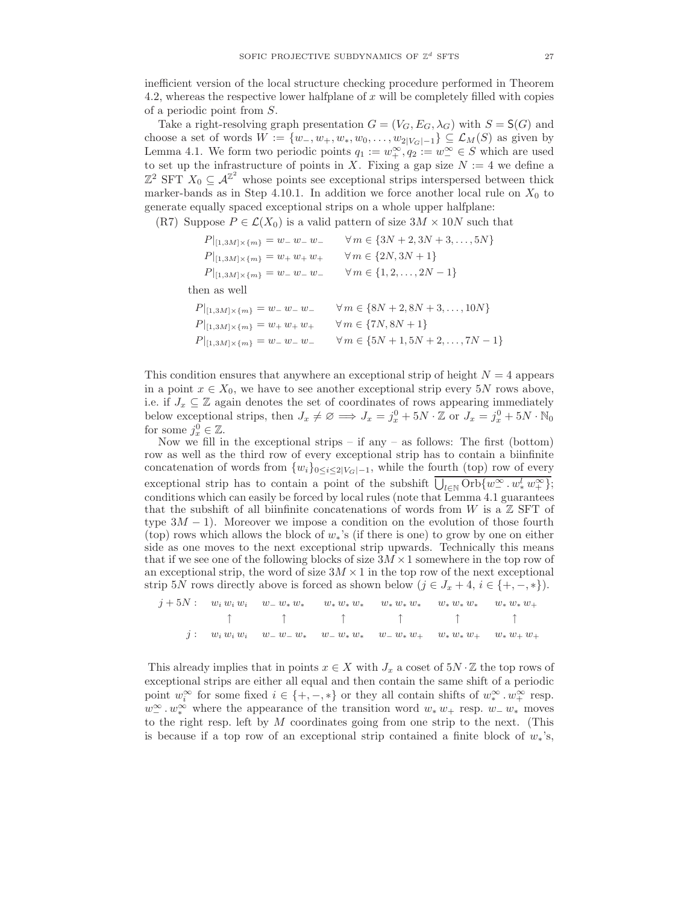inefficient version of the local structure checking procedure performed in Theorem 4.2, whereas the respective lower halfplane of x will be completely filled with copies of a periodic point from S.

Take a right-resolving graph presentation  $G = (V_G, E_G, \lambda_G)$  with  $S = S(G)$  and choose a set of words  $W := \{w_-, w_+, w_*, w_0, \ldots, w_{2|V_G|-1}\} \subseteq \mathcal{L}_M(S)$  as given by Lemma 4.1. We form two periodic points  $q_1 := w_+^{\infty}, q_2 := w_-^{\infty} \in S$  which are used to set up the infrastructure of points in X. Fixing a gap size  $N := 4$  we define a  $\mathbb{Z}^2$  SFT  $X_0 \subseteq \mathcal{A}^{\mathbb{Z}^2}$  whose points see exceptional strips interspersed between thick marker-bands as in Step 4.10.1. In addition we force another local rule on  $X_0$  to generate equally spaced exceptional strips on a whole upper halfplane:

(R7) Suppose  $P \in \mathcal{L}(X_0)$  is a valid pattern of size  $3M \times 10N$  such that

| $P _{[1,3M]\times\{m\}}=w_{-}w_{-}w_{-}$ | $\forall m \in \{3N+2, 3N+3, , 5N\}$         |
|------------------------------------------|----------------------------------------------|
| $P _{[1,3M]\times\{m\}}=w_+w_+w_+$       | $\forall m \in \{2N, 3N+1\}$                 |
| $P _{[1,3M]\times\{m\}}=w_{-}w_{-}w_{-}$ | $\forall m \in \{1, 2, , 2N - 1\}$           |
| then as well                             |                                              |
| $P _{[1,3M]\times\{m\}}=w_{-}w_{-}w_{-}$ | $\forall m \in \{8N+2, 8N+3, , 10N\}$        |
| $P _{[1,3M]\times\{m\}}=w_+w_+w_+$       | $\forall m \in \{7N, 8N+1\}$                 |
| $P _{[1,3M]\times\{m\}}=w_{-}w_{-}w_{-}$ | $\forall m \in \{5N+1, 5N+2, \ldots, 7N-1\}$ |
|                                          |                                              |

This condition ensures that anywhere an exceptional strip of height  $N = 4$  appears in a point  $x \in X_0$ , we have to see another exceptional strip every 5N rows above, i.e. if  $J_x \subseteq \mathbb{Z}$  again denotes the set of coordinates of rows appearing immediately below exceptional strips, then  $J_x \neq \emptyset \implies J_x = j_x^0 + 5N \cdot \mathbb{Z}$  or  $J_x = j_x^0 + 5N \cdot \mathbb{N}_0$ for some  $j_x^0 \in \mathbb{Z}$ .

Now we fill in the exceptional strips – if any – as follows: The first (bottom) row as well as the third row of every exceptional strip has to contain a biinfinite concatenation of words from  $\{w_i\}_{0 \leq i \leq 2|V_G|-1}$ , while the fourth (top) row of every exceptional strip has to contain a point of the subshift  $\overline{\bigcup_{l\in\mathbb{N}}\mathrm{Orb}\{w^{\infty}_{-}\cdot w^l_* w^{\infty}_{+}\}};$ conditions which can easily be forced by local rules (note that Lemma 4.1 guarantees that the subshift of all biinfinite concatenations of words from W is a  $\mathbb Z$  SFT of type  $3M - 1$ ). Moreover we impose a condition on the evolution of those fourth (top) rows which allows the block of  $w_*$ 's (if there is one) to grow by one on either side as one moves to the next exceptional strip upwards. Technically this means that if we see one of the following blocks of size  $3M \times 1$  somewhere in the top row of an exceptional strip, the word of size  $3M \times 1$  in the top row of the next exceptional strip 5N rows directly above is forced as shown below  $(j \in J_x + 4, i \in \{+, -, *\}).$ 

j + 5N : w<sup>i</sup> w<sup>i</sup> w<sup>i</sup> w<sup>−</sup> w<sup>∗</sup> w<sup>∗</sup> w<sup>∗</sup> w<sup>∗</sup> w<sup>∗</sup> w<sup>∗</sup> w<sup>∗</sup> w<sup>∗</sup> w<sup>∗</sup> w<sup>∗</sup> w<sup>∗</sup> w<sup>∗</sup> w<sup>∗</sup> w<sup>+</sup> ↑ ↑ ↑ ↑ ↑ ↑  $j:$   $w_i w_i w_i$   $w_ - w_ - w_*$   $w_ - w_* w_*$   $w_ - w_* w_ + w_* w_* w_ + w_* w_ + w_*$ 

This already implies that in points  $x \in X$  with  $J_x$  a coset of  $5N \cdot \mathbb{Z}$  the top rows of exceptional strips are either all equal and then contain the same shift of a periodic point  $w_i^{\infty}$  for some fixed  $i \in \{+, -, *\}$  or they all contain shifts of  $w_*^{\infty} \cdot w_+^{\infty}$  resp.  $w_{-}^{\infty} \cdot w_{*}^{\infty}$  where the appearance of the transition word  $w_{*} w_{+}$  resp.  $w_{-} w_{*}$  moves to the right resp. left by  $M$  coordinates going from one strip to the next. (This is because if a top row of an exceptional strip contained a finite block of  $w_*$ 's,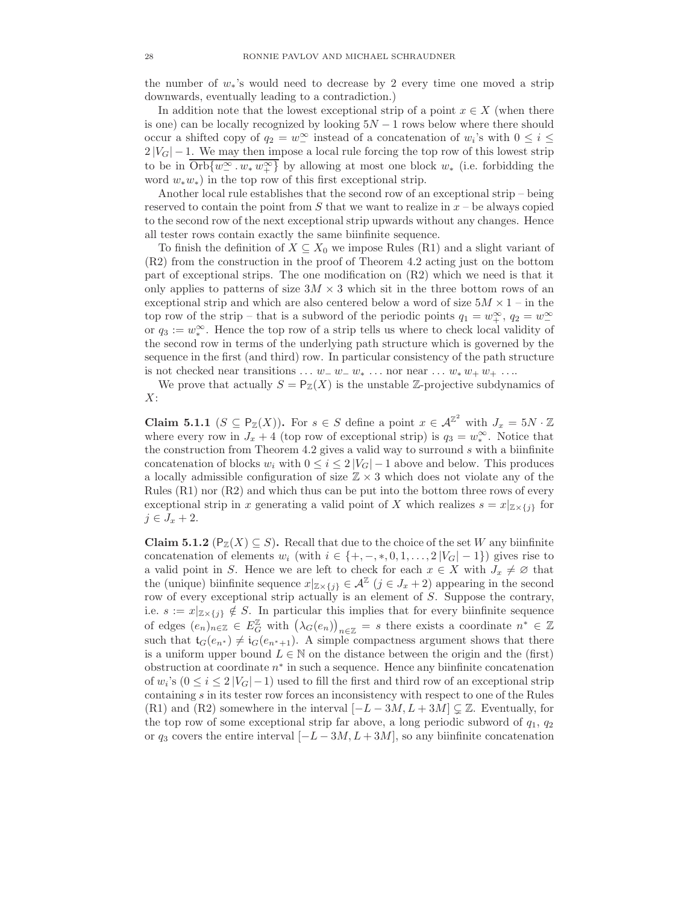the number of  $w_*$ 's would need to decrease by 2 every time one moved a strip downwards, eventually leading to a contradiction.)

In addition note that the lowest exceptional strip of a point  $x \in X$  (when there is one) can be locally recognized by looking  $5N - 1$  rows below where there should occur a shifted copy of  $q_2 = w_1^{\infty}$  instead of a concatenation of  $w_i$ 's with  $0 \le i \le$  $2|V_G| - 1$ . We may then impose a local rule forcing the top row of this lowest strip to be in  $Orb{w^{\infty}_-, w_* w^{\infty}_+}$  by allowing at most one block  $w_*$  (i.e. forbidding the word  $w_*w_*$ ) in the top row of this first exceptional strip.

Another local rule establishes that the second row of an exceptional strip – being reserved to contain the point from  $S$  that we want to realize in  $x - b$  always copied to the second row of the next exceptional strip upwards without any changes. Hence all tester rows contain exactly the same biinfinite sequence.

To finish the definition of  $X \subseteq X_0$  we impose Rules (R1) and a slight variant of (R2) from the construction in the proof of Theorem 4.2 acting just on the bottom part of exceptional strips. The one modification on (R2) which we need is that it only applies to patterns of size  $3M \times 3$  which sit in the three bottom rows of an exceptional strip and which are also centered below a word of size  $5M \times 1$  – in the top row of the strip – that is a subword of the periodic points  $q_1 = w_+^{\infty}$ ,  $q_2 = w_-^{\infty}$ or  $q_3 := w_*^{\infty}$ . Hence the top row of a strip tells us where to check local validity of the second row in terms of the underlying path structure which is governed by the sequence in the first (and third) row. In particular consistency of the path structure is not checked near transitions  $\dots w_{-} w_{-} w_{*} \dots$  nor near  $\dots w_{*} w_{+} w_{+} \dots$ 

We prove that actually  $S = \mathsf{P}_{\mathbb{Z}}(X)$  is the unstable Z-projective subdynamics of  $X$ :

**Claim 5.1.1** ( $S \subseteq \mathsf{P}_{\mathbb{Z}}(X)$ ). For  $s \in S$  define a point  $x \in \mathcal{A}^{\mathbb{Z}^2}$  with  $J_x = 5N \cdot \mathbb{Z}$ where every row in  $J_x + 4$  (top row of exceptional strip) is  $q_3 = w_*^{\infty}$ . Notice that the construction from Theorem 4.2 gives a valid way to surround  $s$  with a biinfinite concatenation of blocks  $w_i$  with  $0 \leq i \leq 2 |V_G| - 1$  above and below. This produces a locally admissible configuration of size  $\mathbb{Z} \times 3$  which does not violate any of the Rules (R1) nor (R2) and which thus can be put into the bottom three rows of every exceptional strip in x generating a valid point of X which realizes  $s = x|_{\mathbb{Z} \times \{j\}}$  for  $j \in J_x + 2$ .

Claim 5.1.2 ( $P_{\mathbb{Z}}(X) \subseteq S$ ). Recall that due to the choice of the set W any biinfinite concatenation of elements  $w_i$  (with  $i \in \{+, -, *, 0, 1, \ldots, 2|V_G|-1\}$ ) gives rise to a valid point in S. Hence we are left to check for each  $x \in X$  with  $J_x \neq \emptyset$  that the (unique) biinfinite sequence  $x|_{\mathbb{Z}\times\{j\}} \in \mathcal{A}^{\mathbb{Z}}$   $(j \in J_x + 2)$  appearing in the second row of every exceptional strip actually is an element of S. Suppose the contrary, i.e.  $s := x|_{\mathbb{Z} \times \{j\}} \notin S$ . In particular this implies that for every biinfinite sequence of edges  $(e_n)_{n\in\mathbb{Z}}\in E_G^{\mathbb{Z}}$  with  $(\lambda_G(e_n))_{n\in\mathbb{Z}}=s$  there exists a coordinate  $n^*\in\mathbb{Z}$ such that  $t_G(e_{n^*}) \neq i_G(e_{n^*+1})$ . A simple compactness argument shows that there is a uniform upper bound  $L \in \mathbb{N}$  on the distance between the origin and the (first) obstruction at coordinate  $n^*$  in such a sequence. Hence any biinfinite concatenation of  $w_i$ 's  $(0 \le i \le 2 |V_G|-1)$  used to fill the first and third row of an exceptional strip containing  $s$  in its tester row forces an inconsistency with respect to one of the Rules (R1) and (R2) somewhere in the interval  $[-L - 3M, L + 3M] \subsetneq \mathbb{Z}$ . Eventually, for the top row of some exceptional strip far above, a long periodic subword of  $q_1, q_2$ or  $q_3$  covers the entire interval  $[-L - 3M, L + 3M]$ , so any biinfinite concatenation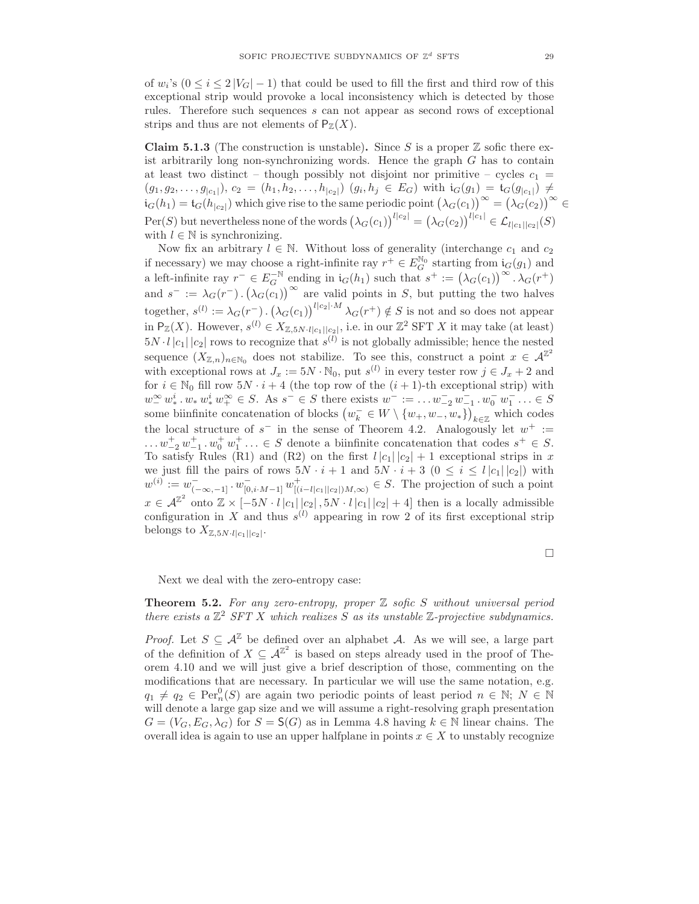of  $w_i$ 's  $(0 \le i \le 2|V_G|-1)$  that could be used to fill the first and third row of this exceptional strip would provoke a local inconsistency which is detected by those rules. Therefore such sequences s can not appear as second rows of exceptional strips and thus are not elements of  $P_{\mathbb{Z}}(X)$ .

**Claim 5.1.3** (The construction is unstable). Since S is a proper  $\mathbb{Z}$  sofic there exist arbitrarily long non-synchronizing words. Hence the graph  $G$  has to contain at least two distinct – though possibly not disjoint nor primitive – cycles  $c_1$  =  $(g_1, g_2, \ldots, g_{|c_1|}), c_2 = (h_1, h_2, \ldots, h_{|c_2|}) (g_i, h_j \in E_G)$  with  $i_G(g_1) = i_G(g_{|c_1|}) \neq$  $i_G(h_1) = i_G(h_{|c_2|})$  which give rise to the same periodic point  $(\lambda_G(c_1))^{\infty} = (\lambda_G(c_2))^{\infty} \in$  $\text{Per}(S)$  but nevertheless none of the words  $(\lambda_G(c_1))^{l|c_2|} = (\lambda_G(c_2))^{l|c_1|} \in \mathcal{L}_{l|c_1||c_2|}(S)$ with  $l \in \mathbb{N}$  is synchronizing.

Now fix an arbitrary  $l \in \mathbb{N}$ . Without loss of generality (interchange  $c_1$  and  $c_2$ ) if necessary) we may choose a right-infinite ray  $r^+ \in E_G^{\mathbb{N}_0}$  starting from  $i_G(g_1)$  and a left-infinite ray  $r^- \in E_G^{-\mathbb{N}}$  ending in  $i_G(h_1)$  such that  $s^+ := (\lambda_G(c_1))^{\infty} \cdot \lambda_G(r^+)$ and  $s^- := \lambda_G(r^-) \cdot (\lambda_G(c_1))^{\infty}$  are valid points in S, but putting the two halves together,  $s^{(l)} := \lambda_G(r^-)$ .  $(\lambda_G(c_1))^{l|c_2| \cdot M} \lambda_G(r^+) \notin S$  is not and so does not appear in  $P_{\mathbb{Z}}(X)$ . However,  $s^{(l)} \in X_{\mathbb{Z}, 5N \cdot l | c_1 || c_2 |}$ , i.e. in our  $\mathbb{Z}^2$  SFT X it may take (at least)  $5N \cdot l |c_1||c_2|$  rows to recognize that  $s^{(l)}$  is not globally admissible; hence the nested sequence  $(X_{\mathbb{Z},n})_{n\in\mathbb{N}_0}$  does not stabilize. To see this, construct a point  $x\in\mathcal{A}^{\mathbb{Z}^2}$ with exceptional rows at  $J_x := 5N \cdot \mathbb{N}_0$ , put  $s^{(l)}$  in every tester row  $j \in J_x + 2$  and for  $i \in \mathbb{N}_0$  fill row  $5N \cdot i + 4$  (the top row of the  $(i + 1)$ -th exceptional strip) with  $w_1^{\infty} w_*^i \cdot w_*^i w_+^{\infty} \in S$ . As  $s^- \in S$  there exists  $w^- := \dots w_{-2}^- w_{-1}^- \cdot w_0^- w_1^- \dots \in S$ some biinfinite concatenation of blocks  $(w_k^- \in W \setminus \{w_+, w_-, w_*\})_{k \in \mathbb{Z}}$  which codes the local structure of  $s^-$  in the sense of Theorem 4.2. Analogously let  $w^+ :=$  $\dots w_{-2}^+ w_{-1}^+ \dots \in S$  denote a biinfinite concatenation that codes  $s^+ \in S$ . To satisfy Rules (R1) and (R2) on the first  $l |c_1||c_2| + 1$  exceptional strips in x we just fill the pairs of rows  $5N \cdot i + 1$  and  $5N \cdot i + 3$   $(0 \le i \le l |c_1||c_2|)$  with  $w^{(i)} := w^-_{(-\infty, -1]} \cdot w^-_{[0, i \cdot M-1]} w^+_{([i-l]c_1||c_2|)M, \infty)} \in S$ . The projection of such a point  $x \in \mathcal{A}^{\mathbb{Z}^2}$  onto  $\mathbb{Z} \times [-5N \cdot l |c_1||c_2|, 5N \cdot l |c_1||c_2| + 4]$  then is a locally admissible configuration in X and thus  $s^{(l)}$  appearing in row 2 of its first exceptional strip belongs to  $X_{\mathbb{Z},5N \cdot l | c_1 || c_2 |}$ .

 $\Box$ 

Next we deal with the zero-entropy case:

**Theorem 5.2.** For any zero-entropy, proper  $\mathbb Z$  sofic  $S$  without universal period there exists a  $\mathbb{Z}^2$  SFT X which realizes S as its unstable  $\mathbb{Z}$ -projective subdynamics.

*Proof.* Let  $S \subseteq \mathcal{A}^{\mathbb{Z}}$  be defined over an alphabet A. As we will see, a large part of the definition of  $X \subseteq \mathcal{A}^{\mathbb{Z}^2}$  is based on steps already used in the proof of Theorem 4.10 and we will just give a brief description of those, commenting on the modifications that are necessary. In particular we will use the same notation, e.g.  $q_1 \neq q_2 \in \text{Per}_n^0(S)$  are again two periodic points of least period  $n \in \mathbb{N}; N \in \mathbb{N}$ will denote a large gap size and we will assume a right-resolving graph presentation  $G = (V_G, E_G, \lambda_G)$  for  $S = S(G)$  as in Lemma 4.8 having  $k \in \mathbb{N}$  linear chains. The overall idea is again to use an upper halfplane in points  $x \in X$  to unstably recognize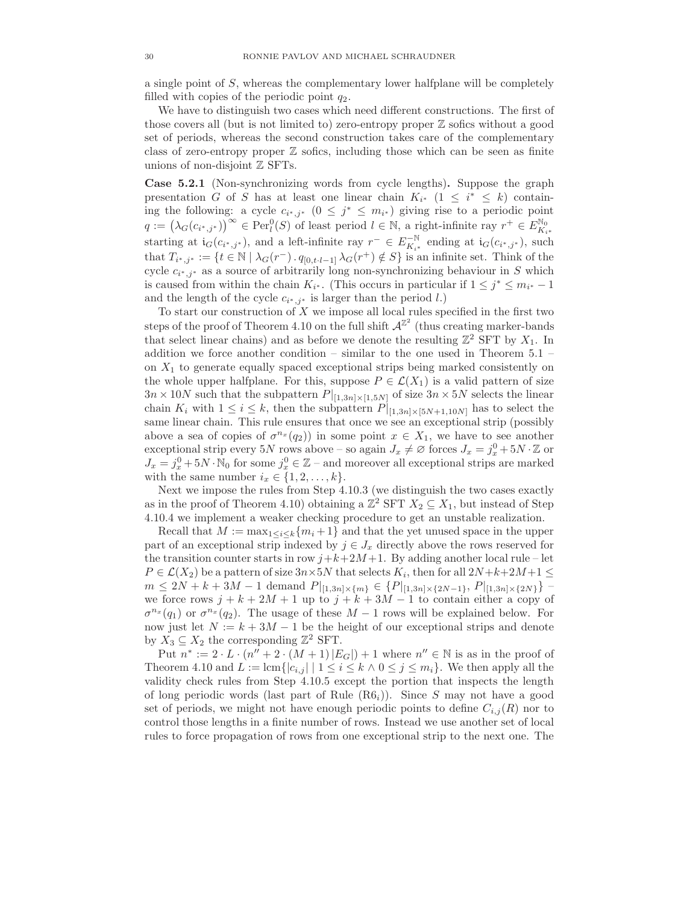a single point of S, whereas the complementary lower halfplane will be completely filled with copies of the periodic point  $q_2$ .

We have to distinguish two cases which need different constructions. The first of those covers all (but is not limited to) zero-entropy proper Z sofics without a good set of periods, whereas the second construction takes care of the complementary class of zero-entropy proper  $\mathbb Z$  sofics, including those which can be seen as finite unions of non-disjoint  $\mathbb Z$  SFTs.

Case 5.2.1 (Non-synchronizing words from cycle lengths). Suppose the graph presentation G of S has at least one linear chain  $K_{i^*}$  (1  $\leq i^* \leq k$ ) containing the following: a cycle  $c_{i^*,j^*}$   $(0 \leq j^* \leq m_{i^*})$  giving rise to a periodic point  $q := (\lambda_G(c_{i^*,j^*}))^{\infty} \in \text{Per}_l^0(S)$  of least period  $l \in \mathbb{N}$ , a right-infinite ray  $r^+ \in E_{K_{i^*}}^{\mathbb{N}_0}$ starting at  $i_G(c_{i^*,j^*})$ , and a left-infinite ray  $r^- \in E_{K_{i^*}}^{-\mathbb{N}}$  ending at  $i_G(c_{i^*,j^*})$ , such that  $T_{i^*,j^*} := \{t \in \mathbb{N} \mid \lambda_G(r^-) \cdot q_{[0,t \cdot l-1]} \lambda_G(r^+) \notin S\}$  is an infinite set. Think of the cycle  $c_{i^*,j^*}$  as a source of arbitrarily long non-synchronizing behaviour in S which is caused from within the chain  $K_{i^*}$ . (This occurs in particular if  $1 \leq j^* \leq m_{i^*} - 1$ and the length of the cycle  $c_{i^*,j^*}$  is larger than the period l.)

To start our construction of  $X$  we impose all local rules specified in the first two steps of the proof of Theorem 4.10 on the full shift  $\mathcal{A}^{\mathbb{Z}^2}$  (thus creating marker-bands that select linear chains) and as before we denote the resulting  $\mathbb{Z}^2$  SFT by  $X_1$ . In addition we force another condition – similar to the one used in Theorem 5.1 – on  $X_1$  to generate equally spaced exceptional strips being marked consistently on the whole upper halfplane. For this, suppose  $P \in \mathcal{L}(X_1)$  is a valid pattern of size  $3n \times 10N$  such that the subpattern  $P|_{[1,3n] \times [1,5N]}$  of size  $3n \times 5N$  selects the linear chain  $K_i$  with  $1 \leq i \leq k$ , then the subpattern  $P|_{[1,3n] \times [5N+1,10N]}$  has to select the same linear chain. This rule ensures that once we see an exceptional strip (possibly above a sea of copies of  $\sigma^{n_x}(q_2)$  in some point  $x \in X_1$ , we have to see another exceptional strip every  $5N$  rows above – so again  $J_x \neq \emptyset$  forces  $J_x = j_x^0 + 5N \cdot \mathbb{Z}$  or  $J_x = j_x^0 + 5N \cdot \mathbb{N}_0$  for some  $j_x^0 \in \mathbb{Z}$  – and moreover all exceptional strips are marked with the same number  $i_x \in \{1, 2, ..., k\}.$ 

Next we impose the rules from Step 4.10.3 (we distinguish the two cases exactly as in the proof of Theorem 4.10) obtaining a  $\mathbb{Z}^2$  SFT  $X_2 \subseteq X_1$ , but instead of Step 4.10.4 we implement a weaker checking procedure to get an unstable realization.

Recall that  $M := \max_{1 \leq i \leq k} \{m_i + 1\}$  and that the yet unused space in the upper part of an exceptional strip indexed by  $j \in J_x$  directly above the rows reserved for the transition counter starts in row  $j+k+2M+1$ . By adding another local rule – let  $P \in \mathcal{L}(X_2)$  be a pattern of size  $3n \times 5N$  that selects  $K_i$ , then for all  $2N+k+2M+1 \leq$  $m \leq 2N + k + 3M - 1$  demand  $P|_{[1,3n] \times \{m\}} \in \{P|_{[1,3n] \times \{2N-1\}}, P|_{[1,3n] \times \{2N\}}\}$  – we force rows  $j + k + 2M + 1$  up to  $j + k + 3M - 1$  to contain either a copy of  $\sigma^{n_x}(q_1)$  or  $\sigma^{n_x}(q_2)$ . The usage of these  $M-1$  rows will be explained below. For now just let  $N := k + 3M - 1$  be the height of our exceptional strips and denote by  $X_3 \subseteq X_2$  the corresponding  $\mathbb{Z}^2$  SFT.

Put  $n^* := 2 \cdot L \cdot (n'' + 2 \cdot (M + 1) |E_G|) + 1$  where  $n'' \in \mathbb{N}$  is as in the proof of Theorem 4.10 and  $L := \text{lcm}\{|c_{i,j}| \mid 1 \leq i \leq k \land 0 \leq j \leq m_i\}$ . We then apply all the validity check rules from Step 4.10.5 except the portion that inspects the length of long periodic words (last part of Rule  $(R6<sub>i</sub>)$ ). Since S may not have a good set of periods, we might not have enough periodic points to define  $C_{i,j}(R)$  nor to control those lengths in a finite number of rows. Instead we use another set of local rules to force propagation of rows from one exceptional strip to the next one. The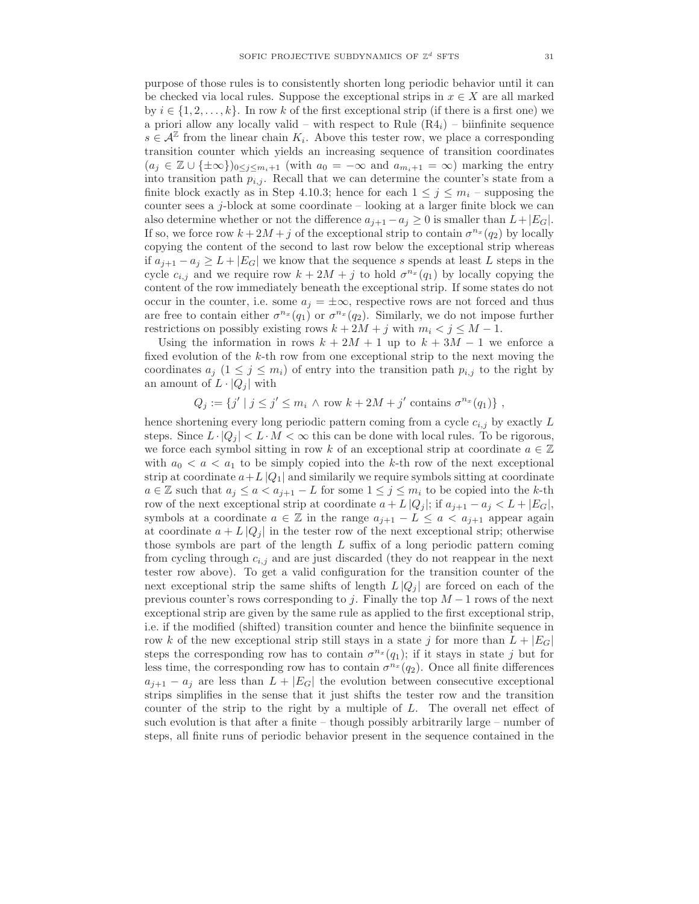purpose of those rules is to consistently shorten long periodic behavior until it can be checked via local rules. Suppose the exceptional strips in  $x \in X$  are all marked by  $i \in \{1, 2, \ldots, k\}$ . In row k of the first exceptional strip (if there is a first one) we a priori allow any locally valid – with respect to Rule  $(R4<sub>i</sub>)$  – biinfinite sequence  $s \in \mathcal{A}^{\mathbb{Z}}$  from the linear chain  $K_i$ . Above this tester row, we place a corresponding transition counter which yields an increasing sequence of transition coordinates  $(a_j \in \mathbb{Z} \cup \{\pm \infty\})_{0 \leq j \leq m_i+1}$  (with  $a_0 = -\infty$  and  $a_{m_i+1} = \infty$ ) marking the entry into transition path  $p_{i,j}$ . Recall that we can determine the counter's state from a finite block exactly as in Step 4.10.3; hence for each  $1 \leq j \leq m_i$  – supposing the counter sees a  $j$ -block at some coordinate – looking at a larger finite block we can also determine whether or not the difference  $a_{j+1} - a_j \geq 0$  is smaller than  $L + |E_G|$ . If so, we force row  $k + 2M + j$  of the exceptional strip to contain  $\sigma^{n_x}(q_2)$  by locally copying the content of the second to last row below the exceptional strip whereas if  $a_{j+1} - a_j \geq L + |E_G|$  we know that the sequence s spends at least L steps in the cycle  $c_{i,j}$  and we require row  $k+2M+j$  to hold  $\sigma^{n_x}(q_1)$  by locally copying the content of the row immediately beneath the exceptional strip. If some states do not occur in the counter, i.e. some  $a_j = \pm \infty$ , respective rows are not forced and thus are free to contain either  $\sigma^{n_x}(q_1)$  or  $\sigma^{n_x}(q_2)$ . Similarly, we do not impose further restrictions on possibly existing rows  $k + 2M + j$  with  $m_i < j \leq M - 1$ .

Using the information in rows  $k + 2M + 1$  up to  $k + 3M - 1$  we enforce a fixed evolution of the k-th row from one exceptional strip to the next moving the coordinates  $a_j$   $(1 \leq j \leq m_i)$  of entry into the transition path  $p_{i,j}$  to the right by an amount of  $L \cdot |Q_i|$  with

 $Q_j := \{j' \mid j \leq j' \leq m_i \land \text{row } k + 2M + j' \text{ contains } \sigma^{n_x}(q_1) \},$ 

hence shortening every long periodic pattern coming from a cycle  $c_{i,j}$  by exactly  $L$ steps. Since  $L \cdot |Q_i| < L \cdot M < \infty$  this can be done with local rules. To be rigorous, we force each symbol sitting in row k of an exceptional strip at coordinate  $a \in \mathbb{Z}$ with  $a_0 < a < a_1$  to be simply copied into the k-th row of the next exceptional strip at coordinate  $a+L|Q_1|$  and similarly we require symbols sitting at coordinate  $a \in \mathbb{Z}$  such that  $a_j \leq a \leq a_{j+1} - L$  for some  $1 \leq j \leq m_i$  to be copied into the k-th row of the next exceptional strip at coordinate  $a + L |Q_j|$ ; if  $a_{j+1} - a_j < L + |E_G|$ , symbols at a coordinate  $a \in \mathbb{Z}$  in the range  $a_{j+1} - L \le a < a_{j+1}$  appear again at coordinate  $a + L |Q_j|$  in the tester row of the next exceptional strip; otherwise those symbols are part of the length  $L$  suffix of a long periodic pattern coming from cycling through  $c_{i,j}$  and are just discarded (they do not reappear in the next tester row above). To get a valid configuration for the transition counter of the next exceptional strip the same shifts of length  $L |Q_i|$  are forced on each of the previous counter's rows corresponding to j. Finally the top  $M-1$  rows of the next exceptional strip are given by the same rule as applied to the first exceptional strip, i.e. if the modified (shifted) transition counter and hence the biinfinite sequence in row k of the new exceptional strip still stays in a state j for more than  $L + |E_G|$ steps the corresponding row has to contain  $\sigma^{n_x}(q_1)$ ; if it stays in state j but for less time, the corresponding row has to contain  $\sigma^{n_x}(q_2)$ . Once all finite differences  $a_{j+1} - a_j$  are less than  $L + |E_G|$  the evolution between consecutive exceptional strips simplifies in the sense that it just shifts the tester row and the transition counter of the strip to the right by a multiple of L. The overall net effect of such evolution is that after a finite – though possibly arbitrarily large – number of steps, all finite runs of periodic behavior present in the sequence contained in the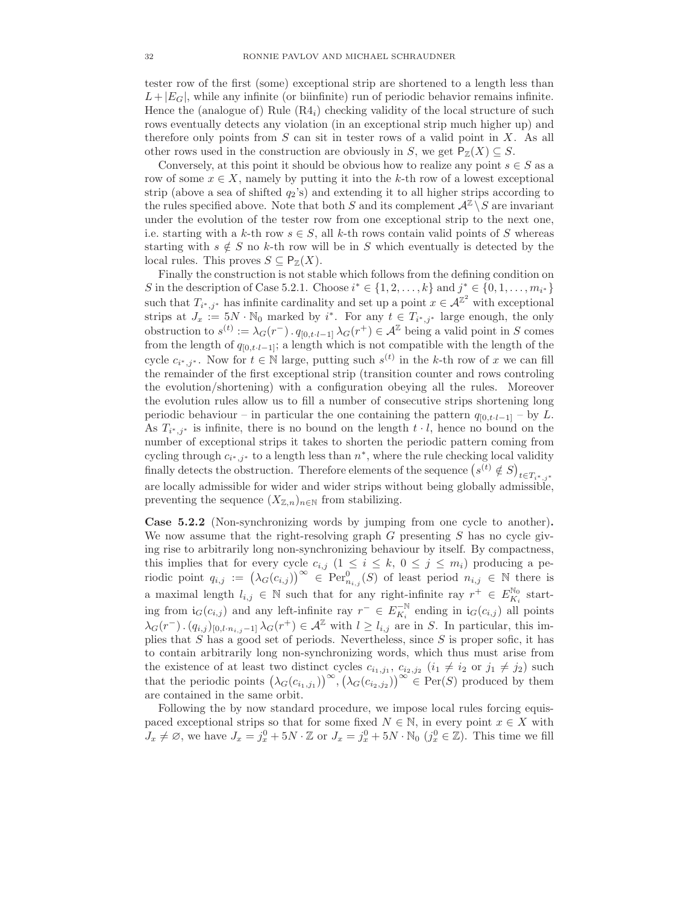tester row of the first (some) exceptional strip are shortened to a length less than  $L+|E_G|$ , while any infinite (or biinfinite) run of periodic behavior remains infinite. Hence the (analogue of) Rule  $(R4<sub>i</sub>)$  checking validity of the local structure of such rows eventually detects any violation (in an exceptional strip much higher up) and therefore only points from  $S$  can sit in tester rows of a valid point in  $X$ . As all other rows used in the construction are obviously in S, we get  $P_Z(X) \subseteq S$ .

Conversely, at this point it should be obvious how to realize any point  $s \in S$  as a row of some  $x \in X$ , namely by putting it into the k-th row of a lowest exceptional strip (above a sea of shifted  $q_2$ 's) and extending it to all higher strips according to the rules specified above. Note that both S and its complement  $\mathcal{A}^{\mathbb{Z}} \setminus S$  are invariant under the evolution of the tester row from one exceptional strip to the next one, i.e. starting with a k-th row  $s \in S$ , all k-th rows contain valid points of S whereas starting with  $s \notin S$  no k-th row will be in S which eventually is detected by the local rules. This proves  $S \subseteq \mathsf{P}_{\mathbb{Z}}(X)$ .

Finally the construction is not stable which follows from the defining condition on S in the description of Case 5.2.1. Choose  $i^* \in \{1, 2, ..., k\}$  and  $j^* \in \{0, 1, ..., m_{i^*}\}\$ such that  $T_{i^*,j^*}$  has infinite cardinality and set up a point  $x \in \mathcal{A}^{\mathbb{Z}^2}$  with exceptional strips at  $J_x := 5N \cdot \mathbb{N}_0$  marked by  $i^*$ . For any  $t \in T_{i^*,j^*}$  large enough, the only obstruction to  $s^{(t)} := \lambda_G(r^-) \cdot q_{[0,t \cdot l-1]} \lambda_G(r^+) \in \mathcal{A}^{\mathbb{Z}}$  being a valid point in S comes from the length of  $q_{[0,t\cdot l-1]}$ ; a length which is not compatible with the length of the cycle  $c_{i^*,j^*}$ . Now for  $t \in \mathbb{N}$  large, putting such  $s^{(t)}$  in the k-th row of x we can fill the remainder of the first exceptional strip (transition counter and rows controling the evolution/shortening) with a configuration obeying all the rules. Moreover the evolution rules allow us to fill a number of consecutive strips shortening long periodic behaviour – in particular the one containing the pattern  $q_{[0,t\cdot l-1]}$  – by L. As  $T_{i^*,j^*}$  is infinite, there is no bound on the length  $t \cdot l$ , hence no bound on the number of exceptional strips it takes to shorten the periodic pattern coming from cycling through  $c_{i^*,j^*}$  to a length less than  $n^*$ , where the rule checking local validity finally detects the obstruction. Therefore elements of the sequence  $(s^{(t)} \notin S)_{t \in T_{i^*,j^*}}$ are locally admissible for wider and wider strips without being globally admissible, preventing the sequence  $(X_{\mathbb{Z},n})_{n\in\mathbb{N}}$  from stabilizing.

Case 5.2.2 (Non-synchronizing words by jumping from one cycle to another). We now assume that the right-resolving graph  $G$  presenting  $S$  has no cycle giving rise to arbitrarily long non-synchronizing behaviour by itself. By compactness, this implies that for every cycle  $c_{i,j}$   $(1 \leq i \leq k, 0 \leq j \leq m_i)$  producing a periodic point  $q_{i,j} := (\lambda_G(c_{i,j}))^\infty \in \operatorname{Per}_{n_{i,j}}^0(S)$  of least period  $n_{i,j} \in \mathbb{N}$  there is a maximal length  $l_{i,j} \in \mathbb{N}$  such that for any right-infinite ray  $r^+ \in E_{K_i}^{\mathbb{N}_0}$  starting from  $\mathfrak{i}_G(c_{i,j})$  and any left-infinite ray  $r^- \in E_{K_i}^{-\mathbb{N}}$  ending in  $\mathfrak{i}_G(c_{i,j})$  all points  $\lambda_G(r^-)$ .  $(q_{i,j})_{[0,l\cdot n_{i,j}-1]}\lambda_G(r^+) \in \mathcal{A}^{\mathbb{Z}}$  with  $l \geq l_{i,j}$  are in S. In particular, this implies that  $S$  has a good set of periods. Nevertheless, since  $S$  is proper sofic, it has to contain arbitrarily long non-synchronizing words, which thus must arise from the existence of at least two distinct cycles  $c_{i_1,j_1}, c_{i_2,j_2}$   $(i_1 \neq i_2 \text{ or } j_1 \neq j_2)$  such that the periodic points  $(\lambda_G(c_{i_1,j_1}))^{\infty}, (\lambda_G(c_{i_2,j_2}))^{\infty} \in \text{Per}(S)$  produced by them are contained in the same orbit.

Following the by now standard procedure, we impose local rules forcing equispaced exceptional strips so that for some fixed  $N \in \mathbb{N}$ , in every point  $x \in X$  with  $J_x \neq \emptyset$ , we have  $J_x = j_x^0 + 5N \cdot \mathbb{Z}$  or  $J_x = j_x^0 + 5N \cdot \mathbb{N}_0$   $(j_x^0 \in \mathbb{Z})$ . This time we fill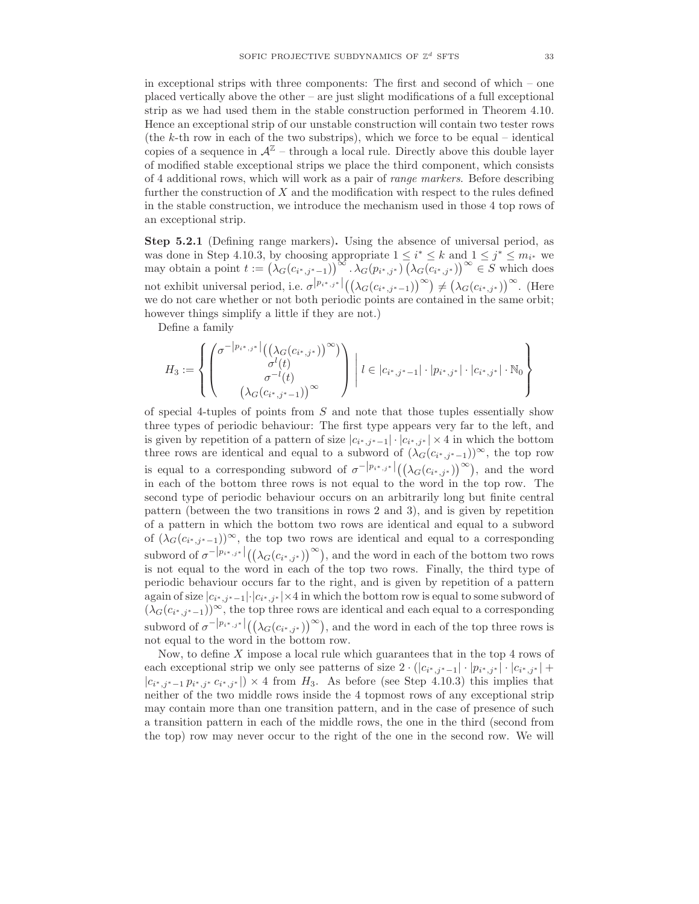in exceptional strips with three components: The first and second of which – one placed vertically above the other – are just slight modifications of a full exceptional strip as we had used them in the stable construction performed in Theorem 4.10. Hence an exceptional strip of our unstable construction will contain two tester rows (the  $k$ -th row in each of the two substrips), which we force to be equal – identical copies of a sequence in  $\mathcal{A}^{\mathbb{Z}}$  – through a local rule. Directly above this double layer of modified stable exceptional strips we place the third component, which consists of 4 additional rows, which will work as a pair of range markers. Before describing further the construction of X and the modification with respect to the rules defined in the stable construction, we introduce the mechanism used in those 4 top rows of an exceptional strip.

Step 5.2.1 (Defining range markers). Using the absence of universal period, as was done in Step 4.10.3, by choosing appropriate  $1 \le i^* \le k$  and  $1 \le j^* \le m_{i^*}$  we may obtain a point  $t := (\lambda_G(c_{i^*,j^*-1}))^{\infty} \cdot \lambda_G(p_{i^*,j^*}) \cdot (\lambda_G(c_{i^*,j^*}))^{\infty} \in S$  which does not exhibit universal period, i.e.  $\sigma^{p_i^*,j^*}|((\lambda_G(c_{i^*,j^*-1}))^{\infty}) \neq (\lambda_G(c_{i^*,j^*}))^{\infty}$ . (Here we do not care whether or not both periodic points are contained in the same orbit; however things simplify a little if they are not.)

Define a family

$$
H_3 := \left\{ \begin{pmatrix} \sigma^{-|p_{i^*,j^*}|} \left( \left( \lambda_G(c_{i^*,j^*}) \right)^{\infty} \right) \\ \sigma^l(t) \\ \sigma^{-l}(t) \\ \left( \lambda_G(c_{i^*,j^*-1}) \right)^{\infty} \end{pmatrix} \middle| t \in |c_{i^*,j^*-1}| \cdot |p_{i^*,j^*}| \cdot |c_{i^*,j^*}| \cdot \mathbb{N}_0 \right\}
$$

of special 4-tuples of points from S and note that those tuples essentially show three types of periodic behaviour: The first type appears very far to the left, and is given by repetition of a pattern of size  $|c_{i^*,j^*-1}| \cdot |c_{i^*,j^*}| \times 4$  in which the bottom three rows are identical and equal to a subword of  $(\lambda_G(c_{i^*,j^*-1}))^{\infty}$ , the top row is equal to a corresponding subword of  $\sigma^{-|p_{i^*,j^*}|}((\lambda_G(c_{i^*,j^*}))^{\infty})$ , and the word in each of the bottom three rows is not equal to the word in the top row. The second type of periodic behaviour occurs on an arbitrarily long but finite central pattern (between the two transitions in rows 2 and 3), and is given by repetition of a pattern in which the bottom two rows are identical and equal to a subword of  $(\lambda_G(c_{i^*,j^*-1}))^{\infty}$ , the top two rows are identical and equal to a corresponding subword of  $\sigma^{-|p_{i^*,j^*}|}((\lambda_G(c_{i^*,j^*}))^{\infty})$ , and the word in each of the bottom two rows is not equal to the word in each of the top two rows. Finally, the third type of periodic behaviour occurs far to the right, and is given by repetition of a pattern again of size  $|c_{i^*,j^*-1}| \cdot |c_{i^*,j^*}| \times 4$  in which the bottom row is equal to some subword of  $(\lambda_G(c_{i^*,j^*-1}))^{\infty}$ , the top three rows are identical and each equal to a corresponding subword of  $\sigma^{-|p_{i^*,j^*}|}((\lambda_G(c_{i^*,j^*}))^{\infty})$ , and the word in each of the top three rows is not equal to the word in the bottom row.

Now, to define  $X$  impose a local rule which guarantees that in the top 4 rows of each exceptional strip we only see patterns of size  $2 \cdot (|c_{i^*,j^*-1}| \cdot |p_{i^*,j^*}| \cdot |c_{i^*,j^*}| +$  $|c_{i^*,j^*-1}p_{i^*,j^*}c_{i^*,j^*}|\rangle \times 4$  from  $H_3$ . As before (see Step 4.10.3) this implies that neither of the two middle rows inside the 4 topmost rows of any exceptional strip may contain more than one transition pattern, and in the case of presence of such a transition pattern in each of the middle rows, the one in the third (second from the top) row may never occur to the right of the one in the second row. We will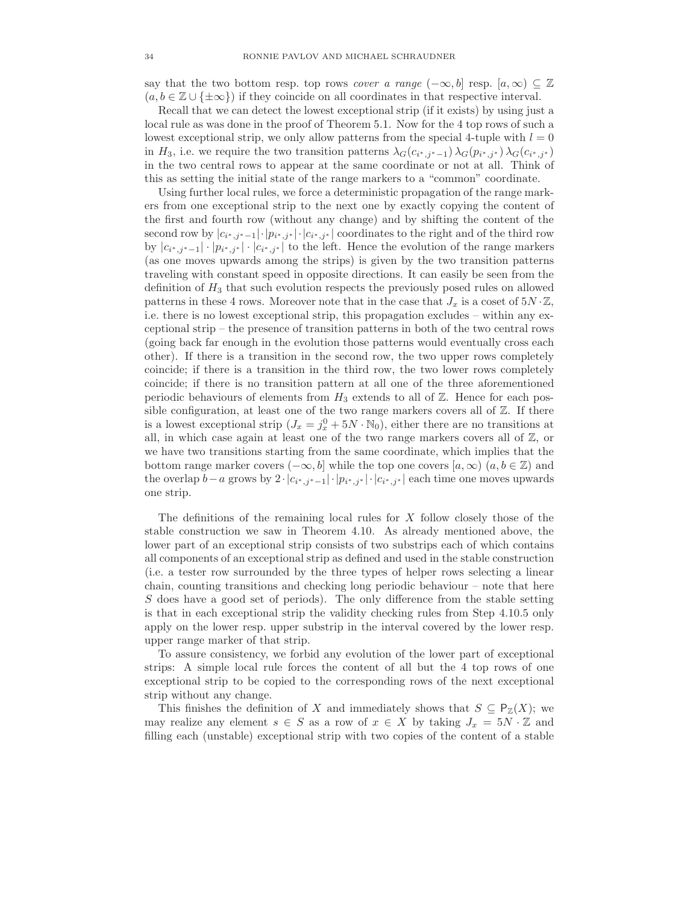say that the two bottom resp. top rows *cover a range* ( $-\infty$ , b) resp. [a,  $\infty$ ) ⊂ Z  $(a, b \in \mathbb{Z} \cup {\{\pm \infty\}})$  if they coincide on all coordinates in that respective interval.

Recall that we can detect the lowest exceptional strip (if it exists) by using just a local rule as was done in the proof of Theorem 5.1. Now for the 4 top rows of such a lowest exceptional strip, we only allow patterns from the special 4-tuple with  $l = 0$ in  $H_3$ , i.e. we require the two transition patterns  $\lambda_G(c_{i^*,j^*-1}) \lambda_G(p_{i^*,j^*}) \lambda_G(c_{i^*,j^*})$ in the two central rows to appear at the same coordinate or not at all. Think of this as setting the initial state of the range markers to a "common" coordinate.

Using further local rules, we force a deterministic propagation of the range markers from one exceptional strip to the next one by exactly copying the content of the first and fourth row (without any change) and by shifting the content of the second row by  $|c_{i^*,j^*-1}|\cdot|p_{i^*,j^*}|\cdot|c_{i^*,j^*}|$  coordinates to the right and of the third row by  $|c_{i^*,j^*-1}| \cdot |p_{i^*,j^*}| \cdot |c_{i^*,j^*}|$  to the left. Hence the evolution of the range markers (as one moves upwards among the strips) is given by the two transition patterns traveling with constant speed in opposite directions. It can easily be seen from the definition of  $H_3$  that such evolution respects the previously posed rules on allowed patterns in these 4 rows. Moreover note that in the case that  $J_x$  is a coset of  $5N \cdot \mathbb{Z}$ , i.e. there is no lowest exceptional strip, this propagation excludes – within any exceptional strip – the presence of transition patterns in both of the two central rows (going back far enough in the evolution those patterns would eventually cross each other). If there is a transition in the second row, the two upper rows completely coincide; if there is a transition in the third row, the two lower rows completely coincide; if there is no transition pattern at all one of the three aforementioned periodic behaviours of elements from  $H_3$  extends to all of  $\mathbb{Z}$ . Hence for each possible configuration, at least one of the two range markers covers all of  $\mathbb{Z}$ . If there is a lowest exceptional strip  $(J_x = j_x^0 + 5N \cdot \mathbb{N}_0)$ , either there are no transitions at all, in which case again at least one of the two range markers covers all of Z, or we have two transitions starting from the same coordinate, which implies that the bottom range marker covers  $(-\infty, b]$  while the top one covers  $[a, \infty)$   $(a, b \in \mathbb{Z})$  and the overlap  $b-a$  grows by  $2 \cdot |c_{i^*,j^*}-1| \cdot |p_{i^*,j^*}| \cdot |c_{i^*,j^*}|$  each time one moves upwards one strip.

The definitions of the remaining local rules for X follow closely those of the stable construction we saw in Theorem 4.10. As already mentioned above, the lower part of an exceptional strip consists of two substrips each of which contains all components of an exceptional strip as defined and used in the stable construction (i.e. a tester row surrounded by the three types of helper rows selecting a linear chain, counting transitions and checking long periodic behaviour – note that here S does have a good set of periods). The only difference from the stable setting is that in each exceptional strip the validity checking rules from Step 4.10.5 only apply on the lower resp. upper substrip in the interval covered by the lower resp. upper range marker of that strip.

To assure consistency, we forbid any evolution of the lower part of exceptional strips: A simple local rule forces the content of all but the 4 top rows of one exceptional strip to be copied to the corresponding rows of the next exceptional strip without any change.

This finishes the definition of X and immediately shows that  $S \subseteq \mathsf{P}_{\mathbb{Z}}(X)$ ; we may realize any element  $s \in S$  as a row of  $x \in X$  by taking  $J_x = 5N \cdot \mathbb{Z}$  and filling each (unstable) exceptional strip with two copies of the content of a stable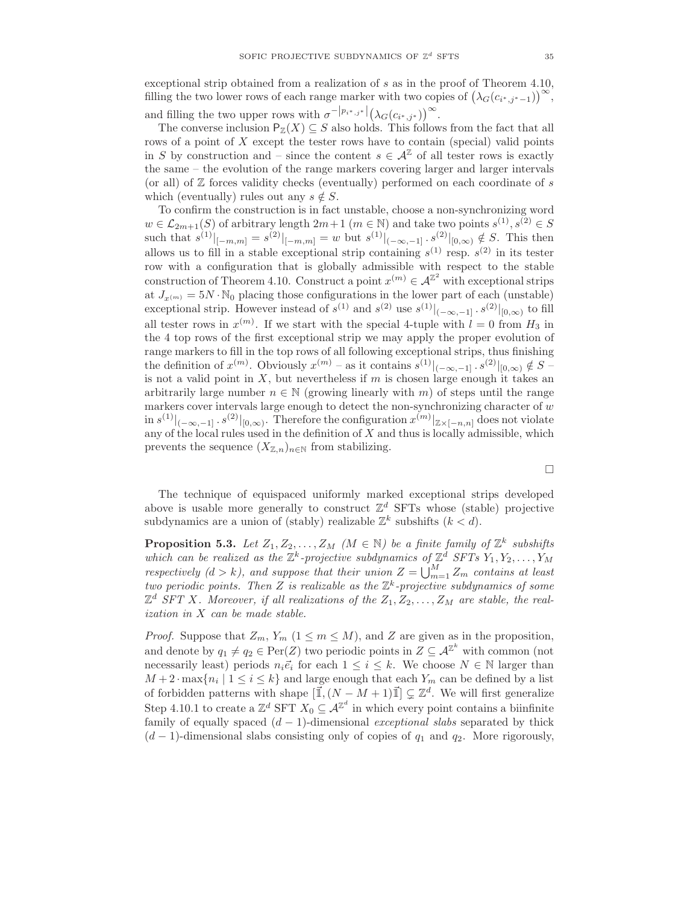exceptional strip obtained from a realization of s as in the proof of Theorem 4.10, filling the two lower rows of each range marker with two copies of  $(\lambda_G(c_{i^*,j^*-1}))^{\infty}$ , and filling the two upper rows with  $\sigma^{-|p_{i^*,j^*}|}(\lambda_G(c_{i^*,j^*}))^{\infty}$ .

The converse inclusion  $P_{\mathbb{Z}}(X) \subseteq S$  also holds. This follows from the fact that all rows of a point of X except the tester rows have to contain (special) valid points in S by construction and – since the content  $s \in \mathcal{A}^{\mathbb{Z}}$  of all tester rows is exactly the same – the evolution of the range markers covering larger and larger intervals (or all) of  $Z$  forces validity checks (eventually) performed on each coordinate of s which (eventually) rules out any  $s \notin S$ .

To confirm the construction is in fact unstable, choose a non-synchronizing word  $w \in \mathcal{L}_{2m+1}(S)$  of arbitrary length  $2m+1$   $(m \in \mathbb{N})$  and take two points  $s^{(1)}, s^{(2)} \in S$ such that  $s^{(1)}|_{[-m,m]} = s^{(2)}|_{[-m,m]} = w$  but  $s^{(1)}|_{(-\infty,-1]}$ .  $s^{(2)}|_{[0,\infty)} \notin S$ . This then allows us to fill in a stable exceptional strip containing  $s^{(1)}$  resp.  $s^{(2)}$  in its tester row with a configuration that is globally admissible with respect to the stable construction of Theorem 4.10. Construct a point  $x^{(m)} \in A^{\mathbb{Z}^2}$  with exceptional strips at  $J_{x^{(m)}} = 5N \cdot \mathbb{N}_0$  placing those configurations in the lower part of each (unstable) exceptional strip. However instead of  $s^{(1)}$  and  $s^{(2)}$  use  $s^{(1)}|_{(-\infty,-1]}$ .  $s^{(2)}|_{[0,\infty)}$  to fill all tester rows in  $x^{(m)}$ . If we start with the special 4-tuple with  $l = 0$  from  $H_3$  in the 4 top rows of the first exceptional strip we may apply the proper evolution of range markers to fill in the top rows of all following exceptional strips, thus finishing the definition of  $x^{(m)}$ . Obviously  $x^{(m)}$  – as it contains  $s^{(1)}|_{(-\infty,-1]}$ .  $s^{(2)}|_{[0,\infty)} \notin S$  – is not a valid point in X, but nevertheless if  $m$  is chosen large enough it takes an arbitrarily large number  $n \in \mathbb{N}$  (growing linearly with m) of steps until the range markers cover intervals large enough to detect the non-synchronizing character of  $w$  $\inf_{s \in S} s^{(1)}|_{(-\infty,-1]} \cdot s^{(2)}|_{[0,\infty)}$ . Therefore the configuration  $x^{(m)}|_{\mathbb{Z}\times[-n,n]}$  does not violate any of the local rules used in the definition of  $X$  and thus is locally admissible, which prevents the sequence  $(X_{\mathbb{Z},n})_{n\in\mathbb{N}}$  from stabilizing.

The technique of equispaced uniformly marked exceptional strips developed above is usable more generally to construct  $\mathbb{Z}^d$  SFTs whose (stable) projective subdynamics are a union of (stably) realizable  $\mathbb{Z}^k$  subshifts  $(k < d)$ .

**Proposition 5.3.** Let  $Z_1, Z_2, \ldots, Z_M$  ( $M \in \mathbb{N}$ ) be a finite family of  $\mathbb{Z}^k$  subshifts which can be realized as the  $\mathbb{Z}^k$ -projective subdynamics of  $\mathbb{Z}^d$  SFTs  $Y_1, Y_2, \ldots, Y_M$ respectively  $(d > k)$ , and suppose that their union  $Z = \bigcup_{m=1}^{M} Z_m$  contains at least two periodic points. Then Z is realizable as the  $\mathbb{Z}^k$ -projective subdynamics of some  $\mathbb{Z}^d$  SFT X. Moreover, if all realizations of the  $Z_1, Z_2, \ldots, Z_M$  are stable, the realization in X can be made stable.

*Proof.* Suppose that  $Z_m$ ,  $Y_m$   $(1 \leq m \leq M)$ , and Z are given as in the proposition, and denote by  $q_1 \neq q_2 \in \text{Per}(Z)$  two periodic points in  $Z \subseteq \mathcal{A}^{\mathbb{Z}^k}$  with common (not necessarily least) periods  $n_i\vec{e}_i$  for each  $1 \leq i \leq k$ . We choose  $N \in \mathbb{N}$  larger than  $M + 2 \cdot \max\{n_i \mid 1 \le i \le k\}$  and large enough that each  $Y_m$  can be defined by a list of forbidden patterns with shape  $[\vec{1},(N-M+1)\vec{1}] \subsetneq \mathbb{Z}^d$ . We will first generalize Step 4.10.1 to create a  $\mathbb{Z}^d$  SFT  $X_0 \subseteq \mathcal{A}^{\mathbb{Z}^d}$  in which every point contains a biinfinite family of equally spaced  $(d-1)$ -dimensional *exceptional slabs* separated by thick  $(d-1)$ -dimensional slabs consisting only of copies of  $q_1$  and  $q_2$ . More rigorously,

 $\Box$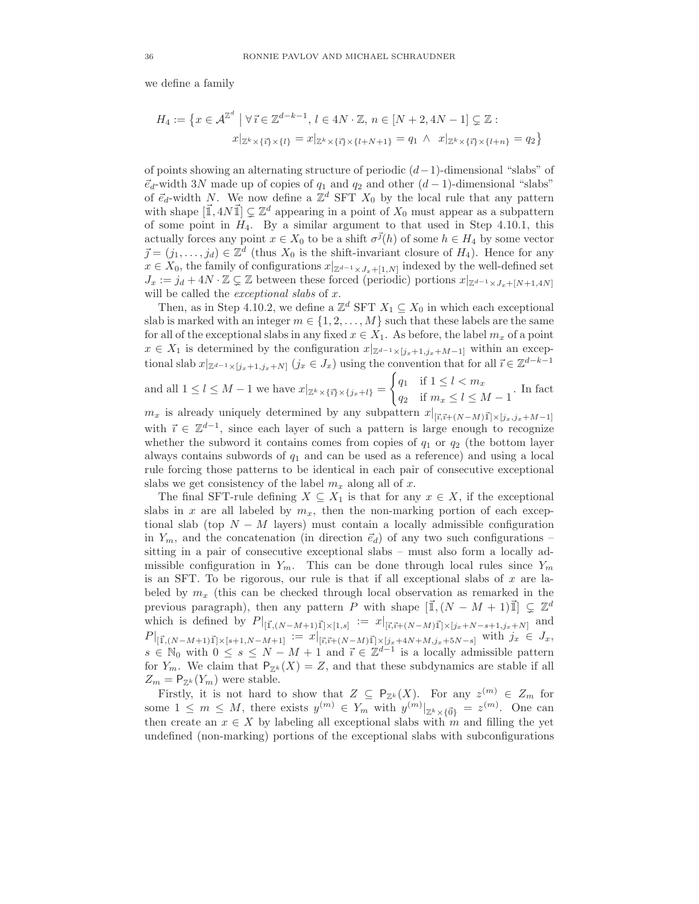we define a family

$$
H_4 := \{ x \in \mathcal{A}^{\mathbb{Z}^d} \mid \forall \vec{\imath} \in \mathbb{Z}^{d-k-1}, \, l \in 4N \cdot \mathbb{Z}, \, n \in [N+2, 4N-1] \subsetneq \mathbb{Z} : \\ x|_{\mathbb{Z}^k \times \{\vec{\imath}\} \times \{l\}} = x|_{\mathbb{Z}^k \times \{\vec{\imath}\} \times \{l+N+1\}} = q_1 \ \wedge \ x|_{\mathbb{Z}^k \times \{\vec{\imath}\} \times \{l+n\}} = q_2 \}
$$

of points showing an alternating structure of periodic (d−1)-dimensional "slabs" of  $\vec{e}_d$ -width 3N made up of copies of  $q_1$  and  $q_2$  and other  $(d-1)$ -dimensional "slabs" of  $\vec{e}_d$ -width N. We now define a  $\mathbb{Z}^d$  SFT  $X_0$  by the local rule that any pattern with shape  $[\mathbb{I}, 4N\mathbb{I}] \subsetneq \mathbb{Z}^d$  appearing in a point of  $X_0$  must appear as a subpattern of some point in  $H_4$ . By a similar argument to that used in Step 4.10.1, this actually forces any point  $x \in X_0$  to be a shift  $\sigma^{\vec{\jmath}}(h)$  of some  $h \in H_4$  by some vector  $\vec{j} = (j_1, \ldots, j_d) \in \mathbb{Z}^d$  (thus  $X_0$  is the shift-invariant closure of  $H_4$ ). Hence for any  $x \in X_0$ , the family of configurations  $x|_{\mathbb{Z}^{d-1} \times J_x + [1,N]}$  indexed by the well-defined set  $J_x := j_d + 4N \cdot \mathbb{Z} \subsetneq \mathbb{Z}$  between these forced (periodic) portions  $x|_{\mathbb{Z}^{d-1} \times J_x + [N+1,4N]}$ will be called the *exceptional slabs* of  $x$ .

Then, as in Step 4.10.2, we define a  $\mathbb{Z}^d$  SFT  $X_1 \subseteq X_0$  in which each exceptional slab is marked with an integer  $m \in \{1, 2, ..., M\}$  such that these labels are the same for all of the exceptional slabs in any fixed  $x \in X_1$ . As before, the label  $m_x$  of a point  $x \in X_1$  is determined by the configuration  $x|_{\mathbb{Z}^{d-1} \times [j_x+1,j_x+M-1]}$  within an exceptional slab  $x|_{\mathbb{Z}^{d-1}\times[j_x+1,j_x+N]}$   $(j_x \in J_x)$  using the convention that for all  $\vec{i} \in \mathbb{Z}^{d-k-1}$ 

and all 
$$
1 \leq l \leq M-1
$$
 we have  $x|_{\mathbb{Z}^k \times {\{\overline{i}\} \times \{j_x+l\}}} = \begin{cases} q_1 & \text{if } 1 \leq l < m_x \\ q_2 & \text{if } m_x \leq l \leq M-1 \end{cases}$ . In fact

 $m_x$  is already uniquely determined by any subpattern  $x|_{[\vec{i},\vec{i}+(N-M)\vec{1}]\times[j_x,j_x+M-1]}$ with  $\vec{i} \in \mathbb{Z}^{d-1}$ , since each layer of such a pattern is large enough to recognize whether the subword it contains comes from copies of  $q_1$  or  $q_2$  (the bottom layer always contains subwords of  $q_1$  and can be used as a reference) and using a local rule forcing those patterns to be identical in each pair of consecutive exceptional slabs we get consistency of the label  $m_x$  along all of x.

The final SFT-rule defining  $X \subseteq X_1$  is that for any  $x \in X$ , if the exceptional slabs in x are all labeled by  $m_x$ , then the non-marking portion of each exceptional slab (top  $N - M$  layers) must contain a locally admissible configuration in  $Y_m$ , and the concatenation (in direction  $\vec{e}_d$ ) of any two such configurations – sitting in a pair of consecutive exceptional slabs – must also form a locally admissible configuration in  $Y_m$ . This can be done through local rules since  $Y_m$ is an SFT. To be rigorous, our rule is that if all exceptional slabs of  $x$  are labeled by  $m_x$  (this can be checked through local observation as remarked in the previous paragraph), then any pattern P with shape  $[\mathbb{I},(N-M+1)\mathbb{I}] \subsetneq \mathbb{Z}^d$ which is defined by  $P|_{[\vec{1},(N-M+1)\vec{1}]\times[1,s]} := x|_{[\vec{i},\vec{i}+(N-M)\vec{1}]\times[j_x+N-s+1,j_x+N]}$  and  $P|_{\llbracket \vec{1},(N-M+1)\vec{1}\rrbracket \times [s+1,N-M+1]} := x|_{\llbracket \vec{i},\vec{i}+(N-M)\vec{1}\rrbracket \times [j_x+4N+M,j_x+5N-s]}$  with  $j_x \in J_x$ ,  $s \in \mathbb{N}_0$  with  $0 \leq s \leq N - M + 1$  and  $\vec{i} \in \mathbb{Z}^{d-1}$  is a locally admissible pattern for  $Y_m$ . We claim that  $P_{\mathbb{Z}^k}(X) = Z$ , and that these subdynamics are stable if all  $Z_m = \mathsf{P}_{\mathbb{Z}^k}(Y_m)$  were stable.

Firstly, it is not hard to show that  $Z \subseteq \mathsf{P}_{\mathbb{Z}^k}(X)$ . For any  $z^{(m)} \in Z_m$  for some  $1 \leq m \leq M$ , there exists  $y^{(m)} \in Y_m$  with  $y^{(m)}|_{\mathbb{Z}^k \times {\{\vec{0}\}}} = z^{(m)}$ . One can then create an  $x \in X$  by labeling all exceptional slabs with m and filling the yet undefined (non-marking) portions of the exceptional slabs with subconfigurations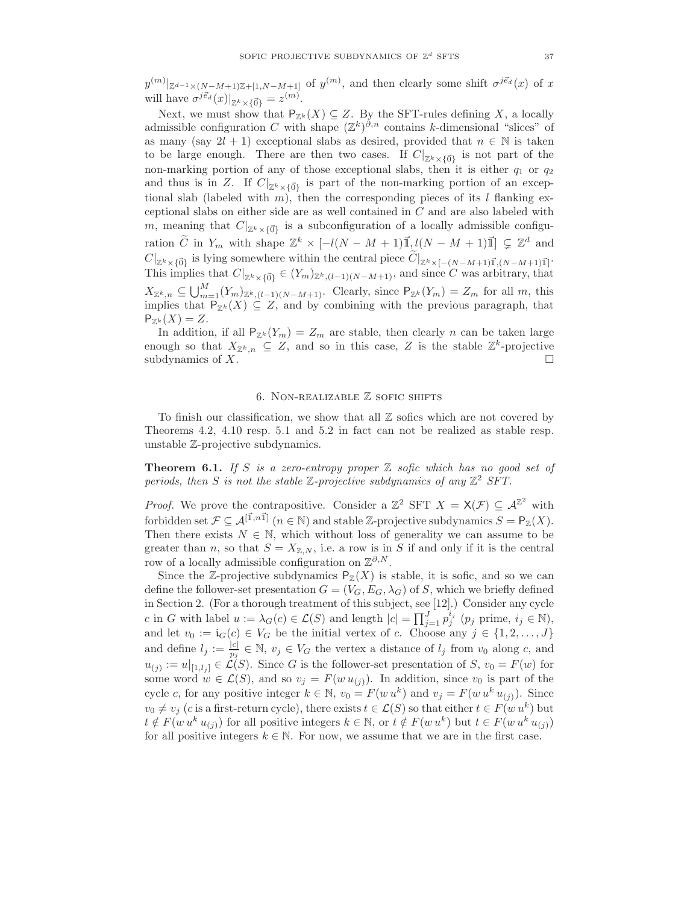$y^{(m)}|_{\mathbb{Z}^{d-1}\times (N-M+1)\mathbb{Z}+[1,N-M+1]}$  of  $y^{(m)}$ , and then clearly some shift  $\sigma^{j\vec{e}_d}(x)$  of x will have  $\sigma^{j\vec{e}_d}(x)|_{\mathbb{Z}^k\times{\{\vec{0}\}}} = z^{(m)}$ .

Next, we must show that  $P_{\mathbb{Z}^k}(X) \subseteq Z$ . By the SFT-rules defining X, a locally admissible configuration C with shape  $(\mathbb{Z}^k)^{\partial,n}$  contains k-dimensional "slices" of as many (say  $2l + 1$ ) exceptional slabs as desired, provided that  $n \in \mathbb{N}$  is taken to be large enough. There are then two cases. If  $C|_{\mathbb{Z}^k\times\{\vec{0}\}}$  is not part of the non-marking portion of any of those exceptional slabs, then it is either  $q_1$  or  $q_2$ and thus is in Z. If  $C|_{\mathbb{Z}^k\times \{\vec{0}\}}$  is part of the non-marking portion of an exceptional slab (labeled with m), then the corresponding pieces of its l flanking exceptional slabs on either side are as well contained in  $C$  and are also labeled with m, meaning that  $C|_{\mathbb{Z}^k\times \{\vec{0}\}}$  is a subconfiguration of a locally admissible configuration  $\widetilde{C}$  in  $Y_m$  with shape  $\mathbb{Z}^k \times [-l(N-M+1)\mathbb{I}]$ ,  $\mathcal{U}(N-M+1)\mathbb{I}] \subsetneq \mathbb{Z}^d$  and  $C|_{\mathbb{Z}^k \times {\{\vec{0}\}}}$  is lying somewhere within the central piece  $C|_{\mathbb{Z}^k \times [-(N-M+1)\vec{1},(N-M+1)\vec{1}]}$ . This implies that  $C|_{\mathbb{Z}^k\times \{\vec{0}\}}\in (Y_m)_{\mathbb{Z}^k,(l-1)(N-M+1)}$ , and since C was arbitrary, that  $X_{\mathbb{Z}^k,n} \subseteq \bigcup_{m=1}^M (Y_m)_{\mathbb{Z}^k,(l-1)(N-M+1)}$ . Clearly, since  $P_{\mathbb{Z}^k}(Y_m) = Z_m$  for all m, this implies that  $P_{\mathbb{Z}^k}(X) \subseteq Z$ , and by combining with the previous paragraph, that  $P_{\mathbb{Z}^k}(X) = Z.$ 

In addition, if all  $P_{\mathbb{Z}^k}(Y_m) = Z_m$  are stable, then clearly n can be taken large enough so that  $X_{\mathbb{Z}^k,n} \subseteq Z$ , and so in this case, Z is the stable  $\mathbb{Z}^k$ -projective subdynamics of X.

#### 6. Non-realizable Z sofic shifts

To finish our classification, we show that all Z sofics which are not covered by Theorems 4.2, 4.10 resp. 5.1 and 5.2 in fact can not be realized as stable resp. unstable Z-projective subdynamics.

**Theorem 6.1.** If S is a zero-entropy proper  $\mathbb Z$  sofic which has no good set of periods, then S is not the stable  $\mathbb{Z}$ -projective subdynamics of any  $\mathbb{Z}^2$  SFT.

*Proof.* We prove the contrapositive. Consider a  $\mathbb{Z}^2$  SFT  $X = \mathsf{X}(\mathcal{F}) \subseteq \mathcal{A}^{\mathbb{Z}^2}$  with forbidden set  $\mathcal{F} \subseteq \mathcal{A}^{[\vec{1},n\vec{1}]}$   $(n \in \mathbb{N})$  and stable Z-projective subdynamics  $S = \mathsf{P}_{\mathbb{Z}}(X)$ . Then there exists  $N \in \mathbb{N}$ , which without loss of generality we can assume to be greater than n, so that  $S = X_{\mathbb{Z},N}$ , i.e. a row is in S if and only if it is the central row of a locally admissible configuration on  $\mathbb{Z}^{\partial,N}$ .

Since the Z-projective subdynamics  $P_{\mathbb{Z}}(X)$  is stable, it is sofic, and so we can define the follower-set presentation  $G = (V_G, E_G, \lambda_G)$  of S, which we briefly defined in Section 2. (For a thorough treatment of this subject, see [12].) Consider any cycle c in G with label  $u := \lambda_G(c) \in \mathcal{L}(S)$  and length  $|c| = \prod_{j=1}^J p_j^{i_j}$   $(p_j \text{ prime}, i_j \in \mathbb{N}),$ and let  $v_0 := \mathfrak{i}_G(c) \in V_G$  be the initial vertex of c. Choose any  $j \in \{1, 2, ..., J\}$ and define  $l_j := \frac{|c|}{n_j}$  $\frac{|c|}{p_j} \in \mathbb{N}, v_j \in V_G$  the vertex a distance of  $l_j$  from  $v_0$  along c, and  $u_{(j)} := u|_{[1,l_j]} \in \mathcal{L}(S)$ . Since G is the follower-set presentation of S,  $v_0 = F(w)$  for some word  $w \in \mathcal{L}(S)$ , and so  $v_j = F(w u_{(j)})$ . In addition, since  $v_0$  is part of the cycle c, for any positive integer  $k \in \mathbb{N}$ ,  $v_0 = F(w u^k)$  and  $v_j = F(w u^k u_{(j)})$ . Since  $v_0 \neq v_j$  (c is a first-return cycle), there exists  $t \in \mathcal{L}(S)$  so that either  $t \in F(w u^k)$  but  $t \notin F(w u^k u_{(j)})$  for all positive integers  $k \in \mathbb{N}$ , or  $t \notin F(w u^k)$  but  $t \in F(w u^k u_{(j)})$ for all positive integers  $k \in \mathbb{N}$ . For now, we assume that we are in the first case.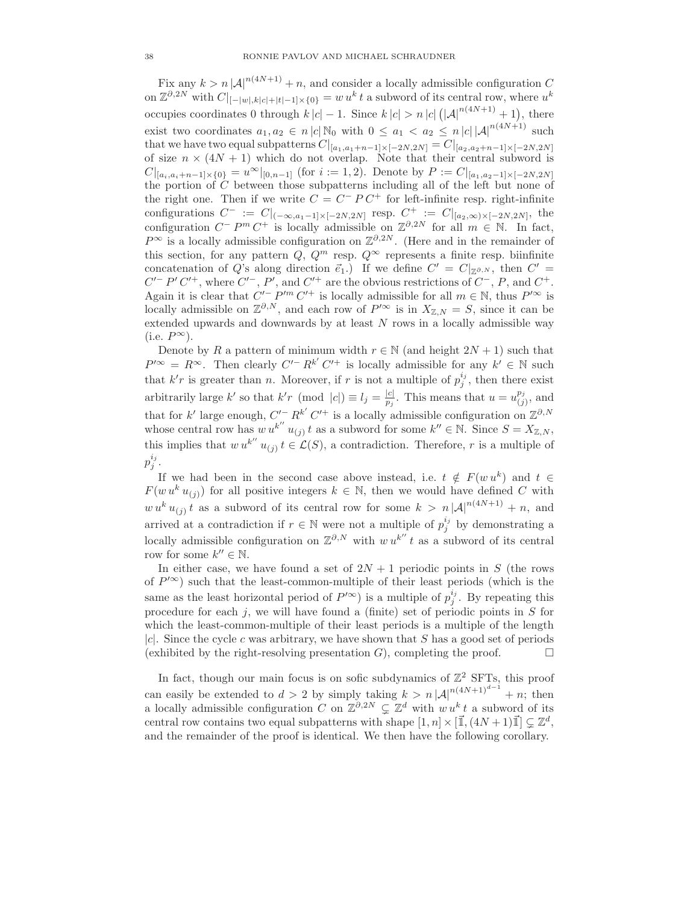Fix any  $k > n |\mathcal{A}|^{n(4N+1)} + n$ , and consider a locally admissible configuration C on  $\mathbb{Z}^{\partial,2N}$  with  $C|_{[-|w|,k|c|+|t|-1]\times\{0\}} = w u^k t$  a subword of its central row, where  $u^k$ occupies coordinates 0 through  $k|c| - 1$ . Since  $k|c| > n |c| (|\mathcal{A}|^{n(4N+1)} + 1)$ , there exist two coordinates  $a_1, a_2 \in n |c| \mathbb{N}_0$  with  $0 \le a_1 < a_2 \le n |c| |\mathcal{A}|^{n(4N+1)}$  such that we have two equal subpatterns  $C|_{[a_1,a_1+n-1]\times[-2N,2N]} = C|_{[a_2,a_2+n-1]\times[-2N,2N]}$ of size  $n \times (4N + 1)$  which do not overlap. Note that their central subword is  $C|_{[a_i,a_i+n-1]\times\{0\}} = u^{\infty}|_{[0,n-1]}$  (for  $i := 1,2$ ). Denote by  $P := C|_{[a_1,a_2-1]\times[-2N,2N]}$ the portion of  $C$  between those subpatterns including all of the left but none of the right one. Then if we write  $C = C^{-} P C^{+}$  for left-infinite resp. right-infinite configurations  $C^- := C|_{(-\infty,a_1-1] \times [-2N,2N]}$  resp.  $C^+ := C|_{[a_2,\infty) \times [-2N,2N]}$ , the configuration  $C^- P^m C^+$  is locally admissible on  $\mathbb{Z}^{\partial, 2N}$  for all  $m \in \mathbb{N}$ . In fact,  $P^{\infty}$  is a locally admissible configuration on  $\mathbb{Z}^{\partial,2N}$ . (Here and in the remainder of this section, for any pattern  $Q, Q^m$  resp.  $Q^{\infty}$  represents a finite resp. biinfinite concatenation of Q's along direction  $\vec{e}_1$ .) If we define  $C' = C|_{\mathbb{Z}^{\partial,N}}$ , then  $C' = C$  $C'-P'C'^{+}$ , where  $C'-$ , P', and  $C'^{+}$  are the obvious restrictions of  $C^-$ , P, and  $C^+$ . Again it is clear that  $C'^- P'^m C'^+$  is locally admissible for all  $m \in \mathbb{N}$ , thus  $P'^\infty$  is locally admissible on  $\mathbb{Z}^{\partial,N}$ , and each row of  $P'^{\infty}$  is in  $X_{\mathbb{Z},N} = S$ , since it can be extended upwards and downwards by at least  $N$  rows in a locally admissible way (i.e.  $P^{\infty}$ ).

Denote by R a pattern of minimum width  $r \in \mathbb{N}$  (and height  $2N + 1$ ) such that  $P'^{\infty} = R^{\infty}$ . Then clearly  $C'^{-} R^{k'} C'^{+}$  is locally admissible for any  $k' \in \mathbb{N}$  such that  $k'r$  is greater than n. Moreover, if r is not a multiple of  $p_j^{i_j}$ , then there exist arbitrarily large k' so that  $k'r \pmod{|c|} \equiv l_j = \frac{|c|}{p_j}$  $\frac{|c|}{p_j}$ . This means that  $u = u^{p_j}_{(j)}$  $l_{(j)}^{p_j}$ , and that for k' large enough,  $C'^- R^{k'} C'^+$  is a locally admissible configuration on  $\mathbb{Z}^{\partial, N}$ whose central row has  $w u^{k''} u_{(j)} t$  as a subword for some  $k'' \in \mathbb{N}$ . Since  $S = X_{\mathbb{Z},N}$ , this implies that  $w u^{k''} u_{(j)} t \in \mathcal{L}(S)$ , a contradiction. Therefore, r is a multiple of  $p_j^{i_j}.$ 

If we had been in the second case above instead, i.e.  $t \notin F(w u^k)$  and  $t \in$  $F(w u<sup>k</sup> u<sub>(j)</sub>)$  for all positive integers  $k \in \mathbb{N}$ , then we would have defined C with  $w u^k u_{(j)} t$  as a subword of its central row for some  $k > n |\mathcal{A}|^{n(4N+1)} + n$ , and arrived at a contradiction if  $r \in \mathbb{N}$  were not a multiple of  $p_j^{i_j}$  by demonstrating a locally admissible configuration on  $\mathbb{Z}^{\partial,N}$  with  $w u^{k''} t$  as a subword of its central row for some  $k'' \in \mathbb{N}$ .

In either case, we have found a set of  $2N + 1$  periodic points in S (the rows of  $P^{\prime\infty}$ ) such that the least-common-multiple of their least periods (which is the same as the least horizontal period of  $P'^{\infty}$ ) is a multiple of  $p_j^{i_j}$ . By repeating this procedure for each  $j$ , we will have found a (finite) set of periodic points in  $S$  for which the least-common-multiple of their least periods is a multiple of the length  $|c|$ . Since the cycle c was arbitrary, we have shown that S has a good set of periods (exhibited by the right-resolving presentation  $G$ ), completing the proof.  $\Box$ 

In fact, though our main focus is on sofic subdynamics of  $\mathbb{Z}^2$  SFTs, this proof can easily be extended to  $d > 2$  by simply taking  $k > n |\mathcal{A}|^{n(4N+1)^{d-1}} + n$ ; then a locally admissible configuration C on  $\mathbb{Z}^{\partial,2N} \subsetneq \mathbb{Z}^d$  with  $w u^k t$  a subword of its central row contains two equal subpatterns with shape  $[1, n] \times [\vec{\mathbb{1}}, (4N + 1)\vec{\mathbb{1}}] \subsetneq \mathbb{Z}^d$ , and the remainder of the proof is identical. We then have the following corollary.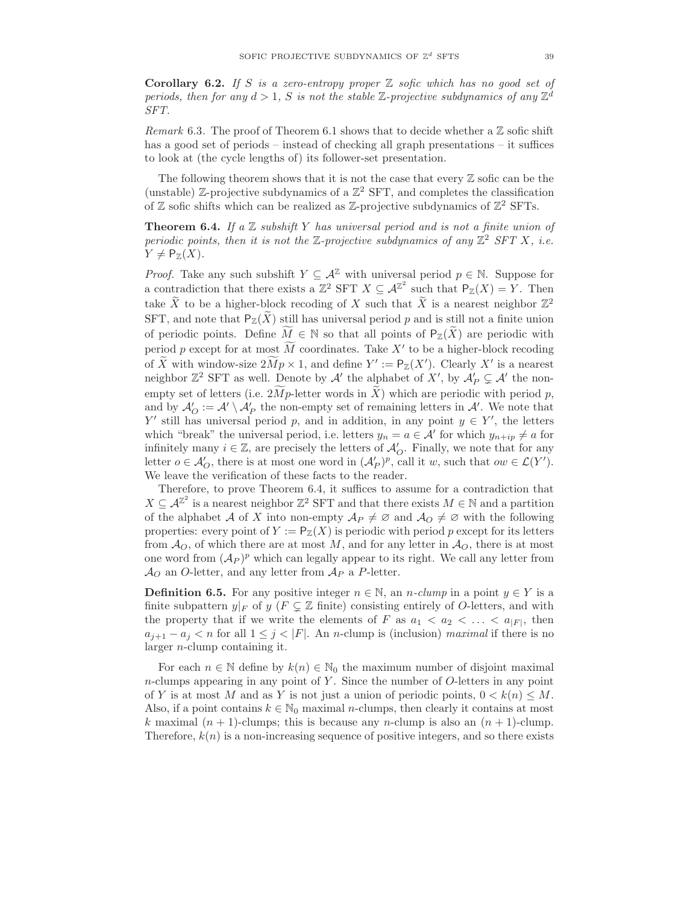**Corollary 6.2.** If S is a zero-entropy proper  $\mathbb Z$  sofic which has no good set of periods, then for any  $d > 1$ , S is not the stable Z-projective subdynamics of any  $\mathbb{Z}^d$ SFT.

Remark 6.3. The proof of Theorem 6.1 shows that to decide whether a  $\mathbb Z$  sofic shift has a good set of periods – instead of checking all graph presentations – it suffices to look at (the cycle lengths of) its follower-set presentation.

The following theorem shows that it is not the case that every  $\mathbb Z$  sofic can be the (unstable) Z-projective subdynamics of a  $\mathbb{Z}^2$  SFT, and completes the classification of  $\mathbb Z$  sofic shifts which can be realized as  $\mathbb Z$ -projective subdynamics of  $\mathbb Z^2$  SFTs.

**Theorem 6.4.** If a  $\mathbb Z$  subshift Y has universal period and is not a finite union of periodic points, then it is not the  $\mathbb{Z}$ -projective subdynamics of any  $\mathbb{Z}^2$  SFT X, i.e.  $Y \neq \mathsf{P}_{\mathbb{Z}}(X)$ .

*Proof.* Take any such subshift  $Y \subseteq \mathcal{A}^{\mathbb{Z}}$  with universal period  $p \in \mathbb{N}$ . Suppose for a contradiction that there exists a  $\mathbb{Z}^2$  SFT  $X \subseteq \mathcal{A}^{\mathbb{Z}^2}$  such that  $P_{\mathbb{Z}}(X) = Y$ . Then take  $\widetilde{X}$  to be a higher-block recoding of X such that  $\widetilde{X}$  is a nearest neighbor  $\mathbb{Z}^2$ SFT, and note that  $P_{\mathbb{Z}}(\tilde{X})$  still has universal period p and is still not a finite union of periodic points. Define  $\tilde{M} \in \mathbb{N}$  so that all points of  $P_{\mathbb{Z}}(\tilde{X})$  are periodic with period p except for at most  $\overline{M}$  coordinates. Take  $X'$  to be a higher-block recoding of  $\widetilde{X}$  with window-size  $2\widetilde{M}p \times 1$ , and define  $Y' := \mathsf{P}_{\mathbb{Z}}(X')$ . Clearly X' is a nearest neighbor  $\mathbb{Z}^2$  SFT as well. Denote by  $\mathcal{A}'$  the alphabet of X', by  $\mathcal{A}'_P \subsetneq \mathcal{A}'$  the nonempty set of letters (i.e.  $2Mp$ -letter words in X) which are periodic with period p, and by  $\mathcal{A}'_O := \mathcal{A}' \setminus \mathcal{A}'_P$  the non-empty set of remaining letters in  $\mathcal{A}'$ . We note that Y' still has universal period p, and in addition, in any point  $y \in Y'$ , the letters which "break" the universal period, i.e. letters  $y_n = a \in \mathcal{A}'$  for which  $y_{n+ip} \neq a$  for infinitely many  $i \in \mathbb{Z}$ , are precisely the letters of  $\mathcal{A}'_O$ . Finally, we note that for any letter  $o \in \mathcal{A}'_O$ , there is at most one word in  $(\mathcal{A}'_P)^p$ , call it w, such that  $ow \in \mathcal{L}(Y')$ . We leave the verification of these facts to the reader.

Therefore, to prove Theorem 6.4, it suffices to assume for a contradiction that  $X \subseteq \mathcal{A}^{\mathbb{Z}^2}$  is a nearest neighbor  $\mathbb{Z}^2$  SFT and that there exists  $M \in \mathbb{N}$  and a partition of the alphabet A of X into non-empty  $\mathcal{A}_P \neq \emptyset$  and  $\mathcal{A}_Q \neq \emptyset$  with the following properties: every point of  $Y := \mathsf{P}_{\mathbb{Z}}(X)$  is periodic with period p except for its letters from  $\mathcal{A}_O$ , of which there are at most M, and for any letter in  $\mathcal{A}_O$ , there is at most one word from  $({\mathcal A}_P)^p$  which can legally appear to its right. We call any letter from  $\mathcal{A}_{\mathcal{O}}$  an O-letter, and any letter from  $\mathcal{A}_{P}$  a P-letter.

**Definition 6.5.** For any positive integer  $n \in \mathbb{N}$ , an *n*-clump in a point  $y \in Y$  is a finite subpattern  $y|_F$  of  $y$  ( $F \subsetneq \mathbb{Z}$  finite) consisting entirely of O-letters, and with the property that if we write the elements of F as  $a_1 < a_2 < \ldots < a_{|F|}$ , then  $a_{j+1} - a_j < n$  for all  $1 \leq j < |F|$ . An *n*-clump is (inclusion) maximal if there is no larger n-clump containing it.

For each  $n \in \mathbb{N}$  define by  $k(n) \in \mathbb{N}_0$  the maximum number of disjoint maximal  $n$ -clumps appearing in any point of Y. Since the number of  $O$ -letters in any point of Y is at most M and as Y is not just a union of periodic points,  $0 < k(n) \leq M$ . Also, if a point contains  $k \in \mathbb{N}_0$  maximal *n*-clumps, then clearly it contains at most k maximal  $(n + 1)$ -clumps; this is because any n-clump is also an  $(n + 1)$ -clump. Therefore,  $k(n)$  is a non-increasing sequence of positive integers, and so there exists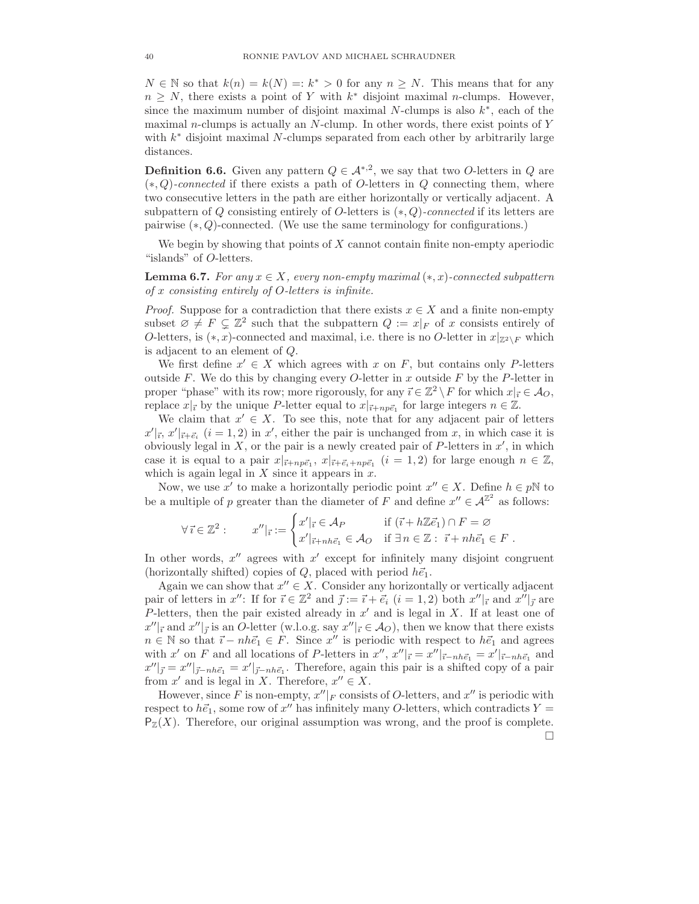$N \in \mathbb{N}$  so that  $k(n) = k(N) = k^* > 0$  for any  $n \geq N$ . This means that for any  $n \geq N$ , there exists a point of Y with  $k^*$  disjoint maximal n-clumps. However, since the maximum number of disjoint maximal  $N$ -clumps is also  $k^*$ , each of the maximal *n*-clumps is actually an *N*-clump. In other words, there exist points of  $Y$ with  $k^*$  disjoint maximal N-clumps separated from each other by arbitrarily large distances.

**Definition 6.6.** Given any pattern  $Q \in \mathcal{A}^{*,2}$ , we say that two *O*-letters in *Q* are  $(*, Q)$ -connected if there exists a path of O-letters in Q connecting them, where two consecutive letters in the path are either horizontally or vertically adjacent. A subpattern of Q consisting entirely of O-letters is  $(*, Q)$ -connected if its letters are pairwise (∗, Q)-connected. (We use the same terminology for configurations.)

We begin by showing that points of  $X$  cannot contain finite non-empty aperiodic "islands" of O-letters.

**Lemma 6.7.** For any  $x \in X$ , every non-empty maximal  $(*, x)$ -connected subpattern of x consisting entirely of O-letters is infinite.

*Proof.* Suppose for a contradiction that there exists  $x \in X$  and a finite non-empty subset  $\emptyset \neq F \subsetneq \mathbb{Z}^2$  such that the subpattern  $Q := x|_F$  of x consists entirely of O-letters, is  $(*, x)$ -connected and maximal, i.e. there is no O-letter in  $x|_{Z^2\setminus F}$  which is adjacent to an element of Q.

We first define  $x' \in X$  which agrees with x on F, but contains only P-letters outside F. We do this by changing every O-letter in x outside F by the P-letter in proper "phase" with its row; more rigorously, for any  $\vec{i} \in \mathbb{Z}^2 \setminus F$  for which  $x|_{\vec{i}} \in A_O$ , replace  $x|_{\vec{i}}$  by the unique P-letter equal to  $x|_{\vec{i}+np\vec{e}_1}$  for large integers  $n \in \mathbb{Z}$ .

We claim that  $x' \in X$ . To see this, note that for any adjacent pair of letters  $x'|_{\vec{i}}, x'|_{\vec{i}+\vec{e}_i}$   $(i = 1, 2)$  in  $x'$ , either the pair is unchanged from x, in which case it is obviously legal in  $X$ , or the pair is a newly created pair of P-letters in  $x'$ , in which case it is equal to a pair  $x|_{\vec{i}+np\vec{e}_1}$ ,  $x|_{\vec{i}+\vec{e}_i+np\vec{e}_1}$   $(i = 1, 2)$  for large enough  $n \in \mathbb{Z}$ , which is again legal in  $X$  since it appears in  $x$ .

Now, we use x' to make a horizontally periodic point  $x'' \in X$ . Define  $h \in p\mathbb{N}$  to be a multiple of p greater than the diameter of F and define  $x'' \in A^{\mathbb{Z}^2}$  as follows:

$$
\forall \vec{\imath} \in \mathbb{Z}^2 : \qquad x''|_{\vec{\imath}} := \begin{cases} x'|_{\vec{\imath}} \in \mathcal{A}_P & \text{if } (\vec{\imath} + h\mathbb{Z}\vec{e}_1) \cap F = \varnothing \\ x'|_{\vec{\imath} + nh\vec{e}_1} \in \mathcal{A}_O & \text{if } \exists n \in \mathbb{Z} : \vec{\imath} + nh\vec{e}_1 \in F \end{cases}.
$$

In other words,  $x''$  agrees with  $x'$  except for infinitely many disjoint congruent (horizontally shifted) copies of Q, placed with period  $h\vec{e}_1$ .

Again we can show that  $x'' \in X$ . Consider any horizontally or vertically adjacent pair of letters in  $x''$ : If for  $\vec{i} \in \mathbb{Z}^2$  and  $\vec{j} := \vec{i} + \vec{e_i}$   $(i = 1, 2)$  both  $x''|_{\vec{i}}$  and  $x''|_{\vec{j}}$  are P-letters, then the pair existed already in  $x'$  and is legal in X. If at least one of  $x''|_{\vec{i}}$  and  $x''|_{\vec{j}}$  is an O-letter (w.l.o.g. say  $x''|_{\vec{i}} \in \mathcal{A}_{O}$ ), then we know that there exists  $n \in \mathbb{N}$  so that  $\vec{i} - nh\vec{e}_1 \in F$ . Since  $x''$  is periodic with respect to  $h\vec{e}_1$  and agrees with x' on F and all locations of P-letters in  $x''$ ,  $x''|_{\vec{i}} = x''|_{\vec{i}-nh\vec{e}_1} = x'|_{\vec{i}-nh\vec{e}_1}$  and  $x''|_{\vec{j}} = x''|_{\vec{j}-nh\vec{e}_1} = x'|_{\vec{j}-nh\vec{e}_1}$ . Therefore, again this pair is a shifted copy of a pair from  $x'$  and is legal in X. Therefore,  $x'' \in X$ .

However, since F is non-empty,  $x''|_F$  consists of O-letters, and  $x''$  is periodic with respect to  $h\vec{e}_1$ , some row of  $x''$  has infinitely many O-letters, which contradicts  $Y =$  $P_Z(X)$ . Therefore, our original assumption was wrong, and the proof is complete. П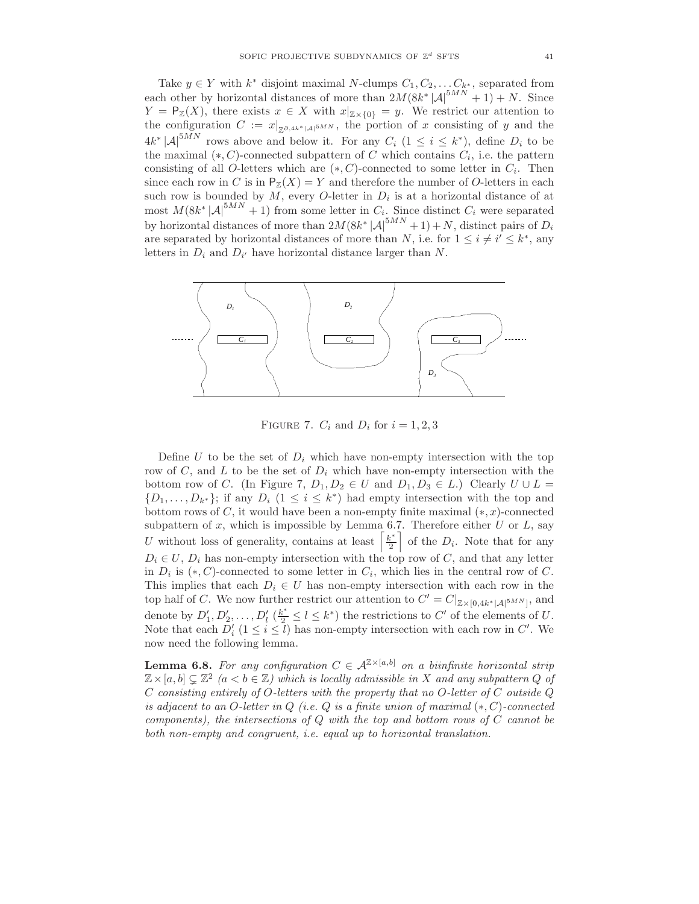Take  $y \in Y$  with  $k^*$  disjoint maximal N-clumps  $C_1, C_2, \ldots, C_{k^*}$ , separated from each other by horizontal distances of more than  $2M(8k^*|\mathcal{A}|^{5MN}+1) + N$ . Since  $Y = \mathsf{P}_{\mathbb{Z}}(X)$ , there exists  $x \in X$  with  $x|_{\mathbb{Z} \times \{0\}} = y$ . We restrict our attention to the configuration  $C := x|_{\mathbb{Z}^{\partial,4k^*}|\mathcal{A}|^{5MN}}$ , the portion of x consisting of y and the  $4k^* |\mathcal{A}|^{5MN}$  rows above and below it. For any  $C_i$   $(1 \leq i \leq k^*)$ , define  $D_i$  to be the maximal  $(*, C)$ -connected subpattern of C which contains  $C_i$ , i.e. the pattern consisting of all O-letters which are  $(*, C)$ -connected to some letter in  $C_i$ . Then since each row in C is in  $P_Z(X) = Y$  and therefore the number of O-letters in each such row is bounded by  $M$ , every O-letter in  $D_i$  is at a horizontal distance of at most  $M(8k^*|\mathcal{A}|^{5MN}+1)$  from some letter in  $C_i$ . Since distinct  $C_i$  were separated by horizontal distances of more than  $2M(8k^*|\mathcal{A}|^{5MN}+1)+N$ , distinct pairs of  $D_i$ are separated by horizontal distances of more than N, i.e. for  $1 \leq i \neq i' \leq k^*$ , any letters in  $D_i$  and  $D_{i'}$  have horizontal distance larger than N.



FIGURE 7.  $C_i$  and  $D_i$  for  $i = 1, 2, 3$ 

Define U to be the set of  $D_i$  which have non-empty intersection with the top row of  $C$ , and  $L$  to be the set of  $D_i$  which have non-empty intersection with the bottom row of C. (In Figure 7,  $D_1, D_2 \in U$  and  $D_1, D_3 \in L$ .) Clearly  $U \cup L =$  $\{D_1,\ldots,D_{k^*}\\}$ ; if any  $D_i$   $(1 \leq i \leq k^*)$  had empty intersection with the top and bottom rows of C, it would have been a non-empty finite maximal  $(*, x)$ -connected subpattern of  $x$ , which is impossible by Lemma 6.7. Therefore either  $U$  or  $L$ , say U without loss of generality, contains at least  $\left[\frac{k^*}{2}\right]$ 2 of the  $D_i$ . Note that for any  $D_i \in U$ ,  $D_i$  has non-empty intersection with the top row of C, and that any letter in  $D_i$  is  $(*, C)$ -connected to some letter in  $C_i$ , which lies in the central row of C. This implies that each  $D_i \in U$  has non-empty intersection with each row in the top half of C. We now further restrict our attention to  $C' = C|_{\mathbb{Z} \times [0, 4k^* | \mathcal{A}|^{5MN}]}$ , and denote by  $D'_1, D'_2, \ldots, D'_l$   $(\frac{k^*}{2} \leq l \leq k^*)$  the restrictions to C' of the elements of U. Note that each  $D_i'$   $(1 \le i \le \bar{l})$  has non-empty intersection with each row in C'. We now need the following lemma.

**Lemma 6.8.** For any configuration  $C \in \mathcal{A}^{\mathbb{Z} \times [a,b]}$  on a biinfinite horizontal strip  $\mathbb{Z} \times [a, b] \subsetneq \mathbb{Z}^2$   $(a < b \in \mathbb{Z})$  which is locally admissible in X and any subpattern Q of C consisting entirely of O-letters with the property that no O-letter of C outside  $Q$ is adjacent to an O-letter in  $Q$  (i.e.  $Q$  is a finite union of maximal  $(*, C)$ -connected components), the intersections of Q with the top and bottom rows of C cannot be both non-empty and congruent, i.e. equal up to horizontal translation.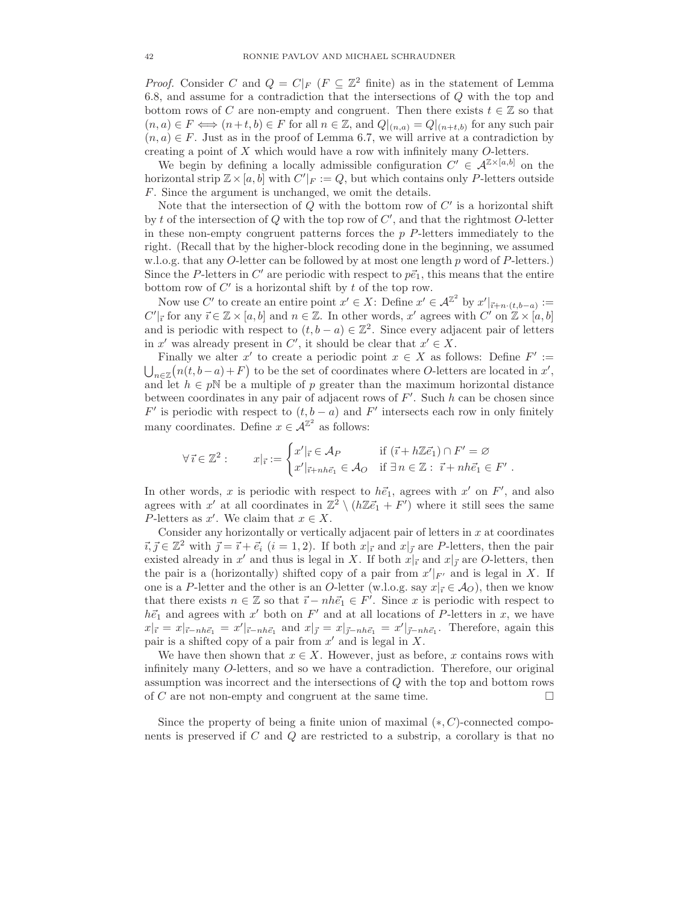*Proof.* Consider C and  $Q = C|_F$  ( $F \subseteq \mathbb{Z}^2$  finite) as in the statement of Lemma 6.8, and assume for a contradiction that the intersections of Q with the top and bottom rows of C are non-empty and congruent. Then there exists  $t \in \mathbb{Z}$  so that  $(n, a) \in F \iff (n+t, b) \in F$  for all  $n \in \mathbb{Z}$ , and  $Q|_{(n,a)} = Q|_{(n+t,b)}$  for any such pair  $(n, a) \in F$ . Just as in the proof of Lemma 6.7, we will arrive at a contradiction by creating a point of X which would have a row with infinitely many O-letters.

We begin by defining a locally admissible configuration  $C' \in \mathcal{A}^{\mathbb{Z} \times [a,b]}$  on the horizontal strip  $\mathbb{Z} \times [a, b]$  with  $C'|_F := Q$ , but which contains only P-letters outside F. Since the argument is unchanged, we omit the details.

Note that the intersection of  $Q$  with the bottom row of  $C'$  is a horizontal shift by t of the intersection of  $Q$  with the top row of  $C'$ , and that the rightmost  $O$ -letter in these non-empty congruent patterns forces the  $p$   $P$ -letters immediately to the right. (Recall that by the higher-block recoding done in the beginning, we assumed w.l.o.g. that any O-letter can be followed by at most one length p word of P-letters.) Since the P-letters in C' are periodic with respect to  $p\vec{e}_1$ , this means that the entire bottom row of  $C'$  is a horizontal shift by  $t$  of the top row.

Now use C' to create an entire point  $x' \in X$ : Define  $x' \in \mathcal{A}^{\mathbb{Z}^2}$  by  $x'|_{\vec{i}+n \cdot (t,b-a)} :=$  $C'|_{\vec{i}}$  for any  $\vec{i} \in \mathbb{Z} \times [a, b]$  and  $n \in \mathbb{Z}$ . In other words,  $x'$  agrees with  $C'$  on  $\mathbb{Z} \times [a, b]$ and is periodic with respect to  $(t, b - a) \in \mathbb{Z}^2$ . Since every adjacent pair of letters in x' was already present in C', it should be clear that  $x' \in X$ .

Finally we alter x' to create a periodic point  $x \in X$  as follows: Define  $F' :=$  $\bigcup_{n\in\mathbb{Z}}(n(t,b-a)+F)$  to be the set of coordinates where O-letters are located in x', and let  $h \in p\mathbb{N}$  be a multiple of p greater than the maximum horizontal distance between coordinates in any pair of adjacent rows of  $F'$ . Such h can be chosen since F' is periodic with respect to  $(t, b - a)$  and F' intersects each row in only finitely many coordinates. Define  $x \in \mathcal{A}^{\mathbb{Z}^2}$  as follows:

$$
\forall \vec{\imath} \in \mathbb{Z}^2 : \qquad x|_{\vec{\imath}} := \begin{cases} x'|_{\vec{\imath}} \in \mathcal{A}_P & \text{if } (\vec{\imath} + h\mathbb{Z}\vec{e}_1) \cap F' = \varnothing \\ x'|_{\vec{\imath} + nh\vec{e}_1} \in \mathcal{A}_O & \text{if } \exists n \in \mathbb{Z} : \ \vec{\imath} + nh\vec{e}_1 \in F' \end{cases}.
$$

In other words, x is periodic with respect to  $h\vec{e}_1$ , agrees with x' on F', and also agrees with x' at all coordinates in  $\mathbb{Z}^2 \setminus (h\mathbb{Z}\vec{e}_1 + F')$  where it still sees the same P-letters as  $x'$ . We claim that  $x \in X$ .

Consider any horizontally or vertically adjacent pair of letters in  $x$  at coordinates  $\vec{i}, \vec{j} \in \mathbb{Z}^2$  with  $\vec{j} = \vec{i} + \vec{e}_i$   $(i = 1, 2)$ . If both  $x|_{\vec{i}}$  and  $x|_{\vec{j}}$  are P-letters, then the pair existed already in x' and thus is legal in X. If both  $x|_{\vec{i}}$  and  $x|_{\vec{j}}$  are O-letters, then the pair is a (horizontally) shifted copy of a pair from  $x'|_{F'}$  and is legal in X. If one is a P-letter and the other is an O-letter (w.l.o.g. say  $x|_{\vec{i}} \in \mathcal{A}_O$ ), then we know that there exists  $n \in \mathbb{Z}$  so that  $\vec{i} - nh\vec{e}_1 \in F'$ . Since x is periodic with respect to  $h\vec{e}_1$  and agrees with x' both on F' and at all locations of P-letters in x, we have  $x|_{\vec{i}} = x|_{\vec{i}-nh\vec{e}_1} = x'|_{\vec{i}-nh\vec{e}_1}$  and  $x|_{\vec{j}} = x|_{\vec{j}-nh\vec{e}_1} = x'|_{\vec{j}-nh\vec{e}_1}$ . Therefore, again this pair is a shifted copy of a pair from  $x'$  and is legal in  $X$ .

We have then shown that  $x \in X$ . However, just as before, x contains rows with infinitely many O-letters, and so we have a contradiction. Therefore, our original assumption was incorrect and the intersections of Q with the top and bottom rows of C are not non-empty and congruent at the same time.  $\Box$ 

Since the property of being a finite union of maximal  $(*, C)$ -connected components is preserved if  $C$  and  $Q$  are restricted to a substrip, a corollary is that no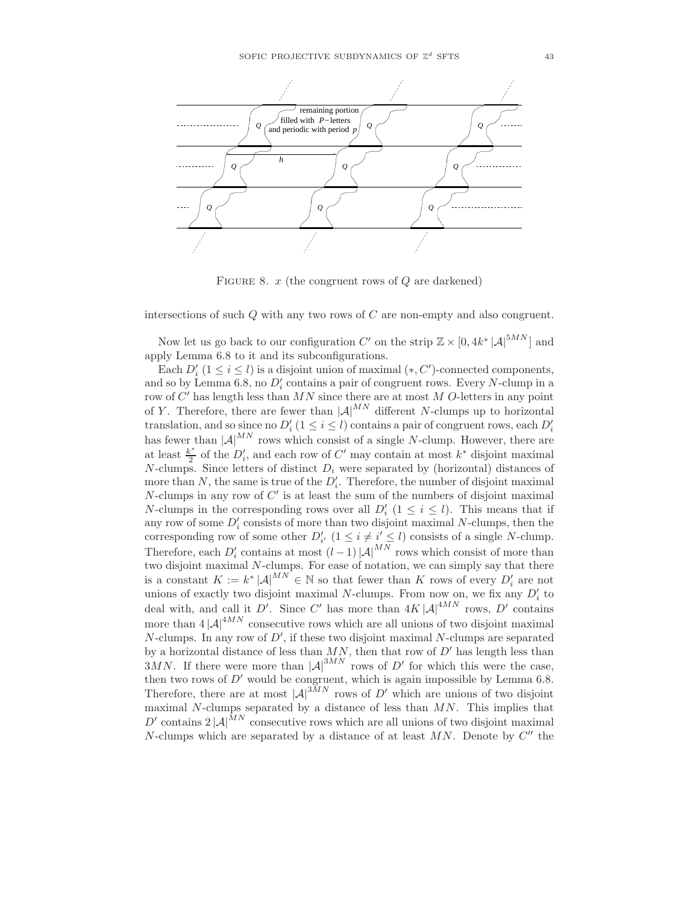

FIGURE 8.  $x$  (the congruent rows of  $Q$  are darkened)

intersections of such Q with any two rows of C are non-empty and also congruent.

Now let us go back to our configuration C' on the strip  $\mathbb{Z} \times [0, 4k^* |\mathcal{A}|^{5MN}]$  and apply Lemma 6.8 to it and its subconfigurations.

Each  $D_i'$   $(1 \le i \le l)$  is a disjoint union of maximal  $(*, C')$ -connected components, and so by Lemma 6.8, no  $D_i'$  contains a pair of congruent rows. Every N-clump in a row of  $C'$  has length less than  $MN$  since there are at most  $M$  O-letters in any point of Y. Therefore, there are fewer than  $|\mathcal{A}|^{MN}$  different N-clumps up to horizontal translation, and so since no  $D_i'$   $(1 \le i \le l)$  contains a pair of congruent rows, each  $D_i'$ has fewer than  $|\mathcal{A}|^{MN}$  rows which consist of a single N-clump. However, there are at least  $\frac{k^*}{2}$  $\frac{c^*}{2}$  of the  $D'_i$ , and each row of C' may contain at most  $k^*$  disjoint maximal N-clumps. Since letters of distinct  $D_i$  were separated by (horizontal) distances of more than  $N$ , the same is true of the  $D_i'$ . Therefore, the number of disjoint maximal  $N$ -clumps in any row of  $C'$  is at least the sum of the numbers of disjoint maximal *N*-clumps in the corresponding rows over all  $D_i'$   $(1 \le i \le l)$ . This means that if any row of some  $D_i'$  consists of more than two disjoint maximal N-clumps, then the corresponding row of some other  $D'_{i'}$   $(1 \leq i \neq i' \leq l)$  consists of a single N-clump. Therefore, each  $D_i'$  contains at most  $(l-1)|A|^{MN}$  rows which consist of more than two disjoint maximal N-clumps. For ease of notation, we can simply say that there is a constant  $K := k^* |\mathcal{A}|^{MN} \in \mathbb{N}$  so that fewer than K rows of every  $D_i'$  are not unions of exactly two disjoint maximal N-clumps. From now on, we fix any  $D_i'$  to deal with, and call it D'. Since C' has more than  $4K |\mathcal{A}|^{4MN}$  rows, D' contains more than  $4 |A|^{4MN}$  consecutive rows which are all unions of two disjoint maximal N-clumps. In any row of  $D'$ , if these two disjoint maximal N-clumps are separated by a horizontal distance of less than  $MN$ , then that row of  $D'$  has length less than 3MN. If there were more than  $|\mathcal{A}|^{3MN}$  rows of D' for which this were the case, then two rows of  $D'$  would be congruent, which is again impossible by Lemma 6.8. Therefore, there are at most  $|A|^{3MN}$  rows of D' which are unions of two disjoint maximal  $N$ -clumps separated by a distance of less than  $MN$ . This implies that D' contains  $2 |A|^{MN}$  consecutive rows which are all unions of two disjoint maximal N-clumps which are separated by a distance of at least  $MN$ . Denote by  $C''$  the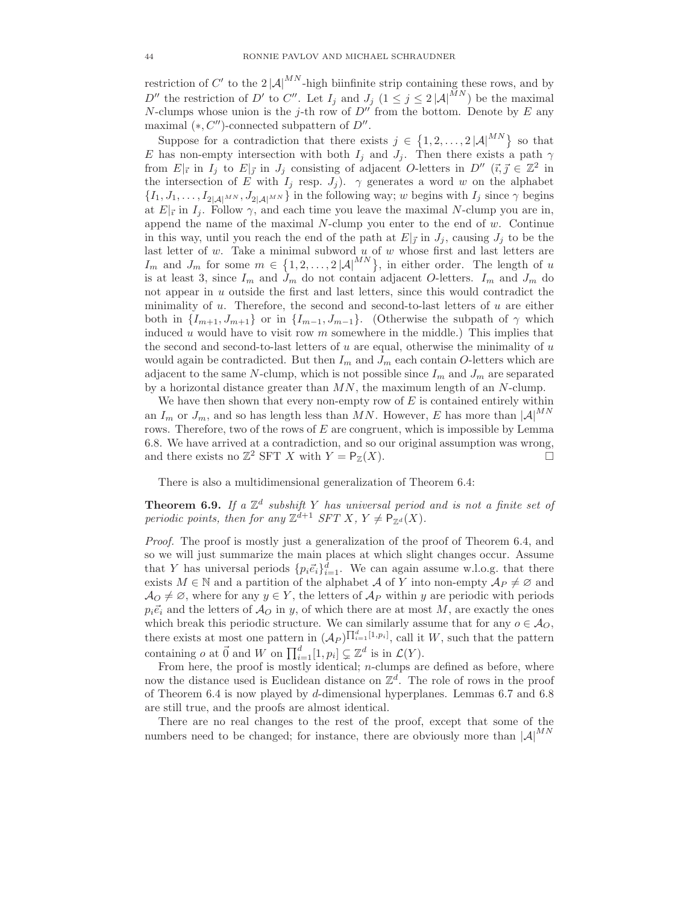restriction of C' to the  $2|\mathcal{A}|^{MN}$ -high biinfinite strip containing these rows, and by D'' the restriction of D' to C''. Let  $I_j$  and  $J_j$   $(1 \leq j \leq 2 |\mathcal{A}|^{MN})$  be the maximal N-clumps whose union is the j-th row of  $D''$  from the bottom. Denote by E any maximal  $(*, C'')$ -connected subpattern of  $D''$ .

Suppose for a contradiction that there exists  $j \in \{1, 2, ..., 2 |A|^{MN}\}\$  so that E has non-empty intersection with both  $I_j$  and  $J_j$ . Then there exists a path  $\gamma$ from  $E|_{\vec{i}}$  in  $I_j$  to  $E|_{\vec{j}}$  in  $J_j$  consisting of adjacent O-letters in  $D''$   $(\vec{i}, \vec{j}) \in \mathbb{Z}^2$  in the intersection of E with  $I_j$  resp.  $J_j$ ).  $\gamma$  generates a word w on the alphabet  $\{I_1, J_1, \ldots, I_{2|\mathcal{A}|^{MN}}, J_{2|\mathcal{A}|^{MN}}\}$  in the following way; w begins with  $I_j$  since  $\gamma$  begins at  $E|_{\vec{i}}$  in  $I_j$ . Follow  $\gamma$ , and each time you leave the maximal N-clump you are in, append the name of the maximal  $N$ -clump you enter to the end of  $w$ . Continue in this way, until you reach the end of the path at  $E|_{\vec{J}}$  in  $J_j$ , causing  $J_j$  to be the last letter of  $w$ . Take a minimal subword  $u$  of  $w$  whose first and last letters are  $I_m$  and  $J_m$  for some  $m \in \{1, 2, ..., 2 |\mathcal{A}|^{MN}\},$  in either order. The length of u is at least 3, since  $I_m$  and  $J_m$  do not contain adjacent O-letters.  $I_m$  and  $J_m$  do not appear in u outside the first and last letters, since this would contradict the minimality of u. Therefore, the second and second-to-last letters of u are either both in  $\{I_{m+1}, J_{m+1}\}$  or in  $\{I_{m-1}, J_{m-1}\}$ . (Otherwise the subpath of  $\gamma$  which induced u would have to visit row  $m$  somewhere in the middle.) This implies that the second and second-to-last letters of  $u$  are equal, otherwise the minimality of  $u$ would again be contradicted. But then  $I_m$  and  $J_m$  each contain O-letters which are adjacent to the same N-clump, which is not possible since  $I_m$  and  $J_m$  are separated by a horizontal distance greater than  $MN$ , the maximum length of an N-clump.

We have then shown that every non-empty row of  $E$  is contained entirely within an  $I_m$  or  $J_m$ , and so has length less than MN. However, E has more than  $|A|^{MN}$ rows. Therefore, two of the rows of  $E$  are congruent, which is impossible by Lemma 6.8. We have arrived at a contradiction, and so our original assumption was wrong, and there exists no  $\mathbb{Z}^2$  SFT X with  $Y = \mathsf{P}_{\mathbb{Z}}(X)$ .

There is also a multidimensional generalization of Theorem 6.4:

**Theorem 6.9.** If a  $\mathbb{Z}^d$  subshift Y has universal period and is not a finite set of periodic points, then for any  $\mathbb{Z}^{d+1}$  SFT X,  $Y \neq \mathsf{P}_{\mathbb{Z}^d}(X)$ .

Proof. The proof is mostly just a generalization of the proof of Theorem 6.4, and so we will just summarize the main places at which slight changes occur. Assume that Y has universal periods  $\{p_i \vec{e}_i\}_{i=1}^d$ . We can again assume w.l.o.g. that there exists  $M \in \mathbb{N}$  and a partition of the alphabet A of Y into non-empty  $\mathcal{A}_P \neq \emptyset$  and  $\mathcal{A}_O \neq \emptyset$ , where for any  $y \in Y$ , the letters of  $\mathcal{A}_P$  within y are periodic with periods  $p_i\vec{e}_i$  and the letters of  $\mathcal{A}_O$  in y, of which there are at most M, are exactly the ones which break this periodic structure. We can similarly assume that for any  $o \in \mathcal{A}_O$ , there exists at most one pattern in  $(A_P)^{\prod_{i=1}^d [1,p_i]}$ , call it W, such that the pattern containing *o* at  $\vec{0}$  and *W* on  $\prod_{i=1}^{d} [1, p_i] \subsetneq \mathbb{Z}^d$  is in  $\mathcal{L}(Y)$ .

From here, the proof is mostly identical;  $n$ -clumps are defined as before, where now the distance used is Euclidean distance on  $\mathbb{Z}^d$ . The role of rows in the proof of Theorem 6.4 is now played by d-dimensional hyperplanes. Lemmas 6.7 and 6.8 are still true, and the proofs are almost identical.

There are no real changes to the rest of the proof, except that some of the numbers need to be changed; for instance, there are obviously more than  $|A|^{MN}$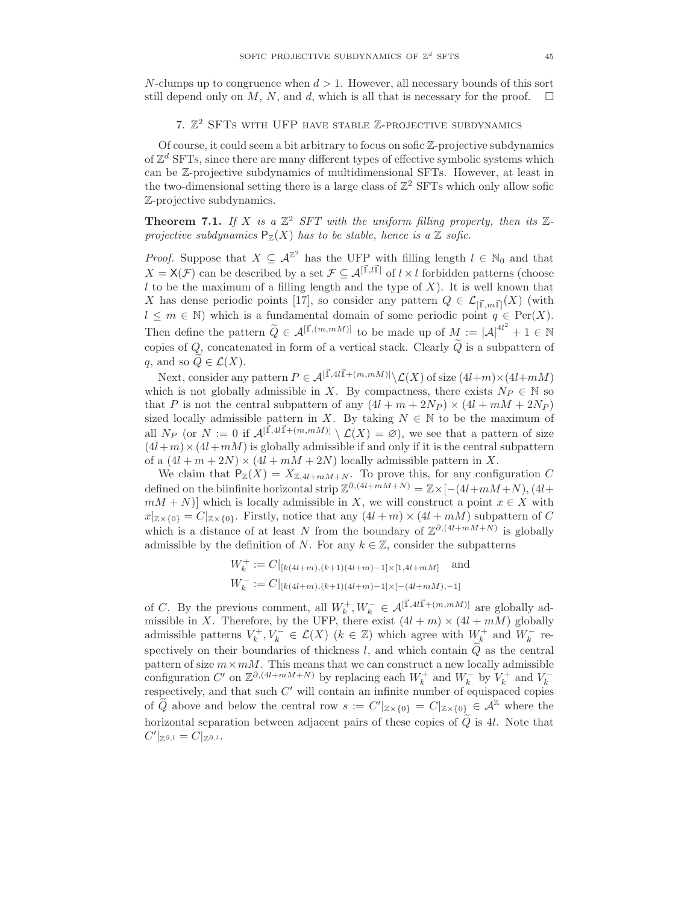N-clumps up to congruence when  $d > 1$ . However, all necessary bounds of this sort still depend only on M, N, and d, which is all that is necessary for the proof.  $\square$ 

# 7.  $\mathbb{Z}^2$  SFTs with UFP have stable  $\mathbb{Z}$ -projective subdynamics

Of course, it could seem a bit arbitrary to focus on sofic Z-projective subdynamics of  $\mathbb{Z}^d$  SFTs, since there are many different types of effective symbolic systems which can be Z-projective subdynamics of multidimensional SFTs. However, at least in the two-dimensional setting there is a large class of  $\mathbb{Z}^2$  SFTs which only allow sofic Z-projective subdynamics.

**Theorem 7.1.** If X is a  $\mathbb{Z}^2$  SFT with the uniform filling property, then its  $\mathbb{Z}$ projective subdynamics  $P_{\mathbb{Z}}(X)$  has to be stable, hence is a  $\mathbb Z$  sofic.

*Proof.* Suppose that  $X \subseteq \mathcal{A}^{\mathbb{Z}^2}$  has the UFP with filling length  $l \in \mathbb{N}_0$  and that  $X = X(\mathcal{F})$  can be described by a set  $\mathcal{F} \subseteq \mathcal{A}^{[\vec{1},\vec{l}]}$  of  $l \times l$  forbidden patterns (choose  $l$  to be the maximum of a filling length and the type of  $X$ ). It is well known that X has dense periodic points [17], so consider any pattern  $Q \in \mathcal{L}_{[\vec{1},m\vec{1}]}(X)$  (with  $l \leq m \in \mathbb{N}$ ) which is a fundamental domain of some periodic point  $q \in \text{Per}(X)$ . Then define the pattern  $\widetilde{Q} \in \mathcal{A}^{[\vec{1},(m,mM)]}$  to be made up of  $M := |\mathcal{A}|^{4l^2} + 1 \in \mathbb{N}$ copies of Q, concatenated in form of a vertical stack. Clearly  $\tilde{Q}$  is a subpattern of q, and so  $Q \in \mathcal{L}(X)$ .

Next, consider any pattern  $P \in \mathcal{A}^{[\vec{1},4l\vec{1}+(m,mM)]}\setminus \mathcal{L}(X)$  of size  $(4l+m)\times(4l+mM)$ which is not globally admissible in X. By compactness, there exists  $N_P \in \mathbb{N}$  so that P is not the central subpattern of any  $(4l + m + 2N_P) \times (4l + mM + 2N_P)$ sized locally admissible pattern in X. By taking  $N \in \mathbb{N}$  to be the maximum of all  $N_P$  (or  $N := 0$  if  $\mathcal{A}^{[\vec{1}, 4l\vec{1} + (m,mM)]} \setminus \mathcal{L}(X) = \emptyset$ ), we see that a pattern of size  $(4l+m)\times(4l+m)$  is globally admissible if and only if it is the central subpattern of a  $(4l + m + 2N) \times (4l + mM + 2N)$  locally admissible pattern in X.

We claim that  $P_Z(X) = X_{Z,4l+mM+N}$ . To prove this, for any configuration C defined on the biinfinite horizontal strip  $\mathbb{Z}^{\partial,(4l+mM+N)} = \mathbb{Z} \times [-(4l+mM+N),(4l+$  $mM + N$ )] which is locally admissible in X, we will construct a point  $x \in X$  with  $x|_{\mathbb{Z}\times\{0\}} = C|_{\mathbb{Z}\times\{0\}}$ . Firstly, notice that any  $(4l+m)\times(4l+m)$  subpattern of C which is a distance of at least N from the boundary of  $\mathbb{Z}^{\partial,(4l+mM+N)}$  is globally admissible by the definition of N. For any  $k \in \mathbb{Z}$ , consider the subpatterns

$$
W_k^+ := C|_{[k(4l+m),(k+1)(4l+m)-1] \times [1,4l+mM]} \text{ and}
$$
  

$$
W_k^- := C|_{[k(4l+m),(k+1)(4l+m)-1] \times [-(4l+mM),-1]}
$$

of C. By the previous comment, all  $W_k^+, W_k^- \in \mathcal{A}^{[\vec{1}, 4l\vec{1} + (m, mM)]}$  are globally admissible in X. Therefore, by the UFP, there exist  $(4l + m) \times (4l + mM)$  globally admissible patterns  $V_k^+, V_k^- \in \mathcal{L}(X)$   $(k \in \mathbb{Z})$  which agree with  $W_k^+$  and  $W_k^-$  respectively on their boundaries of thickness l, and which contain  $\tilde{Q}$  as the central pattern of size  $m \times mM$ . This means that we can construct a new locally admissible configuration  $C'$  on  $\mathbb{Z}^{\partial,(4l+mM+N)}$  by replacing each  $W_k^+$  and  $W_k^-$  by  $V_k^+$  and  $V_k^$ respectively, and that such  $C'$  will contain an infinite number of equispaced copies of  $\tilde{Q}$  above and below the central row  $s := C'|_{\mathbb{Z} \times \{0\}} = C|_{\mathbb{Z} \times \{0\}} \in \mathcal{A}^{\mathbb{Z}}$  where the horizontal separation between adjacent pairs of these copies of  $\widetilde{Q}$  is 4l. Note that  $C'|_{\mathbb{Z}^{\partial,l}} = C|_{\mathbb{Z}^{\partial,l}}.$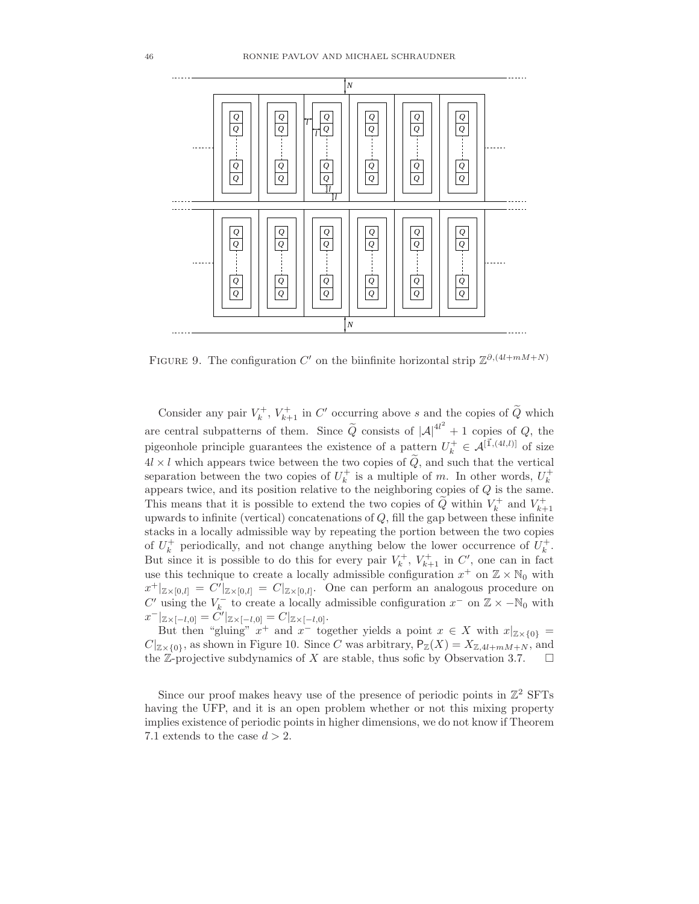

FIGURE 9. The configuration C' on the biinfinite horizontal strip  $\mathbb{Z}^{\partial,(4l+mM+N)}$ 

Consider any pair  $V_k^+$ ,  $V_{k+1}^+$  in C' occurring above s and the copies of  $\widetilde{Q}$  which are central subpatterns of them. Since  $\tilde{Q}$  consists of  $|A|^{4l^2} + 1$  copies of  $Q$ , the pigeonhole principle guarantees the existence of a pattern  $U_k^+ \in \mathcal{A}^{[\vec{1},(4l,l)]}$  of size  $4l \times l$  which appears twice between the two copies of  $Q$ , and such that the vertical separation between the two copies of  $U_k^+$  is a multiple of m. In other words,  $U_k^+$ appears twice, and its position relative to the neighboring copies of Q is the same. This means that it is possible to extend the two copies of  $\widetilde{Q}$  within  $V_k^+$  and  $V_{k+1}^+$ upwards to infinite (vertical) concatenations of  $Q$ , fill the gap between these infinite stacks in a locally admissible way by repeating the portion between the two copies of  $U_k^+$  periodically, and not change anything below the lower occurrence of  $U_k^+$ . But since it is possible to do this for every pair  $V_k^+$ ,  $V_{k+1}^+$  in C', one can in fact use this technique to create a locally admissible configuration  $x^+$  on  $\mathbb{Z} \times \mathbb{N}_0$  with  $x^+|_{\mathbb{Z}\times[0,l]}=C'|_{\mathbb{Z}\times[0,l]}=C|_{\mathbb{Z}\times[0,l]}.$  One can perform an analogous procedure on C' using the  $V_k^-$  to create a locally admissible configuration  $x^-$  on  $\mathbb{Z} \times -\mathbb{N}_0$  with  $x^-|_{\mathbb{Z} \times [-l,0]} = \tilde{C'}|_{\mathbb{Z} \times [-l,0]} = C|_{\mathbb{Z} \times [-l,0]}.$ 

But then "gluing"  $x^+$  and  $x^-$  together yields a point  $x \in X$  with  $x|_{\mathbb{Z} \times \{0\}} =$  $C|_{\mathbb{Z}\times\{0\}}$ , as shown in Figure 10. Since C was arbitrary,  $P_{\mathbb{Z}}(X) = X_{\mathbb{Z},4l+mM+N}$ , and the Z-projective subdynamics of X are stable, thus sofic by Observation 3.7.  $\Box$ 

Since our proof makes heavy use of the presence of periodic points in  $\mathbb{Z}^2$  SFTs having the UFP, and it is an open problem whether or not this mixing property implies existence of periodic points in higher dimensions, we do not know if Theorem 7.1 extends to the case  $d > 2$ .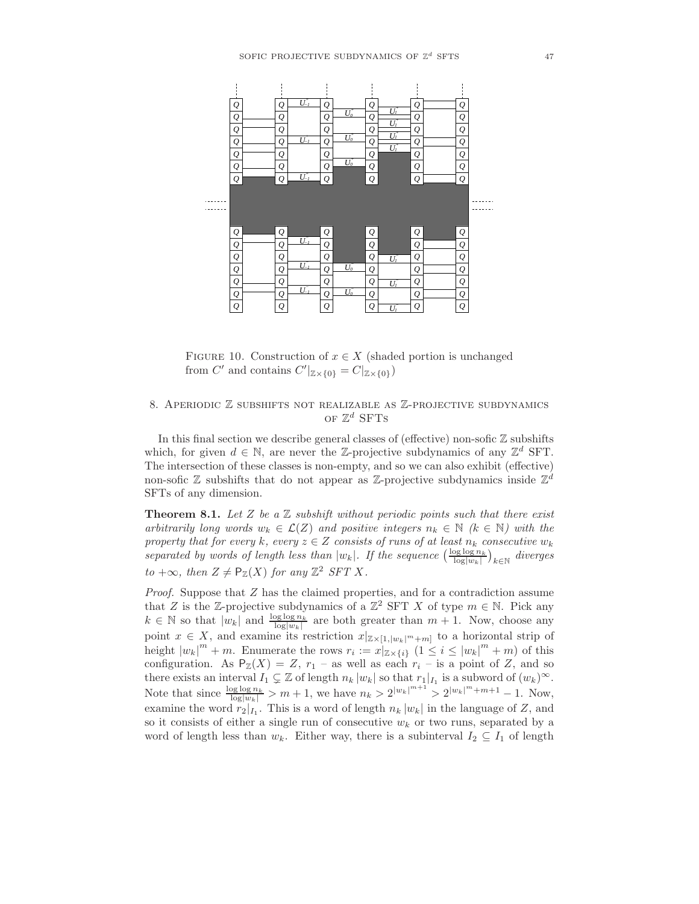

FIGURE 10. Construction of  $x \in X$  (shaded portion is unchanged from C' and contains  $C'_{\mathbb{Z}\times\{0\}} = C_{\mathbb{Z}\times\{0\}}$ )

# 8. APERIODIC  $\mathbb Z$  subshifts not realizable as  $\mathbb Z$ -projective subdynamics of  $\mathbb{Z}^d$  SFTs

In this final section we describe general classes of (effective) non-sofic  $\mathbb Z$  subshifts which, for given  $d \in \mathbb{N}$ , are never the Z-projective subdynamics of any  $\mathbb{Z}^d$  SFT. The intersection of these classes is non-empty, and so we can also exhibit (effective) non-sofic  $\mathbb Z$  subshifts that do not appear as  $\mathbb Z$ -projective subdynamics inside  $\mathbb Z^d$ SFTs of any dimension.

**Theorem 8.1.** Let Z be a Z subshift without periodic points such that there exist arbitrarily long words  $w_k \in \mathcal{L}(Z)$  and positive integers  $n_k \in \mathbb{N}$  ( $k \in \mathbb{N}$ ) with the property that for every  $k$ , every  $z \in Z$  consists of runs of at least  $n_k$  consecutive  $w_k$ separated by words of length less than  $|w_k|$ . If the sequence  $\left(\frac{\log \log n_k}{\log |w_k|}\right)_{k \in \mathbb{N}}$  diverges to +∞, then  $Z \neq \mathsf{P}_{\mathbb{Z}}(X)$  for any  $\mathbb{Z}^2$  SFT X.

Proof. Suppose that Z has the claimed properties, and for a contradiction assume that Z is the Z-projective subdynamics of a  $\mathbb{Z}^2$  SFT X of type  $m \in \mathbb{N}$ . Pick any  $k \in \mathbb{N}$  so that  $|w_k|$  and  $\frac{\log \log n_k}{\log |w_k|}$  are both greater than  $m + 1$ . Now, choose any point  $x \in X$ , and examine its restriction  $x|_{\mathbb{Z}\times[1,|w_k|^m+m]}$  to a horizontal strip of height  $|w_k|^m + m$ . Enumerate the rows  $r_i := x|_{\mathbb{Z} \times \{i\}} (1 \leq i \leq |w_k|^m + m)$  of this configuration. As  $P_Z(X) = Z$ ,  $r_1$  – as well as each  $r_i$  – is a point of Z, and so there exists an interval  $I_1 \subsetneq \mathbb{Z}$  of length  $n_k |w_k|$  so that  $r_1|_{I_1}$  is a subword of  $(w_k)^{\infty}$ . Note that since  $\frac{\log \log n_k}{\log |w_k|} > m + 1$ , we have  $n_k > 2^{|w_k|^{m+1}} > 2^{|w_k|^m + m + 1} - 1$ . Now, examine the word  $r_2|_{I_1}$ . This is a word of length  $n_k |w_k|$  in the language of Z, and so it consists of either a single run of consecutive  $w_k$  or two runs, separated by a word of length less than  $w_k$ . Either way, there is a subinterval  $I_2 \subseteq I_1$  of length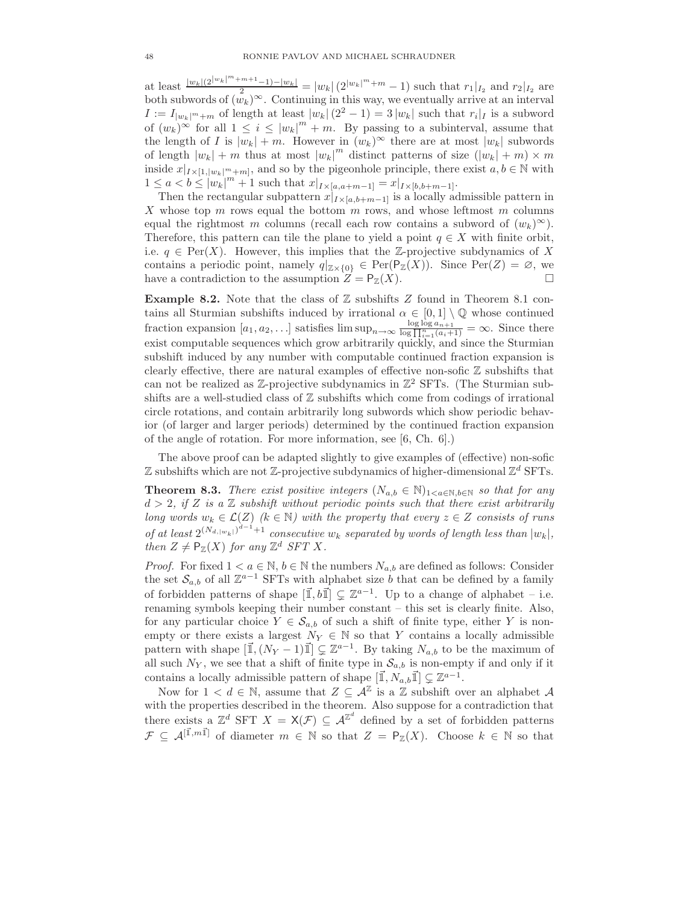at least  $\frac{|w_k|(2^{|w_k|^m+m+1}-1)-|w_k|}{2} = |w_k|(2^{|w_k|^m+m}-1)$  such that  $r_1|_{I_2}$  and  $r_2|_{I_2}$  are both subwords of  $(\bar{w}_k)^\infty$ . Continuing in this way, we eventually arrive at an interval  $I := I_{|w_k|^m + m}$  of length at least  $|w_k|(2^2 - 1) = 3 |w_k|$  such that  $r_i|_I$  is a subword of  $(w_k)^\infty$  for all  $1 \leq i \leq |w_k|^m + m$ . By passing to a subinterval, assume that the length of I is  $|w_k| + m$ . However in  $(w_k)^\infty$  there are at most  $|w_k|$  subwords of length  $|w_k| + m$  thus at most  $|w_k|^m$  distinct patterns of size  $(|w_k| + m) \times m$ inside  $x|_{I\times[1,|w_k|^m+m]}$ , and so by the pigeonhole principle, there exist  $a, b \in \mathbb{N}$  with  $1 \le a < b \le |w_k|^m + 1$  such that  $x|_{I \times [a,a+m-1]} = x|_{I \times [b,b+m-1]}.$ 

Then the rectangular subpattern  $x|_{I\times[a,b+m-1]}$  is a locally admissible pattern in X whose top  $m$  rows equal the bottom  $m$  rows, and whose leftmost  $m$  columns equal the rightmost m columns (recall each row contains a subword of  $(w_k)^\infty$ ). Therefore, this pattern can tile the plane to yield a point  $q \in X$  with finite orbit, i.e.  $q \in Per(X)$ . However, this implies that the Z-projective subdynamics of X contains a periodic point, namely  $q|_{\mathbb{Z}\times\{0\}} \in \text{Per}(\mathsf{P}_{\mathbb{Z}}(X))$ . Since  $\text{Per}(Z) = \emptyset$ , we have a contradiction to the assumption  $Z = P_Z(X)$ .

**Example 8.2.** Note that the class of  $\mathbb Z$  subshifts Z found in Theorem 8.1 contains all Sturmian subshifts induced by irrational  $\alpha \in [0,1] \setminus \mathbb{Q}$  whose continued fraction expansion  $[a_1, a_2, \ldots]$  satisfies  $\limsup_{n \to \infty} \frac{\log \log a_{n+1}}{\log \prod_{i=1}^n (a_i+1)} = \infty$ . Since there exist computable sequences which grow arbitrarily quickly, and since the Sturmian subshift induced by any number with computable continued fraction expansion is clearly effective, there are natural examples of effective non-sofic  $\mathbb Z$  subshifts that can not be realized as  $\mathbb{Z}$ -projective subdynamics in  $\mathbb{Z}^2$  SFTs. (The Sturmian subshifts are a well-studied class of  $\mathbb Z$  subshifts which come from codings of irrational circle rotations, and contain arbitrarily long subwords which show periodic behavior (of larger and larger periods) determined by the continued fraction expansion of the angle of rotation. For more information, see [6, Ch. 6].)

The above proof can be adapted slightly to give examples of (effective) non-sofic  $\mathbb Z$  subshifts which are not  $\mathbb Z$ -projective subdynamics of higher-dimensional  $\mathbb Z^d$  SFTs.

**Theorem 8.3.** There exist positive integers  $(N_{a,b} \in \mathbb{N})_{1 \leq a \in \mathbb{N}, b \in \mathbb{N}}$  so that for any  $d > 2$ , if Z is a Z subshift without periodic points such that there exist arbitrarily long words  $w_k \in \mathcal{L}(Z)$  ( $k \in \mathbb{N}$ ) with the property that every  $z \in Z$  consists of runs of at least  $2^{(N_{d,|w_k|})^{d-1}+1}$  consecutive  $w_k$  separated by words of length less than  $|w_k|$ , then  $Z \neq \mathsf{P}_{\mathbb{Z}}(X)$  for any  $\mathbb{Z}^d$  SFT X.

*Proof.* For fixed  $1 < a \in \mathbb{N}$ ,  $b \in \mathbb{N}$  the numbers  $N_{a,b}$  are defined as follows: Consider the set  $S_{a,b}$  of all  $\mathbb{Z}^{a-1}$  SFTs with alphabet size b that can be defined by a family of forbidden patterns of shape  $[\vec{\mathbb{I}}, b \vec{\mathbb{I}}] \subsetneq \mathbb{Z}^{a-1}$ . Up to a change of alphabet – i.e. renaming symbols keeping their number constant – this set is clearly finite. Also, for any particular choice  $Y \in \mathcal{S}_{a,b}$  of such a shift of finite type, either Y is nonempty or there exists a largest  $N_Y \in \mathbb{N}$  so that Y contains a locally admissible pattern with shape  $[\vec{\mathbb{I}},(N_Y-1)\vec{\mathbb{I}}] \subsetneq \mathbb{Z}^{a-1}$ . By taking  $N_{a,b}$  to be the maximum of all such  $N_Y$ , we see that a shift of finite type in  $\mathcal{S}_{a,b}$  is non-empty if and only if it contains a locally admissible pattern of shape  $[\vec{\mathbb{I}}, N_{a,b}\vec{\mathbb{I}}] \subsetneq \mathbb{Z}^{a-1}$ .

Now for  $1 < d \in \mathbb{N}$ , assume that  $Z \subseteq \mathcal{A}^{\mathbb{Z}}$  is a  $\mathbb{Z}$  subshift over an alphabet  $\mathcal{A}$ with the properties described in the theorem. Also suppose for a contradiction that there exists a  $\mathbb{Z}^d$  SFT  $X = \mathsf{X}(\mathcal{F}) \subseteq \mathcal{A}^{\mathbb{Z}^d}$  defined by a set of forbidden patterns  $\mathcal{F} \subseteq \mathcal{A}^{[\vec{1},m\vec{1}]}$  of diameter  $m \in \mathbb{N}$  so that  $Z = \mathsf{P}_{\mathbb{Z}}(X)$ . Choose  $k \in \mathbb{N}$  so that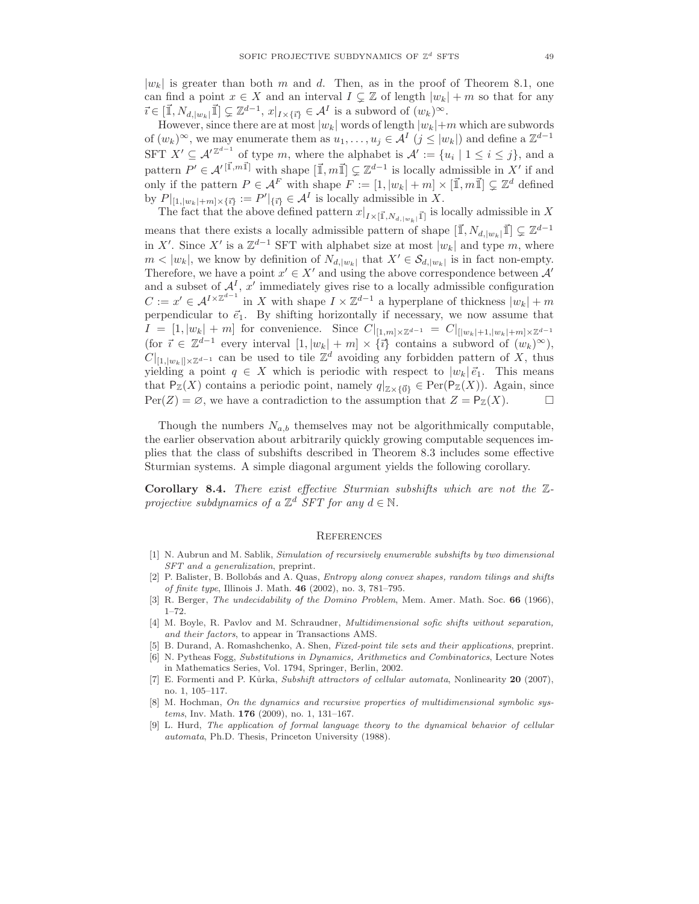$|w_k|$  is greater than both m and d. Then, as in the proof of Theorem 8.1, one can find a point  $x \in X$  and an interval  $I \subsetneq \mathbb{Z}$  of length  $|w_k| + m$  so that for any  $\vec{i} \in [\vec{1}, N_{d,|w_k|}] \vec{1}] \subsetneq \mathbb{Z}^{d-1}, x|_{I \times {\{\vec{i}\}}} \in \mathcal{A}^I$  is a subword of  $(w_k)^\infty$ .

However, since there are at most  $|w_k|$  words of length  $|w_k|+m$  which are subwords of  $(w_k)^\infty$ , we may enumerate them as  $u_1, \ldots, u_j \in A^I$   $(j \leq |w_k|)$  and define a  $\mathbb{Z}^{d-1}$ SFT  $X' \subseteq A'^{\mathbb{Z}^{d-1}}$  of type m, where the alphabet is  $A' := \{u_i \mid 1 \leq i \leq j\}$ , and a pattern  $P' \in \mathcal{A}'^{[\vec{1},m\vec{1}]}$  with shape  $[\vec{1},m\vec{1}] \subsetneq \mathbb{Z}^{d-1}$  is locally admissible in X' if and only if the pattern  $P \in \mathcal{A}^F$  with shape  $F := [1, |w_k| + m] \times [\vec{1}, m\vec{1}] \subseteq \mathbb{Z}^d$  defined by  $P|_{[1, |w_k|+m] \times {\{\overline{i}\}} } := P'|_{\{\overline{i}\}} \in \mathcal{A}^I$  is locally admissible in X.

The fact that the above defined pattern  $x|_{I\times[\vec{1},N_{d,|w_k|}\vec{1}]}$  is locally admissible in X means that there exists a locally admissible pattern of shape  $[\vec{\mathbb{I}}, N_{d,|w_k}|\vec{\mathbb{I}}] \subsetneq \mathbb{Z}^{d-1}$ in X'. Since X' is a  $\mathbb{Z}^{d-1}$  SFT with alphabet size at most  $|w_k|$  and type m, where  $m < |w_k|$ , we know by definition of  $N_{d, |w_k|}$  that  $X' \in \mathcal{S}_{d, |w_k|}$  is in fact non-empty. Therefore, we have a point  $x' \in X'$  and using the above correspondence between  $A'$ and a subset of  $\mathcal{A}^{I}$ , x' immediately gives rise to a locally admissible configuration  $C := x' \in \mathcal{A}^{I \times \mathbb{Z}^{d-1}}$  in X with shape  $I \times \mathbb{Z}^{d-1}$  a hyperplane of thickness  $|w_k| + m$ perpendicular to  $\vec{e}_1$ . By shifting horizontally if necessary, we now assume that  $I = [1, |w_k| + m]$  for convenience. Since  $C|_{[1,m] \times \mathbb{Z}^{d-1}} = C|_{[w_k|+1, |w_k|+m] \times \mathbb{Z}^{d-1}}$ (for  $\vec{i} \in \mathbb{Z}^{d-1}$  every interval  $[1, |w_k| + m] \times {\{\vec{i}\}}$  contains a subword of  $(w_k)^\infty$ ),  $C|_{[1,|w_k|] \times \mathbb{Z}^{d-1}}$  can be used to tile  $\mathbb{Z}^d$  avoiding any forbidden pattern of X, thus yielding a point  $q \in X$  which is periodic with respect to  $|w_k|\vec{e}_1$ . This means that  $P_Z(X)$  contains a periodic point, namely  $q|_{Z\times\{0\}} \in \text{Per}(P_Z(X))$ . Again, since  $Per(Z) = \emptyset$ , we have a contradiction to the assumption that  $Z = P_Z(X)$ .

Though the numbers  $N_{a,b}$  themselves may not be algorithmically computable, the earlier observation about arbitrarily quickly growing computable sequences implies that the class of subshifts described in Theorem 8.3 includes some effective Sturmian systems. A simple diagonal argument yields the following corollary.

Corollary 8.4. There exist effective Sturmian subshifts which are not the Zprojective subdynamics of a  $\mathbb{Z}^d$  SFT for any  $d \in \mathbb{N}$ .

#### **REFERENCES**

- [1] N. Aubrun and M. Sablik, Simulation of recursively enumerable subshifts by two dimensional SFT and a generalization, preprint.
- [2] P. Balister, B. Bollobás and A. Quas, Entropy along convex shapes, random tilings and shifts of finite type, Illinois J. Math. 46 (2002), no. 3, 781–795.
- [3] R. Berger, The undecidability of the Domino Problem, Mem. Amer. Math. Soc. 66 (1966), 1–72.
- [4] M. Boyle, R. Pavlov and M. Schraudner, Multidimensional sofic shifts without separation, and their factors, to appear in Transactions AMS.
- [5] B. Durand, A. Romashchenko, A. Shen, Fixed-point tile sets and their applications, preprint.
- [6] N. Pytheas Fogg, Substitutions in Dynamics, Arithmetics and Combinatorics, Lecture Notes in Mathematics Series, Vol. 1794, Springer, Berlin, 2002.
- [7] E. Formenti and P. Kůrka, Subshift attractors of cellular automata, Nonlinearity 20 (2007), no. 1, 105–117.
- [8] M. Hochman, On the dynamics and recursive properties of multidimensional symbolic systems, Inv. Math. 176 (2009), no. 1, 131–167.
- [9] L. Hurd, The application of formal language theory to the dynamical behavior of cellular automata, Ph.D. Thesis, Princeton University (1988).